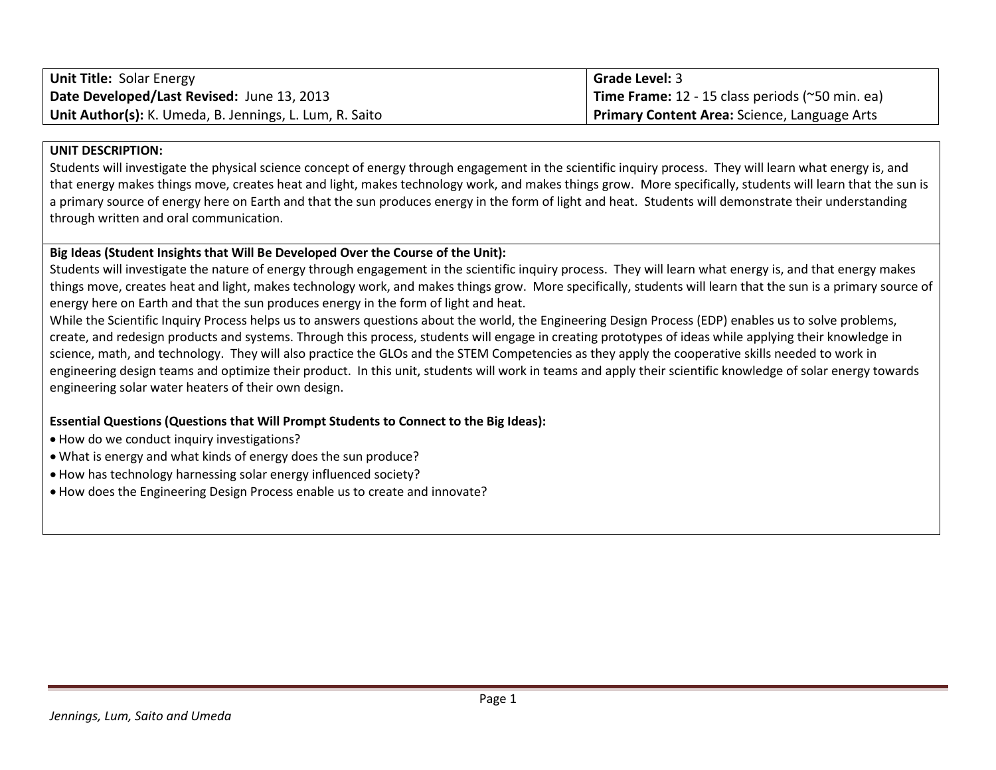| <b>Unit Title: Solar Energy</b>                         | <b>Grade Level: 3</b>                             |
|---------------------------------------------------------|---------------------------------------------------|
| Date Developed/Last Revised: June 13, 2013              | Time Frame: $12 - 15$ class periods (~50 min. ea) |
| Unit Author(s): K. Umeda, B. Jennings, L. Lum, R. Saito | Primary Content Area: Science, Language Arts      |

#### **UNIT DESCRIPTION:**

Students will investigate the physical science concept of energy through engagement in the scientific inquiry process. They will learn what energy is, and that energy makes things move, creates heat and light, makes technology work, and makes things grow. More specifically, students will learn that the sun is a primary source of energy here on Earth and that the sun produces energy in the form of light and heat. Students will demonstrate their understanding through written and oral communication.

## **Big Ideas (Student Insights that Will Be Developed Over the Course of the Unit):**

Students will investigate the nature of energy through engagement in the scientific inquiry process. They will learn what energy is, and that energy makes things move, creates heat and light, makes technology work, and makes things grow. More specifically, students will learn that the sun is a primary source of energy here on Earth and that the sun produces energy in the form of light and heat.

While the Scientific Inquiry Process helps us to answers questions about the world, the Engineering Design Process (EDP) enables us to solve problems, create, and redesign products and systems. Through this process, students will engage in creating prototypes of ideas while applying their knowledge in science, math, and technology. They will also practice the GLOs and the STEM Competencies as they apply the cooperative skills needed to work in engineering design teams and optimize their product. In this unit, students will work in teams and apply their scientific knowledge of solar energy towards engineering solar water heaters of their own design.

# **Essential Questions (Questions that Will Prompt Students to Connect to the Big Ideas):**

- How do we conduct inquiry investigations?
- What is energy and what kinds of energy does the sun produce?
- How has technology harnessing solar energy influenced society?
- How does the Engineering Design Process enable us to create and innovate?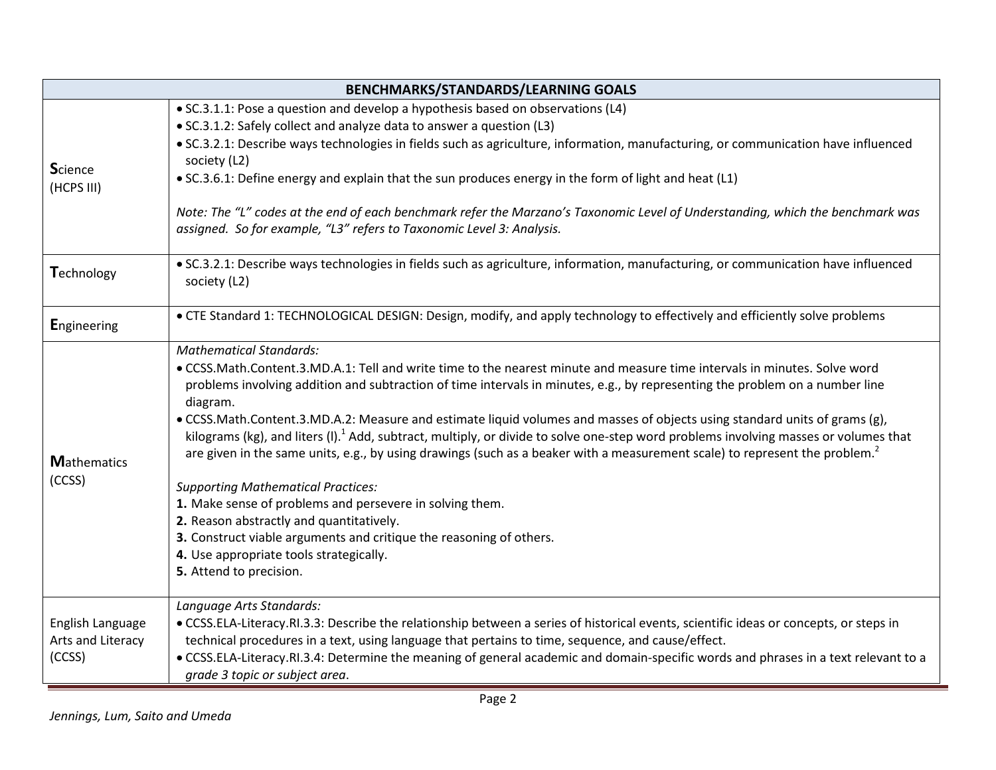|                    | <b>BENCHMARKS/STANDARDS/LEARNING GOALS</b>                                                                                                                            |
|--------------------|-----------------------------------------------------------------------------------------------------------------------------------------------------------------------|
|                    | • SC.3.1.1: Pose a question and develop a hypothesis based on observations (L4)                                                                                       |
|                    | • SC.3.1.2: Safely collect and analyze data to answer a question (L3)                                                                                                 |
|                    | . SC.3.2.1: Describe ways technologies in fields such as agriculture, information, manufacturing, or communication have influenced                                    |
| <b>Science</b>     | society (L2)                                                                                                                                                          |
| (HCPS III)         | • SC.3.6.1: Define energy and explain that the sun produces energy in the form of light and heat (L1)                                                                 |
|                    | Note: The "L" codes at the end of each benchmark refer the Marzano's Taxonomic Level of Understanding, which the benchmark was                                        |
|                    | assigned. So for example, "L3" refers to Taxonomic Level 3: Analysis.                                                                                                 |
| Technology         | · SC.3.2.1: Describe ways technologies in fields such as agriculture, information, manufacturing, or communication have influenced<br>society (L2)                    |
| <b>Engineering</b> | • CTE Standard 1: TECHNOLOGICAL DESIGN: Design, modify, and apply technology to effectively and efficiently solve problems                                            |
|                    | <b>Mathematical Standards:</b>                                                                                                                                        |
|                    | • CCSS.Math.Content.3.MD.A.1: Tell and write time to the nearest minute and measure time intervals in minutes. Solve word                                             |
|                    | problems involving addition and subtraction of time intervals in minutes, e.g., by representing the problem on a number line                                          |
|                    | diagram.<br>. CCSS.Math.Content.3.MD.A.2: Measure and estimate liquid volumes and masses of objects using standard units of grams (g),                                |
|                    | kilograms (kg), and liters (I). <sup>1</sup> Add, subtract, multiply, or divide to solve one-step word problems involving masses or volumes that                      |
| <b>Mathematics</b> | are given in the same units, e.g., by using drawings (such as a beaker with a measurement scale) to represent the problem. <sup>2</sup>                               |
| (CCSS)             | <b>Supporting Mathematical Practices:</b>                                                                                                                             |
|                    | 1. Make sense of problems and persevere in solving them.                                                                                                              |
|                    | 2. Reason abstractly and quantitatively.                                                                                                                              |
|                    | 3. Construct viable arguments and critique the reasoning of others.                                                                                                   |
|                    | 4. Use appropriate tools strategically.<br>5. Attend to precision.                                                                                                    |
|                    |                                                                                                                                                                       |
|                    | Language Arts Standards:                                                                                                                                              |
| English Language   | • CCSS.ELA-Literacy.RI.3.3: Describe the relationship between a series of historical events, scientific ideas or concepts, or steps in                                |
| Arts and Literacy  | technical procedures in a text, using language that pertains to time, sequence, and cause/effect.                                                                     |
| (CCSS)             | • CCSS.ELA-Literacy.RI.3.4: Determine the meaning of general academic and domain-specific words and phrases in a text relevant to a<br>grade 3 topic or subject area. |
|                    |                                                                                                                                                                       |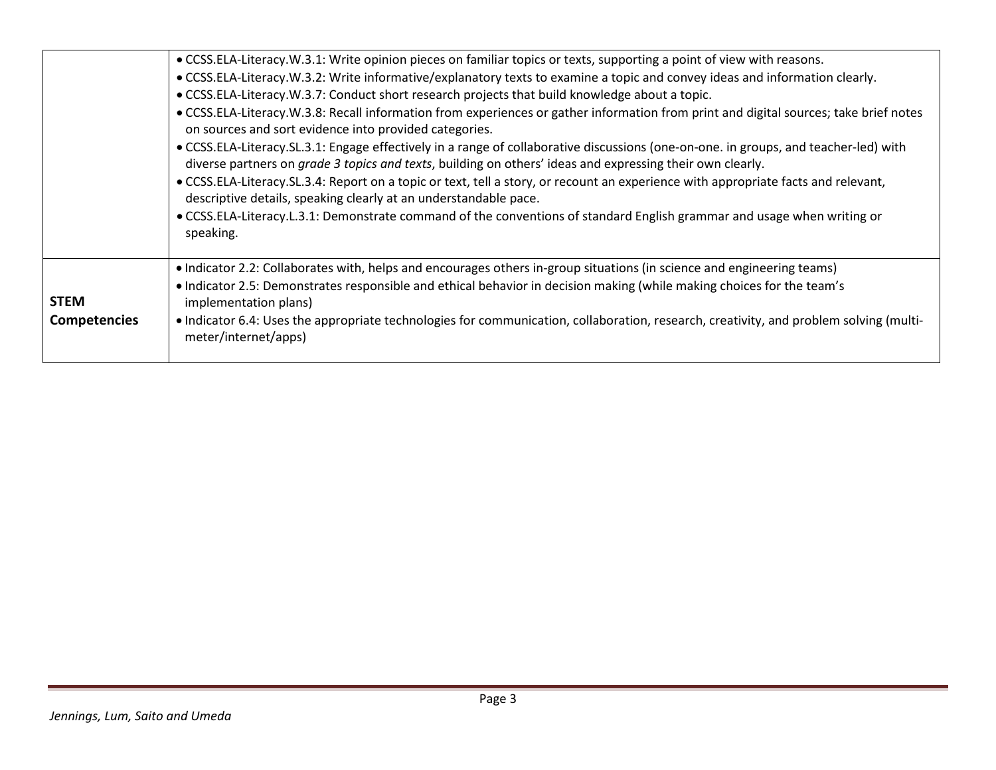|                     | . CCSS.ELA-Literacy.W.3.1: Write opinion pieces on familiar topics or texts, supporting a point of view with reasons.                                                                                                                             |
|---------------------|---------------------------------------------------------------------------------------------------------------------------------------------------------------------------------------------------------------------------------------------------|
|                     | • CCSS.ELA-Literacy.W.3.2: Write informative/explanatory texts to examine a topic and convey ideas and information clearly.                                                                                                                       |
|                     | . CCSS.ELA-Literacy.W.3.7: Conduct short research projects that build knowledge about a topic.                                                                                                                                                    |
|                     | • CCSS.ELA-Literacy.W.3.8: Recall information from experiences or gather information from print and digital sources; take brief notes<br>on sources and sort evidence into provided categories.                                                   |
|                     | • CCSS.ELA-Literacy.SL.3.1: Engage effectively in a range of collaborative discussions (one-on-one. in groups, and teacher-led) with<br>diverse partners on grade 3 topics and texts, building on others' ideas and expressing their own clearly. |
|                     | . CCSS.ELA-Literacy.SL.3.4: Report on a topic or text, tell a story, or recount an experience with appropriate facts and relevant,<br>descriptive details, speaking clearly at an understandable pace.                                            |
|                     | • CCSS.ELA-Literacy.L.3.1: Demonstrate command of the conventions of standard English grammar and usage when writing or<br>speaking.                                                                                                              |
|                     | • Indicator 2.2: Collaborates with, helps and encourages others in-group situations (in science and engineering teams)                                                                                                                            |
| <b>STEM</b>         | • Indicator 2.5: Demonstrates responsible and ethical behavior in decision making (while making choices for the team's<br>implementation plans)                                                                                                   |
| <b>Competencies</b> | • Indicator 6.4: Uses the appropriate technologies for communication, collaboration, research, creativity, and problem solving (multi-<br>meter/internet/apps)                                                                                    |
|                     |                                                                                                                                                                                                                                                   |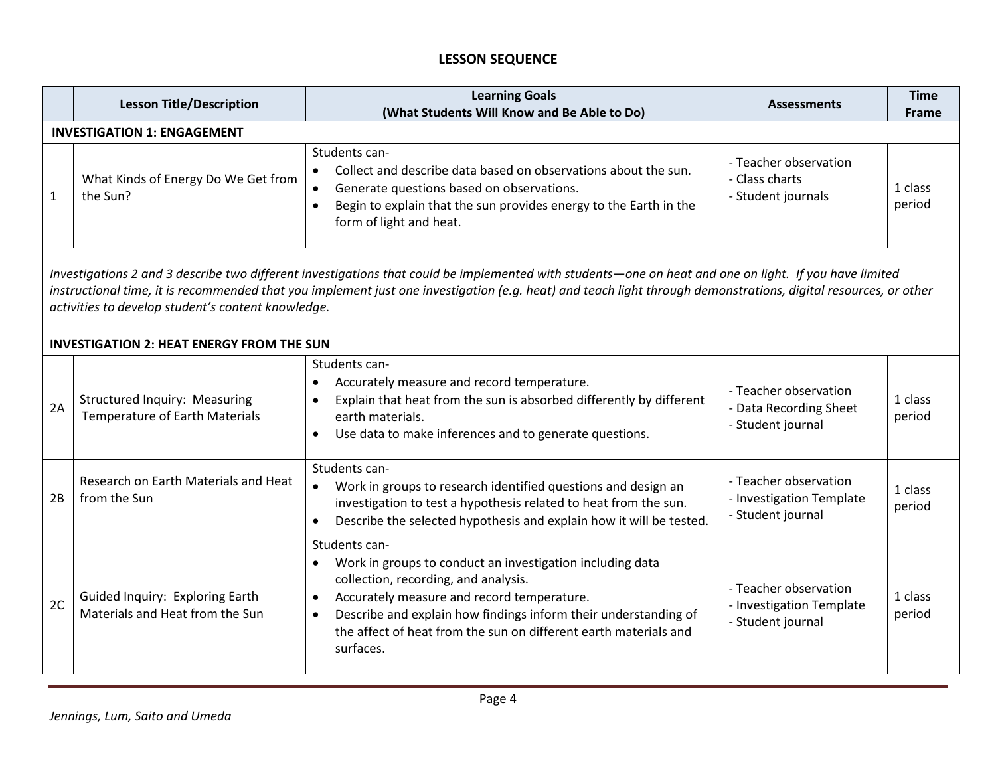# **LESSON SEQUENCE**

|              | <b>Lesson Title/Description</b>                                                                                                                                                                                                                                                                                                                                                 | <b>Learning Goals</b><br>(What Students Will Know and Be Able to Do)                                                                                                                                                                                                                                                                                        | <b>Assessments</b>                                                     | <b>Time</b><br><b>Frame</b> |  |  |  |
|--------------|---------------------------------------------------------------------------------------------------------------------------------------------------------------------------------------------------------------------------------------------------------------------------------------------------------------------------------------------------------------------------------|-------------------------------------------------------------------------------------------------------------------------------------------------------------------------------------------------------------------------------------------------------------------------------------------------------------------------------------------------------------|------------------------------------------------------------------------|-----------------------------|--|--|--|
|              | <b>INVESTIGATION 1: ENGAGEMENT</b>                                                                                                                                                                                                                                                                                                                                              |                                                                                                                                                                                                                                                                                                                                                             |                                                                        |                             |  |  |  |
| $\mathbf{1}$ | What Kinds of Energy Do We Get from<br>the Sun?                                                                                                                                                                                                                                                                                                                                 | Students can-<br>Collect and describe data based on observations about the sun.<br>$\bullet$<br>Generate questions based on observations.<br>$\bullet$<br>Begin to explain that the sun provides energy to the Earth in the<br>$\bullet$<br>form of light and heat.                                                                                         | - Teacher observation<br>- Class charts<br>- Student journals          | 1 class<br>period           |  |  |  |
|              | Investigations 2 and 3 describe two different investigations that could be implemented with students—one on heat and one on light. If you have limited<br>instructional time, it is recommended that you implement just one investigation (e.g. heat) and teach light through demonstrations, digital resources, or other<br>activities to develop student's content knowledge. |                                                                                                                                                                                                                                                                                                                                                             |                                                                        |                             |  |  |  |
|              | <b>INVESTIGATION 2: HEAT ENERGY FROM THE SUN</b>                                                                                                                                                                                                                                                                                                                                |                                                                                                                                                                                                                                                                                                                                                             |                                                                        |                             |  |  |  |
| 2A           | Structured Inquiry: Measuring<br>Temperature of Earth Materials                                                                                                                                                                                                                                                                                                                 | Students can-<br>Accurately measure and record temperature.<br>$\bullet$<br>Explain that heat from the sun is absorbed differently by different<br>$\bullet$<br>earth materials.<br>Use data to make inferences and to generate questions.<br>$\bullet$                                                                                                     | - Teacher observation<br>- Data Recording Sheet<br>- Student journal   | 1 class<br>period           |  |  |  |
| 2B           | Research on Earth Materials and Heat<br>from the Sun                                                                                                                                                                                                                                                                                                                            | Students can-<br>Work in groups to research identified questions and design an<br>$\bullet$<br>investigation to test a hypothesis related to heat from the sun.<br>Describe the selected hypothesis and explain how it will be tested.<br>$\bullet$                                                                                                         | - Teacher observation<br>- Investigation Template<br>- Student journal | 1 class<br>period           |  |  |  |
| 2C           | Guided Inquiry: Exploring Earth<br>Materials and Heat from the Sun                                                                                                                                                                                                                                                                                                              | Students can-<br>Work in groups to conduct an investigation including data<br>$\bullet$<br>collection, recording, and analysis.<br>Accurately measure and record temperature.<br>$\bullet$<br>Describe and explain how findings inform their understanding of<br>$\bullet$<br>the affect of heat from the sun on different earth materials and<br>surfaces. | - Teacher observation<br>- Investigation Template<br>- Student journal | 1 class<br>period           |  |  |  |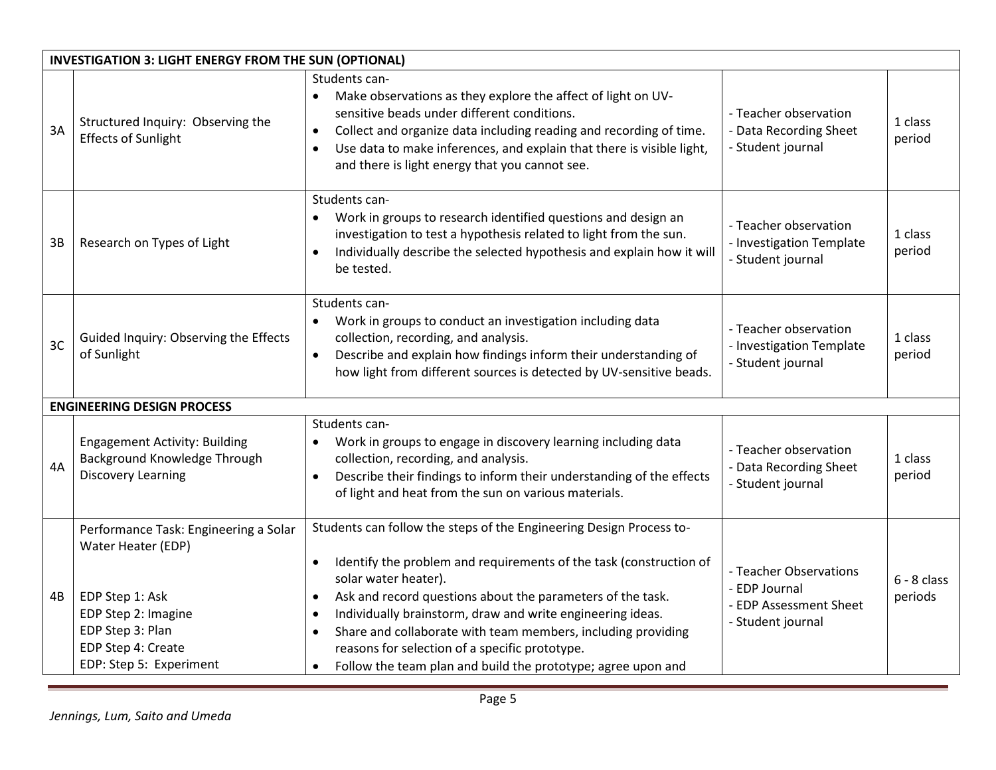|    | <b>INVESTIGATION 3: LIGHT ENERGY FROM THE SUN (OPTIONAL)</b>                                                                                                               |                                                                                                                                                                                                                                                                                                                                                                                                                                                                                                                        |                                                                                        |                          |  |
|----|----------------------------------------------------------------------------------------------------------------------------------------------------------------------------|------------------------------------------------------------------------------------------------------------------------------------------------------------------------------------------------------------------------------------------------------------------------------------------------------------------------------------------------------------------------------------------------------------------------------------------------------------------------------------------------------------------------|----------------------------------------------------------------------------------------|--------------------------|--|
| 3A | Structured Inquiry: Observing the<br><b>Effects of Sunlight</b>                                                                                                            | Students can-<br>Make observations as they explore the affect of light on UV-<br>$\bullet$<br>sensitive beads under different conditions.<br>Collect and organize data including reading and recording of time.<br>$\bullet$<br>Use data to make inferences, and explain that there is visible light,<br>and there is light energy that you cannot see.                                                                                                                                                                | - Teacher observation<br>- Data Recording Sheet<br>- Student journal                   | 1 class<br>period        |  |
| 3B | Research on Types of Light                                                                                                                                                 | Students can-<br>Work in groups to research identified questions and design an<br>investigation to test a hypothesis related to light from the sun.<br>Individually describe the selected hypothesis and explain how it will<br>be tested.                                                                                                                                                                                                                                                                             | - Teacher observation<br>- Investigation Template<br>- Student journal                 | 1 class<br>period        |  |
| 3C | Guided Inquiry: Observing the Effects<br>of Sunlight                                                                                                                       | Students can-<br>Work in groups to conduct an investigation including data<br>collection, recording, and analysis.<br>Describe and explain how findings inform their understanding of<br>$\bullet$<br>how light from different sources is detected by UV-sensitive beads.                                                                                                                                                                                                                                              | - Teacher observation<br>- Investigation Template<br>- Student journal                 | 1 class<br>period        |  |
|    | <b>ENGINEERING DESIGN PROCESS</b>                                                                                                                                          |                                                                                                                                                                                                                                                                                                                                                                                                                                                                                                                        |                                                                                        |                          |  |
| 4A | <b>Engagement Activity: Building</b><br>Background Knowledge Through<br><b>Discovery Learning</b>                                                                          | Students can-<br>Work in groups to engage in discovery learning including data<br>collection, recording, and analysis.<br>Describe their findings to inform their understanding of the effects<br>$\bullet$<br>of light and heat from the sun on various materials.                                                                                                                                                                                                                                                    | - Teacher observation<br>- Data Recording Sheet<br>- Student journal                   | 1 class<br>period        |  |
| 4B | Performance Task: Engineering a Solar<br>Water Heater (EDP)<br>EDP Step 1: Ask<br>EDP Step 2: Imagine<br>EDP Step 3: Plan<br>EDP Step 4: Create<br>EDP: Step 5: Experiment | Students can follow the steps of the Engineering Design Process to-<br>Identify the problem and requirements of the task (construction of<br>$\bullet$<br>solar water heater).<br>Ask and record questions about the parameters of the task.<br>$\bullet$<br>Individually brainstorm, draw and write engineering ideas.<br>Share and collaborate with team members, including providing<br>$\bullet$<br>reasons for selection of a specific prototype.<br>Follow the team plan and build the prototype; agree upon and | - Teacher Observations<br>- EDP Journal<br>- EDP Assessment Sheet<br>- Student journal | $6 - 8$ class<br>periods |  |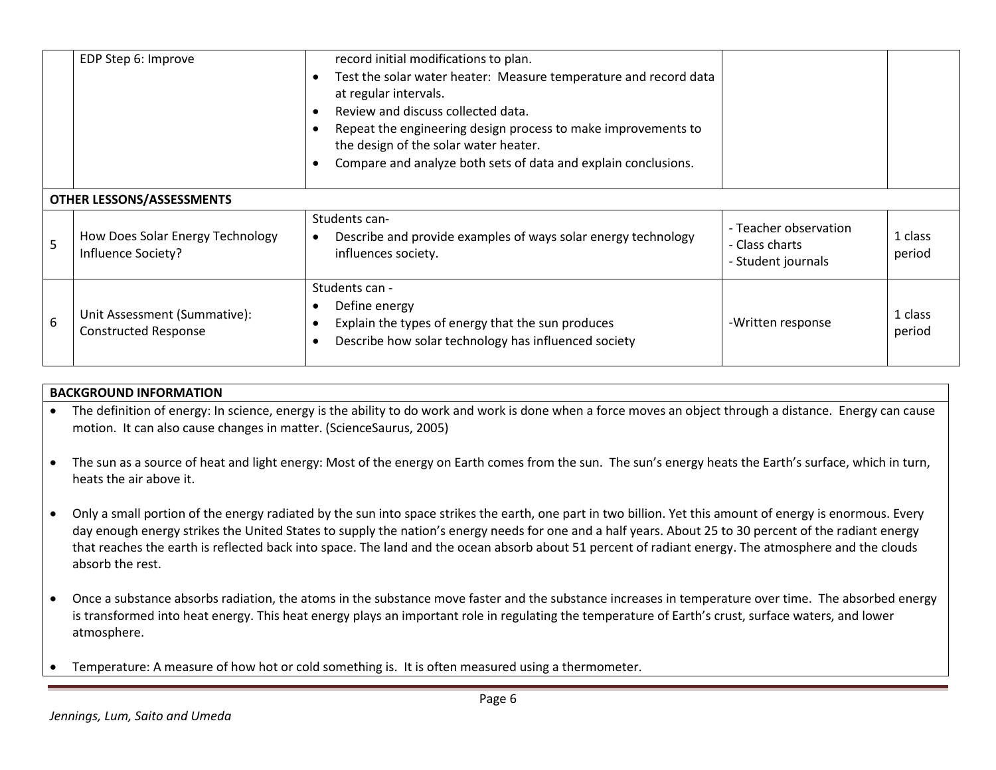|   | EDP Step 6: Improve                                         | record initial modifications to plan.<br>Test the solar water heater: Measure temperature and record data<br>at regular intervals.<br>Review and discuss collected data.<br>Repeat the engineering design process to make improvements to<br>the design of the solar water heater.<br>Compare and analyze both sets of data and explain conclusions. |                                                               |                   |
|---|-------------------------------------------------------------|------------------------------------------------------------------------------------------------------------------------------------------------------------------------------------------------------------------------------------------------------------------------------------------------------------------------------------------------------|---------------------------------------------------------------|-------------------|
|   | OTHER LESSONS/ASSESSMENTS                                   |                                                                                                                                                                                                                                                                                                                                                      |                                                               |                   |
| 5 | How Does Solar Energy Technology<br>Influence Society?      | Students can-<br>Describe and provide examples of ways solar energy technology<br>influences society.                                                                                                                                                                                                                                                | - Teacher observation<br>- Class charts<br>- Student journals | 1 class<br>period |
| 6 | Unit Assessment (Summative):<br><b>Constructed Response</b> | Students can -<br>Define energy<br>Explain the types of energy that the sun produces<br>Describe how solar technology has influenced society                                                                                                                                                                                                         | -Written response                                             | 1 class<br>period |

# **BACKGROUND INFORMATION**

- The definition of energy: In science, energy is the ability to do work and work is done when a force moves an object through a distance. Energy can cause motion. It can also cause changes in matter. (ScienceSaurus, 2005)
- The sun as a source of heat and light energy: Most of the energy on Earth comes from the sun. The sun's energy heats the Earth's surface, which in turn, heats the air above it.
- Only a small portion of the energy radiated by the sun into space strikes the earth, one part in two billion. Yet this amount of energy is enormous. Every day enough energy strikes the United States to supply the nation's energy needs for one and a half years. About 25 to 30 percent of the radiant energy that reaches the earth is reflected back into space. The land and the ocean absorb about 51 percent of radiant energy. The atmosphere and the clouds absorb the rest.
- Once a substance absorbs radiation, the atoms in the substance move faster and the substance increases in temperature over time. The absorbed energy is transformed into heat energy. This heat energy plays an important role in regulating the temperature of Earth's crust, surface waters, and lower atmosphere.
- Temperature: A measure of how hot or cold something is. It is often measured using a thermometer.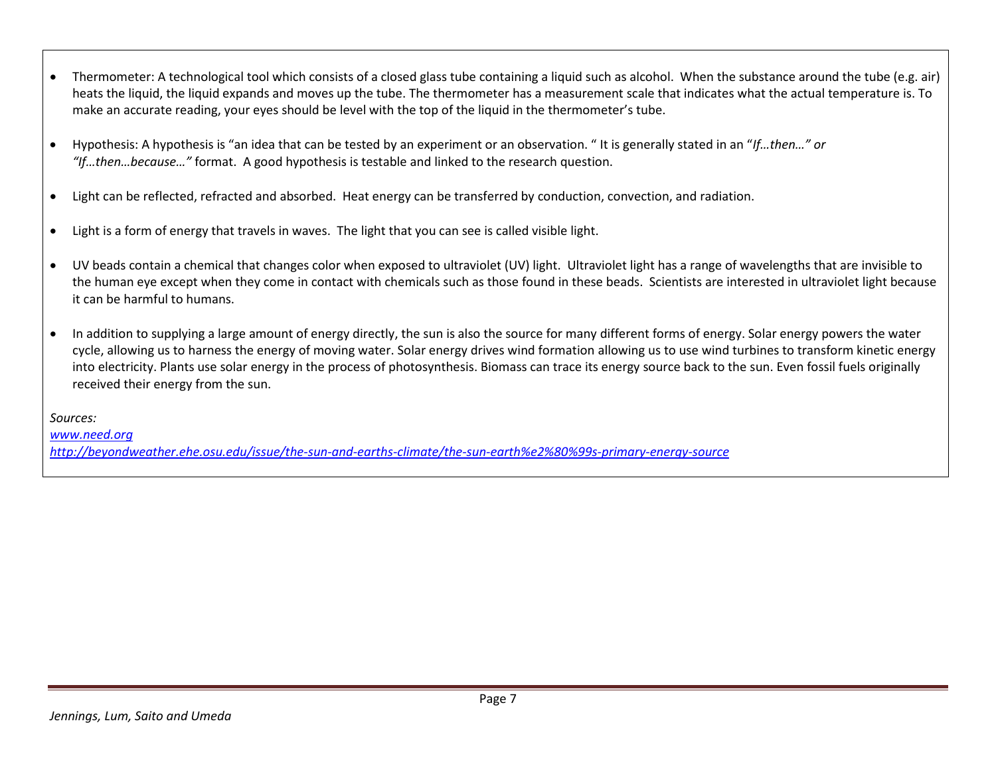- Thermometer: A technological tool which consists of a closed glass tube containing a liquid such as alcohol. When the substance around the tube (e.g. air) heats the liquid, the liquid expands and moves up the tube. The thermometer has a measurement scale that indicates what the actual temperature is. To make an accurate reading, your eyes should be level with the top of the liquid in the thermometer's tube.
- Hypothesis: A hypothesis is "an idea that can be tested by an experiment or an observation. " It is generally stated in an "*If…then…" or "If…then…because…"* format. A good hypothesis is testable and linked to the research question.
- Light can be reflected, refracted and absorbed. Heat energy can be transferred by conduction, convection, and radiation.
- Light is a form of energy that travels in waves. The light that you can see is called visible light.
- UV beads contain a chemical that changes color when exposed to ultraviolet (UV) light. Ultraviolet light has a range of wavelengths that are invisible to the human eye except when they come in contact with chemicals such as those found in these beads. Scientists are interested in ultraviolet light because it can be harmful to humans.
- In addition to supplying a large amount of energy directly, the sun is also the source for many different forms of energy. Solar energy powers the water cycle, allowing us to harness the energy of moving water. Solar energy drives wind formation allowing us to use wind turbines to transform kinetic energy into electricity. Plants use solar energy in the process of photosynthesis. Biomass can trace its energy source back to the sun. Even fossil fuels originally received their energy from the sun.

*Sources:*

*[www.need.org](http://www.need.org/) <http://beyondweather.ehe.osu.edu/issue/the-sun-and-earths-climate/the-sun-earth%e2%80%99s-primary-energy-source>*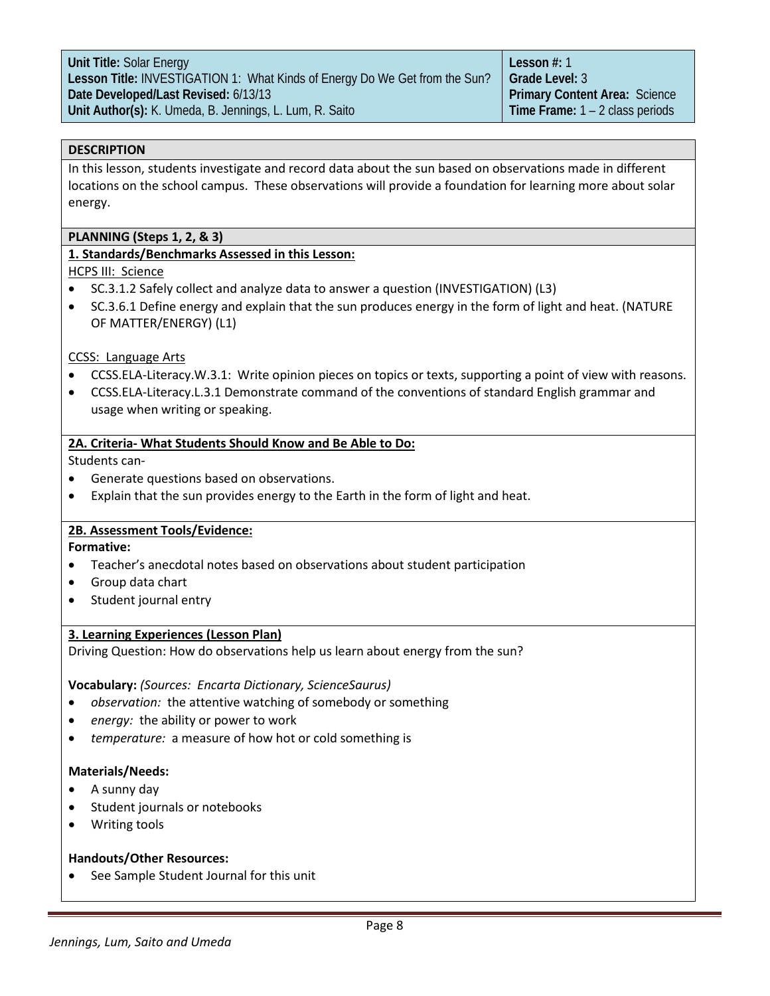#### **DESCRIPTION**

In this lesson, students investigate and record data about the sun based on observations made in different locations on the school campus. These observations will provide a foundation for learning more about solar energy.

#### **PLANNING (Steps 1, 2, & 3)**

#### **1. Standards/Benchmarks Assessed in this Lesson:**

HCPS III: Science

- SC.3.1.2 Safely collect and analyze data to answer a question (INVESTIGATION) (L3)
- SC.3.6.1 Define energy and explain that the sun produces energy in the form of light and heat. (NATURE OF MATTER/ENERGY) (L1)

#### CCSS: Language Arts

- CCSS.ELA-Literacy.W.3.1: Write opinion pieces on topics or texts, supporting a point of view with reasons.
- [CCSS.ELA-Literacy.L.3.](http://www.corestandards.org/ELA-Literacy/L/3/1/)1 Demonstrate command of the conventions of standard English grammar and usage when writing or speaking.

#### **2A. Criteria- What Students Should Know and Be Able to Do:**

Students can-

- Generate questions based on observations.
- Explain that the sun provides energy to the Earth in the form of light and heat.

# **2B. Assessment Tools/Evidence:**

**Formative:**

- Teacher's anecdotal notes based on observations about student participation
- Group data chart
- Student journal entry

#### **3. Learning Experiences (Lesson Plan)**

Driving Question: How do observations help us learn about energy from the sun?

**Vocabulary:** *(Sources: Encarta Dictionary, ScienceSaurus)*

- *observation:* the attentive watching of somebody or something
- energy: the ability or power to work
- *temperature:* a measure of how hot or cold something is

#### **Materials/Needs:**

- A sunny day
- Student journals or notebooks
- Writing tools

#### **Handouts/Other Resources:**

• See Sample Student Journal for this unit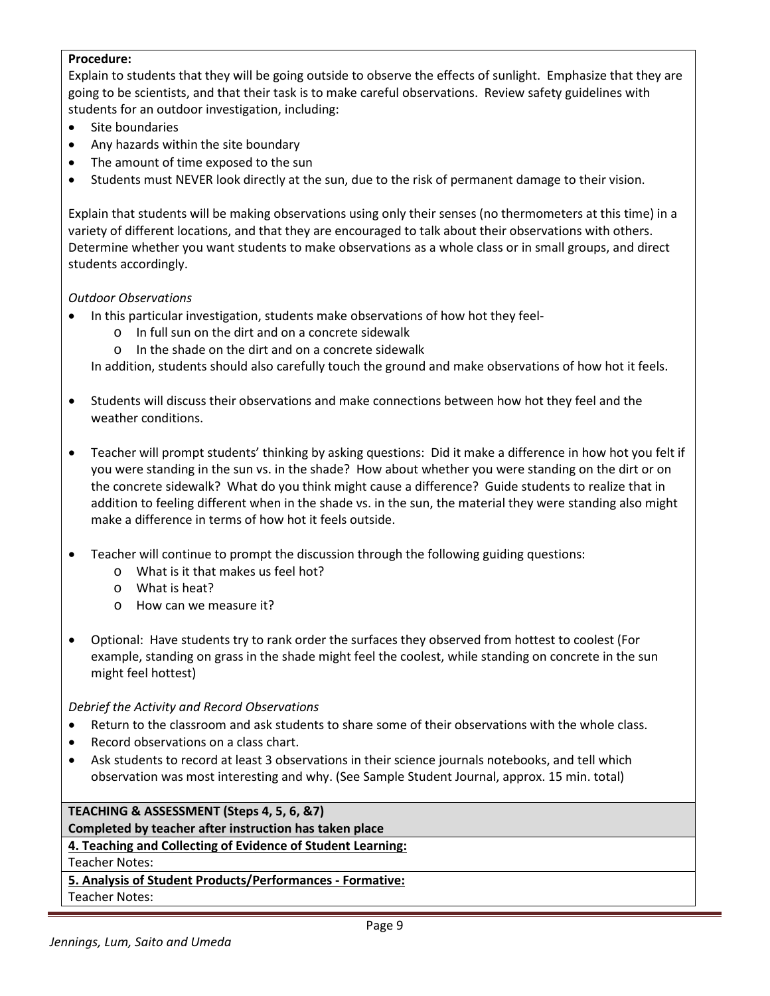# **Procedure:**

Explain to students that they will be going outside to observe the effects of sunlight. Emphasize that they are going to be scientists, and that their task is to make careful observations. Review safety guidelines with students for an outdoor investigation, including:

- Site boundaries
- Any hazards within the site boundary
- The amount of time exposed to the sun
- Students must NEVER look directly at the sun, due to the risk of permanent damage to their vision.

Explain that students will be making observations using only their senses (no thermometers at this time) in a variety of different locations, and that they are encouraged to talk about their observations with others. Determine whether you want students to make observations as a whole class or in small groups, and direct students accordingly.

# *Outdoor Observations*

- In this particular investigation, students make observations of how hot they feel
	- o In full sun on the dirt and on a concrete sidewalk
	- $\circ$  In the shade on the dirt and on a concrete sidewalk

In addition, students should also carefully touch the ground and make observations of how hot it feels.

- Students will discuss their observations and make connections between how hot they feel and the weather conditions.
- Teacher will prompt students' thinking by asking questions: Did it make a difference in how hot you felt if you were standing in the sun vs. in the shade? How about whether you were standing on the dirt or on the concrete sidewalk? What do you think might cause a difference? Guide students to realize that in addition to feeling different when in the shade vs. in the sun, the material they were standing also might make a difference in terms of how hot it feels outside.
- Teacher will continue to prompt the discussion through the following guiding questions:
	- o What is it that makes us feel hot?
	- o What is heat?
	- o How can we measure it?
- Optional: Have students try to rank order the surfaces they observed from hottest to coolest (For example, standing on grass in the shade might feel the coolest, while standing on concrete in the sun might feel hottest)

# *Debrief the Activity and Record Observations*

- Return to the classroom and ask students to share some of their observations with the whole class.
- Record observations on a class chart.
- Ask students to record at least 3 observations in their science journals notebooks, and tell which observation was most interesting and why. (See Sample Student Journal, approx. 15 min. total)

# **TEACHING & ASSESSMENT (Steps 4, 5, 6, &7)**

# **Completed by teacher after instruction has taken place**

# **4. Teaching and Collecting of Evidence of Student Learning:**

# Teacher Notes:

# **5. Analysis of Student Products/Performances - Formative:**

Teacher Notes: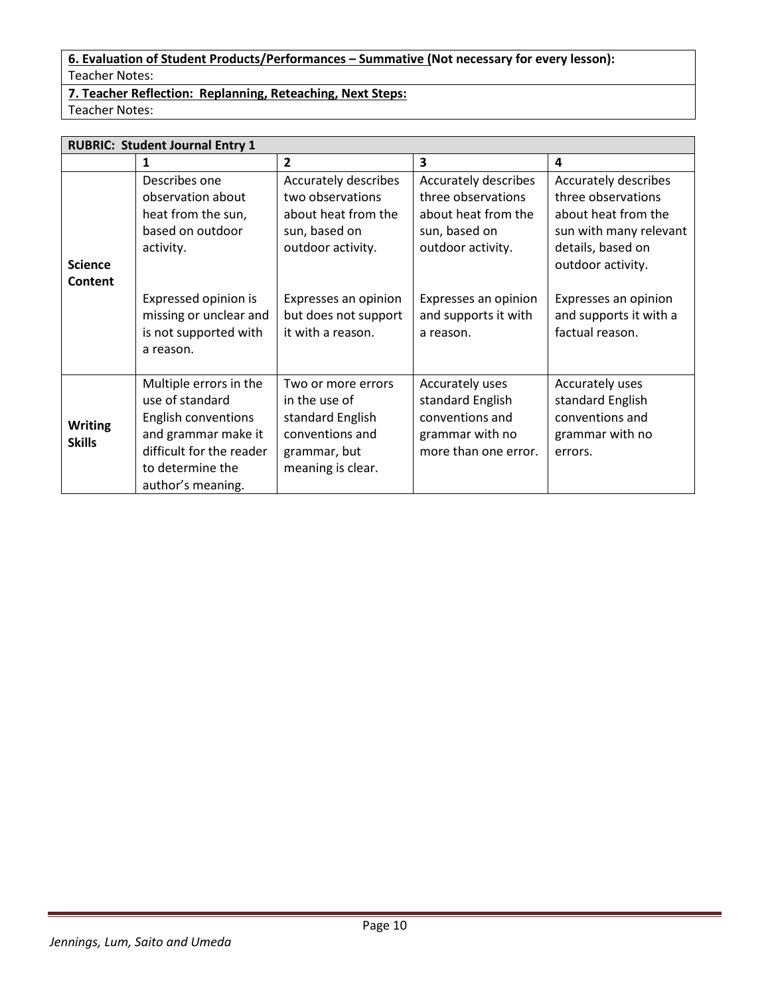# **6. Evaluation of Student Products/Performances – Summative (Not necessary for every lesson):** Teacher Notes:

**7. Teacher Reflection: Replanning, Reteaching, Next Steps:** Teacher Notes:

**RUBRIC: Student Journal Entry 1 1 2 3 4 Science Content** Describes one observation about heat from the sun, based on outdoor activity. Expressed opinion is missing or unclear and is not supported with a reason. Accurately describes two observations about heat from the sun, based on outdoor activity. Expresses an opinion but does not support it with a reason. Accurately describes three observations about heat from the sun, based on outdoor activity. Expresses an opinion and supports it with a reason. Accurately describes three observations about heat from the sun with many relevant details, based on outdoor activity. Expresses an opinion and supports it with a factual reason. **Writing Skills** Multiple errors in the use of standard English conventions and grammar make it difficult for the reader to determine the author's meaning. Two or more errors in the use of standard English conventions and grammar, but meaning is clear. Accurately uses standard English conventions and grammar with no more than one error. Accurately uses standard English conventions and grammar with no errors.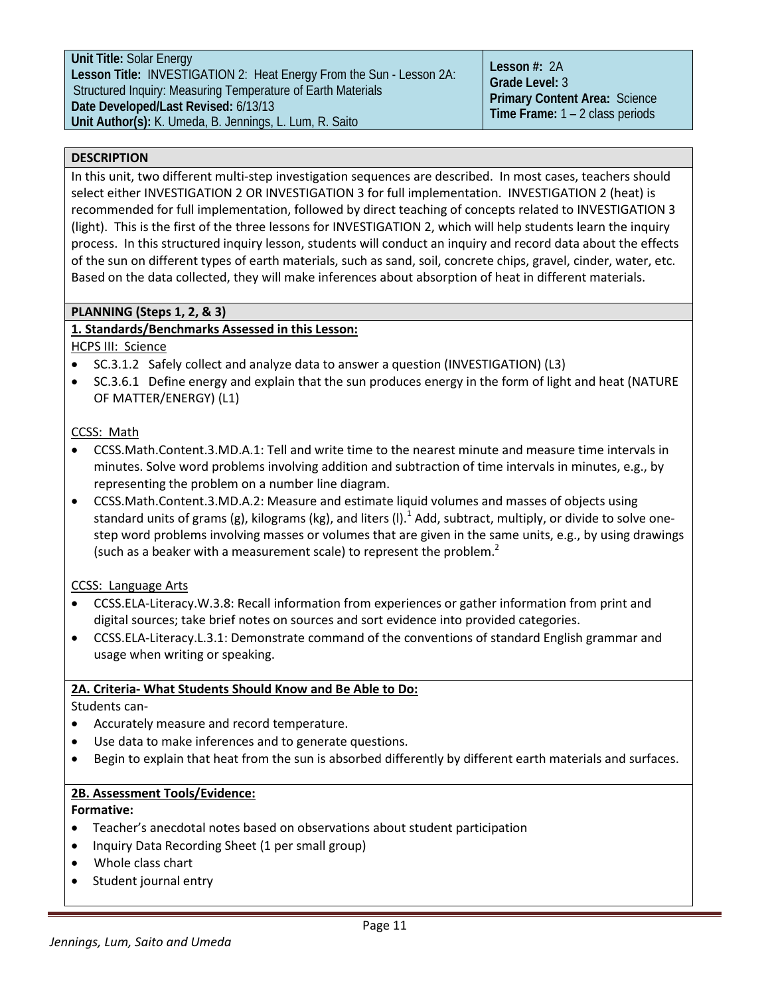**Unit Title:** Solar Energy **Lesson Title:** INVESTIGATION 2: Heat Energy From the Sun - Lesson 2A: Structured Inquiry: Measuring Temperature of Earth Materials **Date Developed/Last Revised:** 6/13/13 **Unit Author(s):** K. Umeda, B. Jennings, L. Lum, R. Saito

**Lesson #:** 2A **Grade Level:** 3 **Primary Content Area:** Science **Time Frame:** 1 – 2 class periods

# **DESCRIPTION**

In this unit, two different multi-step investigation sequences are described. In most cases, teachers should select either INVESTIGATION 2 OR INVESTIGATION 3 for full implementation. INVESTIGATION 2 (heat) is recommended for full implementation, followed by direct teaching of concepts related to INVESTIGATION 3 (light). This is the first of the three lessons for INVESTIGATION 2, which will help students learn the inquiry process. In this structured inquiry lesson, students will conduct an inquiry and record data about the effects of the sun on different types of earth materials, such as sand, soil, concrete chips, gravel, cinder, water, etc. Based on the data collected, they will make inferences about absorption of heat in different materials.

# **PLANNING (Steps 1, 2, & 3)**

# **1. Standards/Benchmarks Assessed in this Lesson:**

# HCPS III: Science

- SC.3.1.2 Safely collect and analyze data to answer a question (INVESTIGATION) (L3)
- SC.3.6.1 Define energy and explain that the sun produces energy in the form of light and heat (NATURE OF MATTER/ENERGY) (L1)

# CCSS: Math

- CCSS.Math.Content.3.MD.A.1: Tell and write time to the nearest minute and measure time intervals in minutes. Solve word problems involving addition and subtraction of time intervals in minutes, e.g., by representing the problem on a number line diagram.
- [CCSS.Math.Content.3.MD.A.2:](http://www.corestandards.org/Math/Content/3/MD/A/2) Measure and estimate liquid volumes and masses of objects using standard units of grams (g), kilograms (kg), and liters (I).<sup>1</sup> Add, subtract, multiply, or divide to solve onestep word problems involving masses or volumes that are given in the same units, e.g., by using drawings (such as a beaker with a measurement scale) to represent the problem.<sup>2</sup>

CCSS: Language Arts

- [CCSS.ELA-Literacy.W.3.8:](http://www.corestandards.org/ELA-Literacy/W/3/8/) Recall information from experiences or gather information from print and digital sources; take brief notes on sources and sort evidence into provided categories.
- [CCSS.ELA-Literacy.L.3.](http://www.corestandards.org/ELA-Literacy/L/3/1/)1: Demonstrate command of the conventions of standard English grammar and usage when writing or speaking.

# **2A. Criteria- What Students Should Know and Be Able to Do:**

Students can-

- Accurately measure and record temperature.
- Use data to make inferences and to generate questions.
- Begin to explain that heat from the sun is absorbed differently by different earth materials and surfaces.

# **2B. Assessment Tools/Evidence:**

# **Formative:**

- Teacher's anecdotal notes based on observations about student participation
- Inquiry Data Recording Sheet (1 per small group)
- Whole class chart
- Student journal entry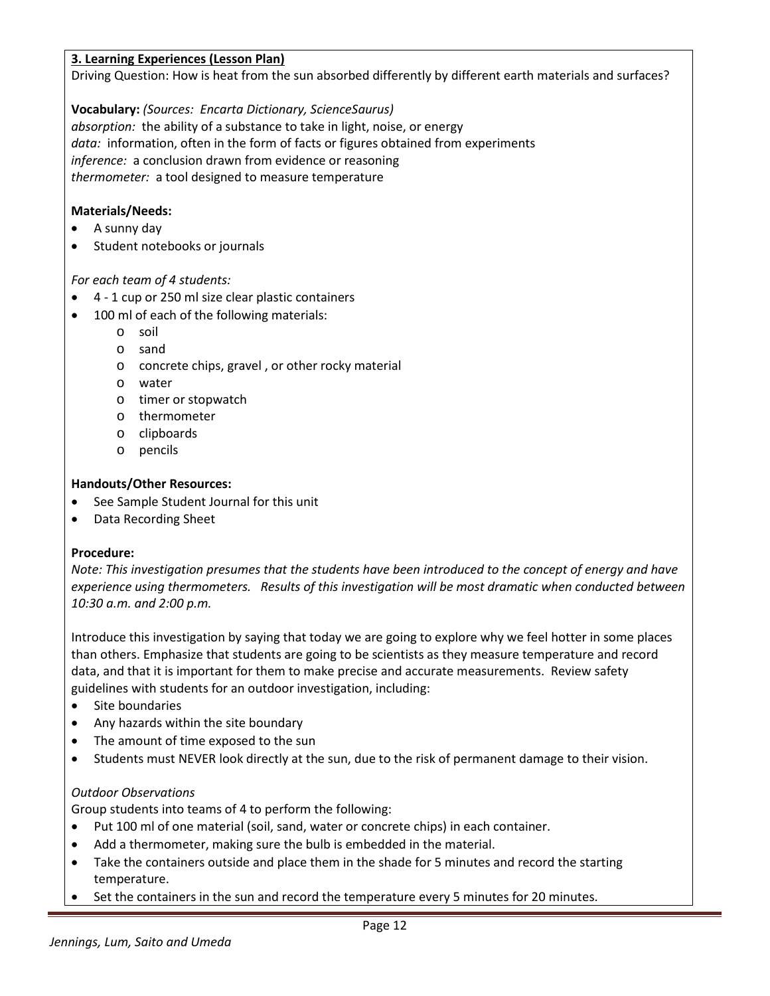# **3. Learning Experiences (Lesson Plan)**

Driving Question: How is heat from the sun absorbed differently by different earth materials and surfaces?

**Vocabulary:** *(Sources: Encarta Dictionary, ScienceSaurus) absorption:* the ability of a substance to take in light, noise, or energy *data:* information, often in the form of facts or figures obtained from experiments *inference:* a conclusion drawn from evidence or reasoning *thermometer:* a tool designed to measure temperature

# **Materials/Needs:**

- A sunny day
- Student notebooks or journals

# *For each team of 4 students:*

- 4 1 cup or 250 ml size clear plastic containers
- 100 ml of each of the following materials:
	- o soil
	- o sand
	- o concrete chips, gravel , or other rocky material
	- o water
	- o timer or stopwatch
	- o thermometer
	- o clipboards
	- o pencils

#### **Handouts/Other Resources:**

- See Sample Student Journal for this unit
- Data Recording Sheet

# **Procedure:**

*Note: This investigation presumes that the students have been introduced to the concept of energy and have experience using thermometers. Results of this investigation will be most dramatic when conducted between 10:30 a.m. and 2:00 p.m.*

Introduce this investigation by saying that today we are going to explore why we feel hotter in some places than others. Emphasize that students are going to be scientists as they measure temperature and record data, and that it is important for them to make precise and accurate measurements. Review safety guidelines with students for an outdoor investigation, including:

- Site boundaries
- Any hazards within the site boundary
- The amount of time exposed to the sun
- Students must NEVER look directly at the sun, due to the risk of permanent damage to their vision.

# *Outdoor Observations*

Group students into teams of 4 to perform the following:

- Put 100 ml of one material (soil, sand, water or concrete chips) in each container.
- Add a thermometer, making sure the bulb is embedded in the material.
- Take the containers outside and place them in the shade for 5 minutes and record the starting temperature.
- Set the containers in the sun and record the temperature every 5 minutes for 20 minutes.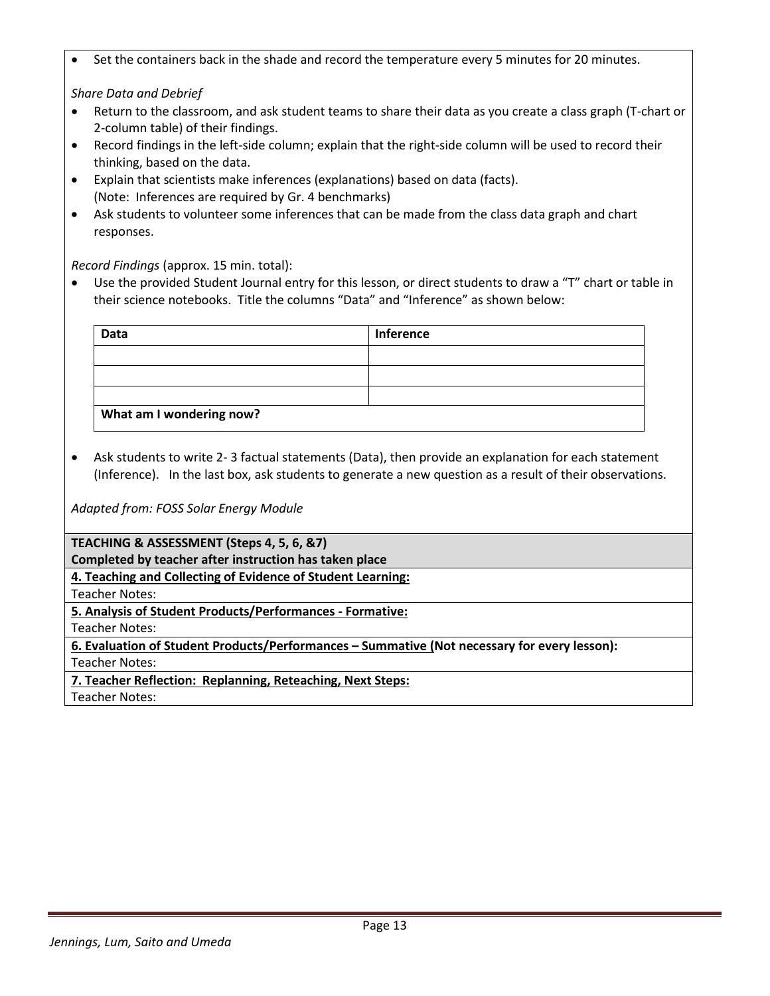• Set the containers back in the shade and record the temperature every 5 minutes for 20 minutes.

*Share Data and Debrief*

- Return to the classroom, and ask student teams to share their data as you create a class graph (T-chart or 2-column table) of their findings.
- Record findings in the left-side column; explain that the right-side column will be used to record their thinking, based on the data.
- Explain that scientists make inferences (explanations) based on data (facts). (Note: Inferences are required by Gr. 4 benchmarks)
- Ask students to volunteer some inferences that can be made from the class data graph and chart responses.

*Record Findings* (approx. 15 min. total):

• Use the provided Student Journal entry for this lesson, or direct students to draw a "T" chart or table in their science notebooks. Title the columns "Data" and "Inference" as shown below:

| Data                     | <b>Inference</b> |
|--------------------------|------------------|
|                          |                  |
|                          |                  |
|                          |                  |
| What am I wondering now? |                  |

• Ask students to write 2- 3 factual statements (Data), then provide an explanation for each statement (Inference). In the last box, ask students to generate a new question as a result of their observations.

*Adapted from: FOSS Solar Energy Module*

**TEACHING & ASSESSMENT (Steps 4, 5, 6, &7)**

**Completed by teacher after instruction has taken place**

**4. Teaching and Collecting of Evidence of Student Learning:**

Teacher Notes:

**5. Analysis of Student Products/Performances - Formative:**

Teacher Notes:

**6. Evaluation of Student Products/Performances – Summative (Not necessary for every lesson):**

Teacher Notes:

**7. Teacher Reflection: Replanning, Reteaching, Next Steps:**

Teacher Notes: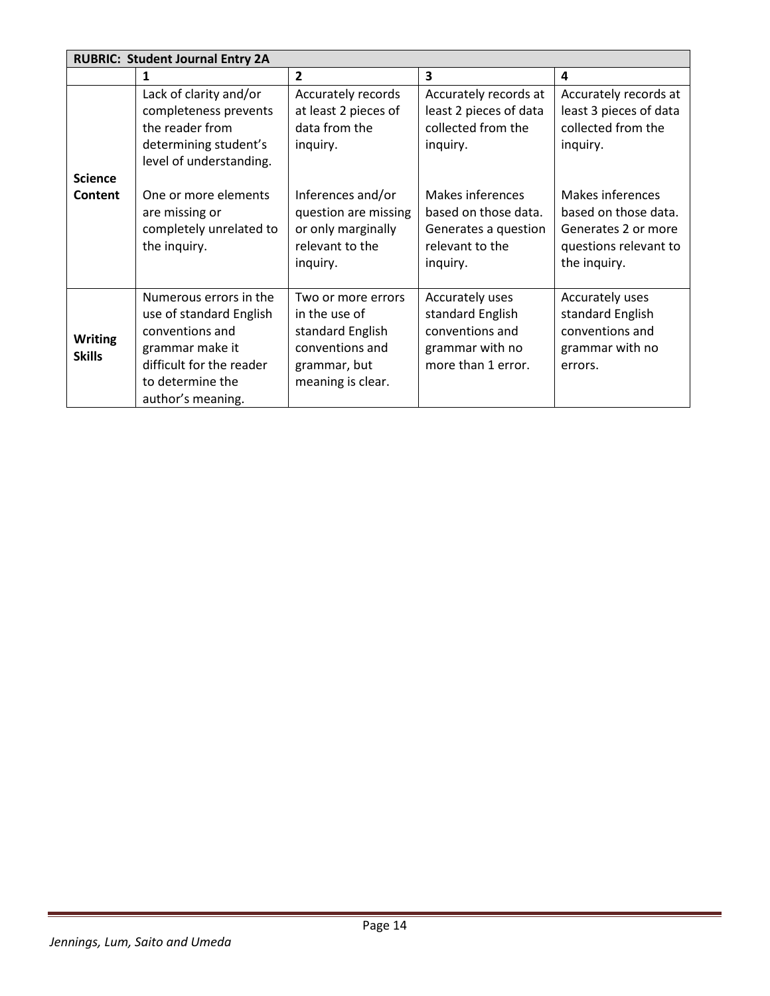|                                 | <b>RUBRIC: Student Journal Entry 2A</b>                                                                                                                      |                                                                                                                 |                                                                                                 |                                                                                                          |
|---------------------------------|--------------------------------------------------------------------------------------------------------------------------------------------------------------|-----------------------------------------------------------------------------------------------------------------|-------------------------------------------------------------------------------------------------|----------------------------------------------------------------------------------------------------------|
|                                 | 1                                                                                                                                                            | $\overline{2}$                                                                                                  | 3                                                                                               | 4                                                                                                        |
| <b>Science</b>                  | Lack of clarity and/or<br>completeness prevents<br>the reader from<br>determining student's<br>level of understanding.                                       | Accurately records<br>at least 2 pieces of<br>data from the<br>inquiry.                                         | Accurately records at<br>least 2 pieces of data<br>collected from the<br>inquiry.               | Accurately records at<br>least 3 pieces of data<br>collected from the<br>inquiry.                        |
| Content                         | One or more elements<br>are missing or<br>completely unrelated to<br>the inquiry.                                                                            | Inferences and/or<br>question are missing<br>or only marginally<br>relevant to the<br>inquiry.                  | Makes inferences<br>based on those data.<br>Generates a question<br>relevant to the<br>inquiry. | Makes inferences<br>based on those data.<br>Generates 2 or more<br>questions relevant to<br>the inquiry. |
| <b>Writing</b><br><b>Skills</b> | Numerous errors in the<br>use of standard English<br>conventions and<br>grammar make it<br>difficult for the reader<br>to determine the<br>author's meaning. | Two or more errors<br>in the use of<br>standard English<br>conventions and<br>grammar, but<br>meaning is clear. | Accurately uses<br>standard English<br>conventions and<br>grammar with no<br>more than 1 error. | Accurately uses<br>standard English<br>conventions and<br>grammar with no<br>errors.                     |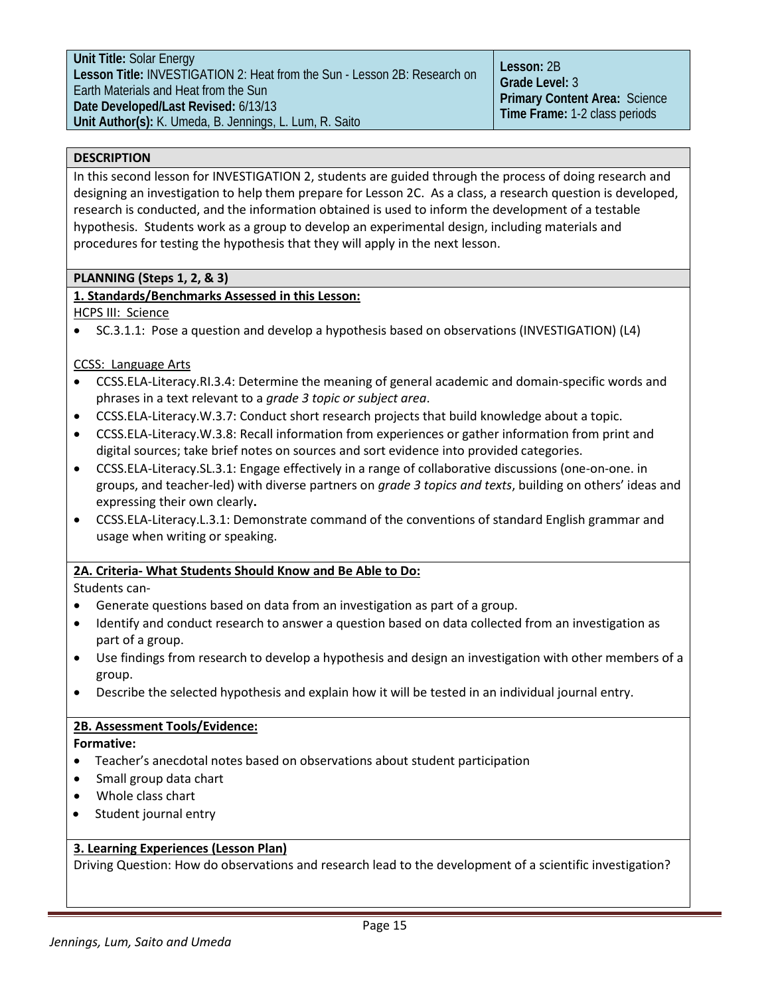**Unit Title:** Solar Energy **Lesson Title:** INVESTIGATION 2: Heat from the Sun - Lesson 2B: Research on Earth Materials and Heat from the Sun **Date Developed/Last Revised:** 6/13/13 **Unit Author(s):** K. Umeda, B. Jennings, L. Lum, R. Saito

# **DESCRIPTION**

In this second lesson for INVESTIGATION 2, students are guided through the process of doing research and designing an investigation to help them prepare for Lesson 2C. As a class, a research question is developed, research is conducted, and the information obtained is used to inform the development of a testable hypothesis. Students work as a group to develop an experimental design, including materials and procedures for testing the hypothesis that they will apply in the next lesson.

# **PLANNING (Steps 1, 2, & 3)**

# **1. Standards/Benchmarks Assessed in this Lesson:**

HCPS III: Science

• SC.3.1.1: Pose a question and develop a hypothesis based on observations (INVESTIGATION) (L4)

# CCSS: Language Arts

- CCSS.ELA-Literacy.RI.3.4: Determine the meaning of general academic and domain-specific words and phrases in a text relevant to a *grade 3 topic or subject area*.
- [CCSS.ELA-Literacy.W.3.7:](http://www.corestandards.org/ELA-Literacy/W/3/7/) Conduct short research projects that build knowledge about a topic.
- [CCSS.ELA-Literacy.W.3.8:](http://www.corestandards.org/ELA-Literacy/W/3/8/) Recall information from experiences or gather information from print and digital sources; take brief notes on sources and sort evidence into provided categories.
- CCSS.ELA-Literacy.SL.3.1: Engage effectively in a range of collaborative discussions (one-on-one. in groups, and teacher-led) with diverse partners on *grade 3 topics and texts*, building on others' ideas and expressing their own clearly**.**
- [CCSS.ELA-Literacy.L.3.](http://www.corestandards.org/ELA-Literacy/L/3/1/)1: Demonstrate command of the conventions of standard English grammar and usage when writing or speaking.

# **2A. Criteria- What Students Should Know and Be Able to Do:**

Students can-

- Generate questions based on data from an investigation as part of a group.
- Identify and conduct research to answer a question based on data collected from an investigation as part of a group.
- Use findings from research to develop a hypothesis and design an investigation with other members of a group.
- Describe the selected hypothesis and explain how it will be tested in an individual journal entry.

# **2B. Assessment Tools/Evidence:**

**Formative:**

- Teacher's anecdotal notes based on observations about student participation
- Small group data chart
- Whole class chart
- Student journal entry

# **3. Learning Experiences (Lesson Plan)**

Driving Question: How do observations and research lead to the development of a scientific investigation?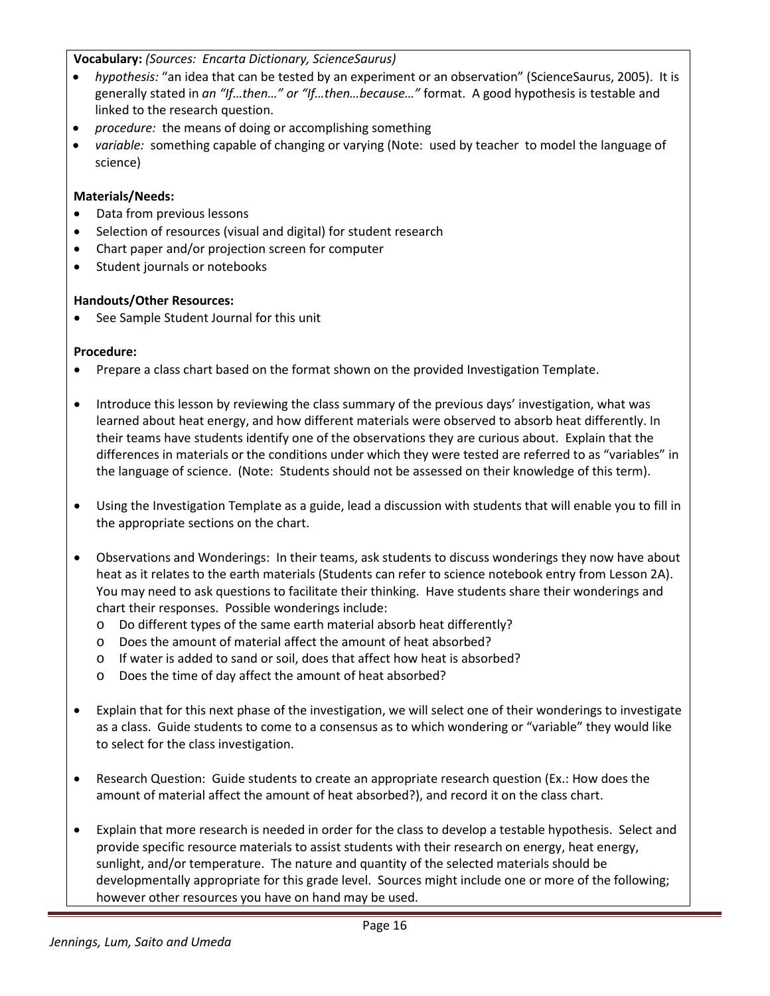**Vocabulary:** *(Sources: Encarta Dictionary, ScienceSaurus)*

- *hypothesis:* "an idea that can be tested by an experiment or an observation" (ScienceSaurus, 2005). It is generally stated in *an "If…then…" or "If…then…because…"* format. A good hypothesis is testable and linked to the research question.
- *procedure:* the means of doing or accomplishing something
- *variable:* something capable of changing or varying (Note: used by teacher to model the language of science)

# **Materials/Needs:**

- Data from previous lessons
- Selection of resources (visual and digital) for student research
- Chart paper and/or projection screen for computer
- Student journals or notebooks

# **Handouts/Other Resources:**

• See Sample Student Journal for this unit

# **Procedure:**

- Prepare a class chart based on the format shown on the provided Investigation Template.
- Introduce this lesson by reviewing the class summary of the previous days' investigation, what was learned about heat energy, and how different materials were observed to absorb heat differently. In their teams have students identify one of the observations they are curious about. Explain that the differences in materials or the conditions under which they were tested are referred to as "variables" in the language of science. (Note: Students should not be assessed on their knowledge of this term).
- Using the Investigation Template as a guide, lead a discussion with students that will enable you to fill in the appropriate sections on the chart.
- Observations and Wonderings: In their teams, ask students to discuss wonderings they now have about heat as it relates to the earth materials (Students can refer to science notebook entry from Lesson 2A). You may need to ask questions to facilitate their thinking. Have students share their wonderings and chart their responses. Possible wonderings include:
	- o Do different types of the same earth material absorb heat differently?
	- o Does the amount of material affect the amount of heat absorbed?
	- o If water is added to sand or soil, does that affect how heat is absorbed?
	- o Does the time of day affect the amount of heat absorbed?
- Explain that for this next phase of the investigation, we will select one of their wonderings to investigate as a class. Guide students to come to a consensus as to which wondering or "variable" they would like to select for the class investigation.
- Research Question: Guide students to create an appropriate research question (Ex.: How does the amount of material affect the amount of heat absorbed?), and record it on the class chart.
- Explain that more research is needed in order for the class to develop a testable hypothesis. Select and provide specific resource materials to assist students with their research on energy, heat energy, sunlight, and/or temperature. The nature and quantity of the selected materials should be developmentally appropriate for this grade level. Sources might include one or more of the following; however other resources you have on hand may be used.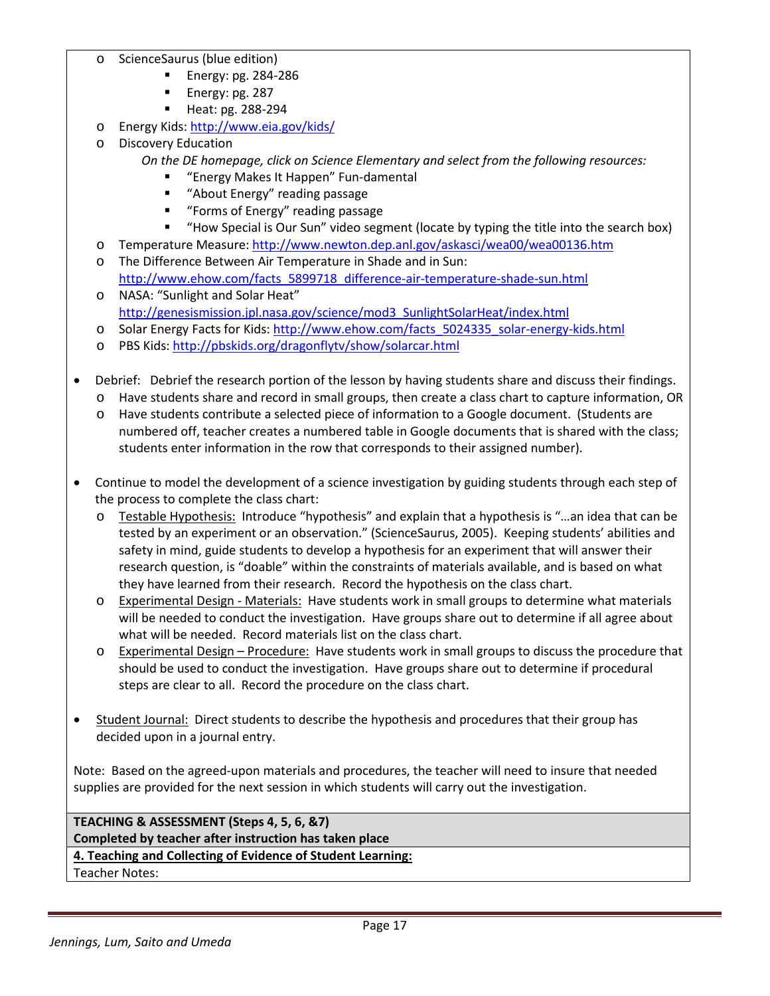- ScienceSaurus (blue edition)
	- **Energy: pg. 284-286**
	- **Energy: pg. 287**
	- Heat: pg. 288-294
- o Energy Kids[: http://www.eia.gov/kids/](http://www.eia.gov/kids/)
- o Discovery Education
	- *On the DE homepage, click on Science Elementary and select from the following resources:*
		- **EXECT:** "Energy Makes It Happen" Fun-damental
		- **"** "About Energy" reading passage
		- **F** "Forms of Energy" reading passage
		- "How Special is Our Sun" video segment (locate by typing the title into the search box)
- o Temperature Measure[: http://www.newton.dep.anl.gov/askasci/wea00/wea00136.htm](http://www.newton.dep.anl.gov/askasci/wea00/wea00136.htm)
- o The Difference Between Air Temperature in Shade and in Sun: [http://www.ehow.com/facts\\_5899718\\_difference-air-temperature-shade-sun.html](http://www.ehow.com/facts_5899718_difference-air-temperature-shade-sun.html)
- o NASA: "Sunlight and Solar Heat" [http://genesismission.jpl.nasa.gov/science/mod3\\_SunlightSolarHeat/index.html](http://genesismission.jpl.nasa.gov/science/mod3_SunlightSolarHeat/index.html)
- o Solar Energy Facts for Kids: [http://www.ehow.com/facts\\_5024335\\_solar-energy-kids.html](http://www.ehow.com/facts_5024335_solar-energy-kids.html)
- o PBS Kids[: http://pbskids.org/dragonflytv/show/solarcar.html](http://pbskids.org/dragonflytv/show/solarcar.html)
- Debrief: Debrief the research portion of the lesson by having students share and discuss their findings.
	- o Have students share and record in small groups, then create a class chart to capture information, OR
	- o Have students contribute a selected piece of information to a Google document. (Students are numbered off, teacher creates a numbered table in Google documents that is shared with the class; students enter information in the row that corresponds to their assigned number).
- Continue to model the development of a science investigation by guiding students through each step of the process to complete the class chart:
	- o Testable Hypothesis: Introduce "hypothesis" and explain that a hypothesis is "…an idea that can be tested by an experiment or an observation." (ScienceSaurus, 2005). Keeping students' abilities and safety in mind, guide students to develop a hypothesis for an experiment that will answer their research question, is "doable" within the constraints of materials available, and is based on what they have learned from their research. Record the hypothesis on the class chart.
	- o Experimental Design Materials: Have students work in small groups to determine what materials will be needed to conduct the investigation. Have groups share out to determine if all agree about what will be needed. Record materials list on the class chart.
	- $\circ$  Experimental Design Procedure: Have students work in small groups to discuss the procedure that should be used to conduct the investigation. Have groups share out to determine if procedural steps are clear to all. Record the procedure on the class chart.
- Student Journal: Direct students to describe the hypothesis and procedures that their group has decided upon in a journal entry.

Note: Based on the agreed-upon materials and procedures, the teacher will need to insure that needed supplies are provided for the next session in which students will carry out the investigation.

**TEACHING & ASSESSMENT (Steps 4, 5, 6, &7) Completed by teacher after instruction has taken place 4. Teaching and Collecting of Evidence of Student Learning:** Teacher Notes: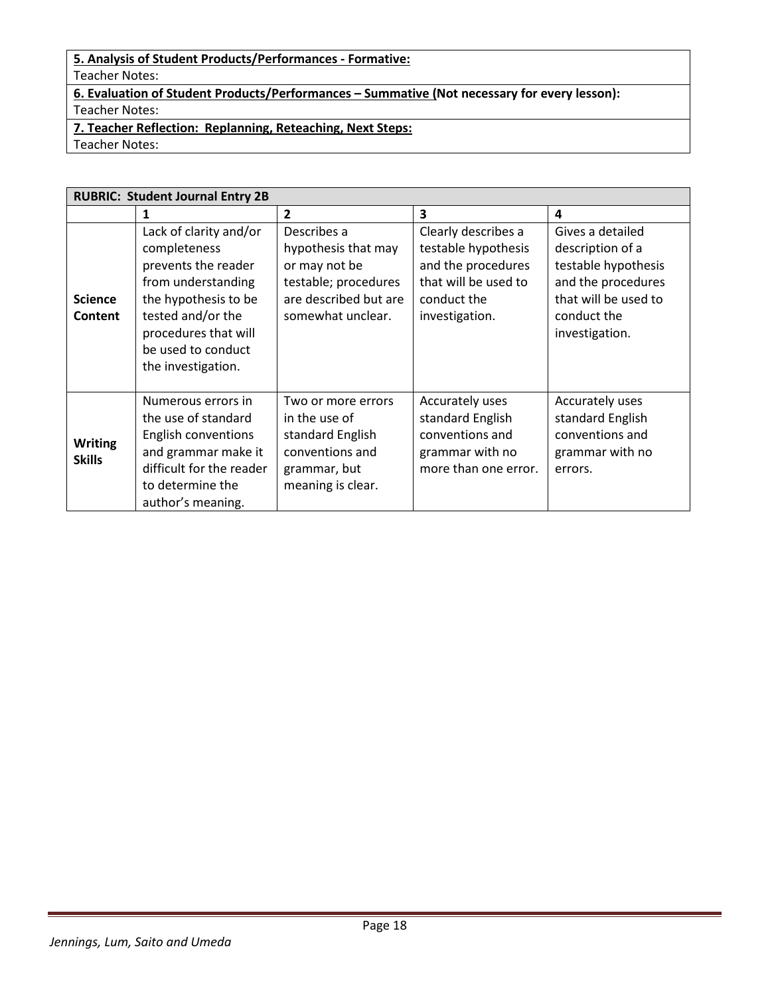# **5. Analysis of Student Products/Performances - Formative:**

Teacher Notes:

**6. Evaluation of Student Products/Performances – Summative (Not necessary for every lesson):** Teacher Notes:

**7. Teacher Reflection: Replanning, Reteaching, Next Steps:** Teacher Notes:

**RUBRIC: Student Journal Entry 2B 1 2 3 4 Science Content** Lack of clarity and/or completeness prevents the reader from understanding the hypothesis to be tested and/or the procedures that will be used to conduct the investigation. Describes a hypothesis that may or may not be testable; procedures are described but are somewhat unclear. Clearly describes a testable hypothesis and the procedures that will be used to conduct the investigation. Gives a detailed description of a testable hypothesis and the procedures that will be used to conduct the investigation. **Writing Skills** Numerous errors in the use of standard English conventions and grammar make it difficult for the reader to determine the author's meaning. Two or more errors in the use of standard English conventions and grammar, but meaning is clear. Accurately uses standard English conventions and grammar with no more than one error. Accurately uses standard English conventions and grammar with no errors.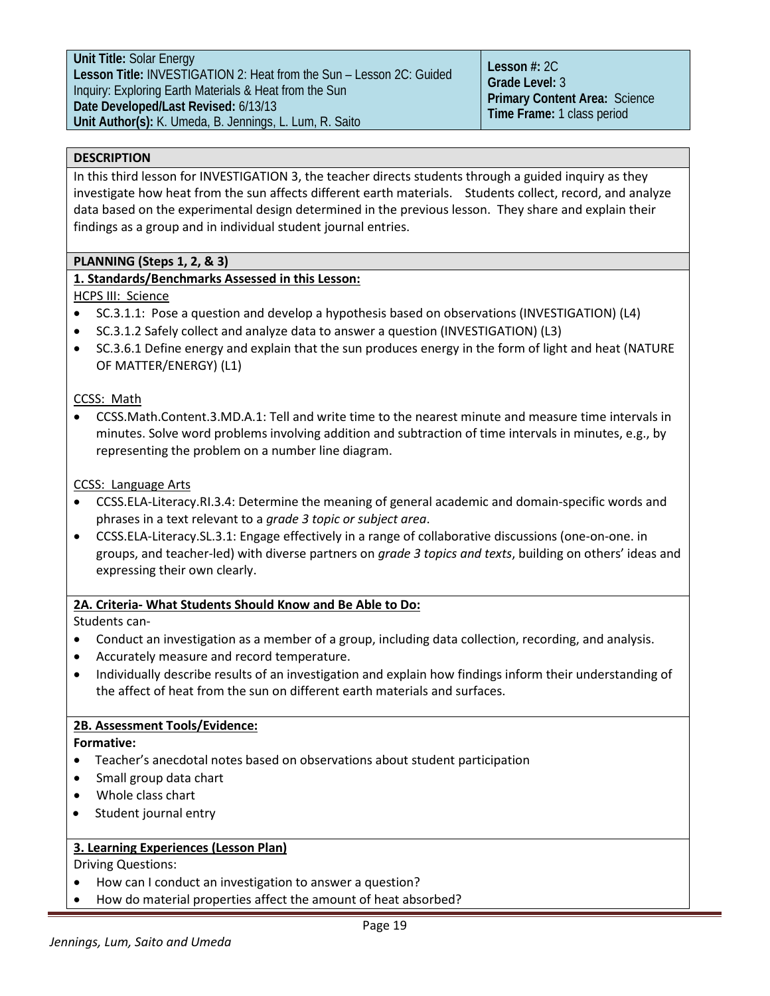**Unit Title:** Solar Energy **Lesson Title:** INVESTIGATION 2: Heat from the Sun – Lesson 2C: Guided Inquiry: Exploring Earth Materials & Heat from the Sun **Date Developed/Last Revised:** 6/13/13 **Unit Author(s):** K. Umeda, B. Jennings, L. Lum, R. Saito

**Lesson #:** 2C **Grade Level:** 3 **Primary Content Area:** Science **Time Frame:** 1 class period

# **DESCRIPTION**

In this third lesson for INVESTIGATION 3, the teacher directs students through a guided inquiry as they investigate how heat from the sun affects different earth materials. Students collect, record, and analyze data based on the experimental design determined in the previous lesson. They share and explain their findings as a group and in individual student journal entries.

# **PLANNING (Steps 1, 2, & 3)**

# **1. Standards/Benchmarks Assessed in this Lesson:**

HCPS III: Science

- SC.3.1.1: Pose a question and develop a hypothesis based on observations (INVESTIGATION) (L4)
- SC.3.1.2 Safely collect and analyze data to answer a question (INVESTIGATION) (L3)
- SC.3.6.1 Define energy and explain that the sun produces energy in the form of light and heat (NATURE OF MATTER/ENERGY) (L1)

# CCSS: Math

• CCSS.Math.Content.3.MD.A.1: Tell and write time to the nearest minute and measure time intervals in minutes. Solve word problems involving addition and subtraction of time intervals in minutes, e.g., by representing the problem on a number line diagram.

# CCSS: Language Arts

- CCSS.ELA-Literacy.RI.3.4: Determine the meaning of general academic and domain-specific words and phrases in a text relevant to a *grade 3 topic or subject area*.
- CCSS.ELA-Literacy.SL.3.1: Engage effectively in a range of collaborative discussions (one-on-one. in groups, and teacher-led) with diverse partners on *grade 3 topics and texts*, building on others' ideas and expressing their own clearly.

# **2A. Criteria- What Students Should Know and Be Able to Do:**

Students can-

- Conduct an investigation as a member of a group, including data collection, recording, and analysis.
- Accurately measure and record temperature.
- Individually describe results of an investigation and explain how findings inform their understanding of the affect of heat from the sun on different earth materials and surfaces.

# **2B. Assessment Tools/Evidence:**

# **Formative:**

- Teacher's anecdotal notes based on observations about student participation
- Small group data chart
- Whole class chart
- Student journal entry

# **3. Learning Experiences (Lesson Plan)**

Driving Questions:

- How can I conduct an investigation to answer a question?
- How do material properties affect the amount of heat absorbed?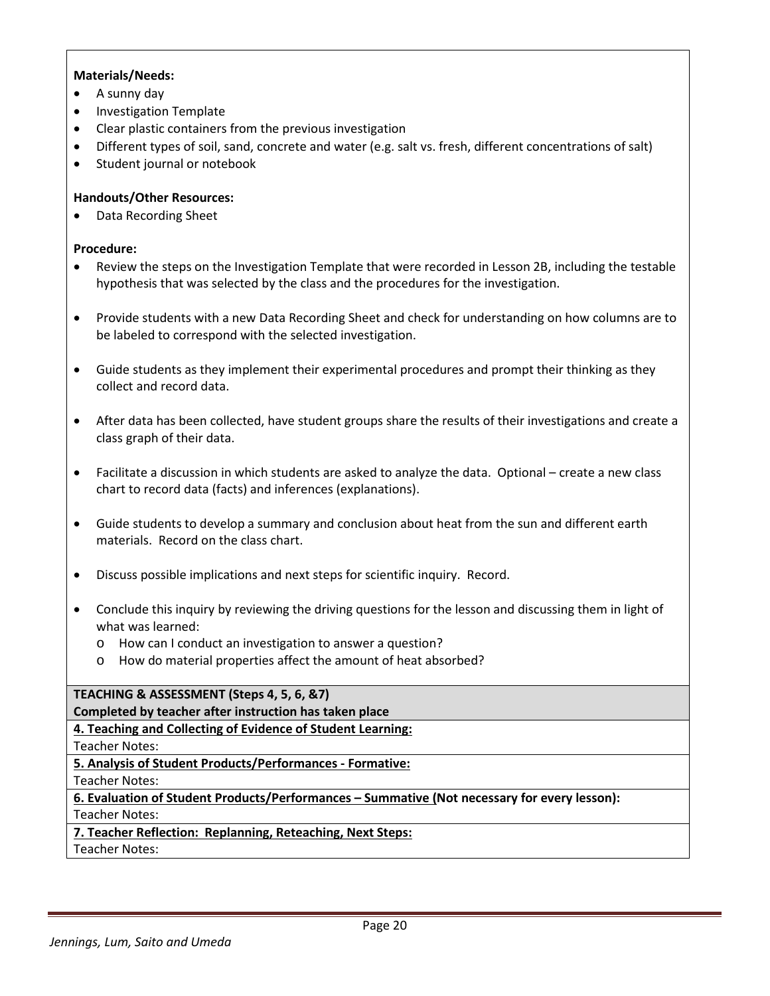# **Materials/Needs:**

- A sunny day
- Investigation Template
- Clear plastic containers from the previous investigation
- Different types of soil, sand, concrete and water (e.g. salt vs. fresh, different concentrations of salt)
- Student journal or notebook

# **Handouts/Other Resources:**

• Data Recording Sheet

# **Procedure:**

- Review the steps on the Investigation Template that were recorded in Lesson 2B, including the testable hypothesis that was selected by the class and the procedures for the investigation.
- Provide students with a new Data Recording Sheet and check for understanding on how columns are to be labeled to correspond with the selected investigation.
- Guide students as they implement their experimental procedures and prompt their thinking as they collect and record data.
- After data has been collected, have student groups share the results of their investigations and create a class graph of their data.
- Facilitate a discussion in which students are asked to analyze the data. Optional create a new class chart to record data (facts) and inferences (explanations).
- Guide students to develop a summary and conclusion about heat from the sun and different earth materials. Record on the class chart.
- Discuss possible implications and next steps for scientific inquiry. Record.
- Conclude this inquiry by reviewing the driving questions for the lesson and discussing them in light of what was learned:
	- o How can I conduct an investigation to answer a question?
	- o How do material properties affect the amount of heat absorbed?

# **TEACHING & ASSESSMENT (Steps 4, 5, 6, &7)**

**Completed by teacher after instruction has taken place**

**4. Teaching and Collecting of Evidence of Student Learning:**

Teacher Notes:

**5. Analysis of Student Products/Performances - Formative:**

Teacher Notes:

# **6. Evaluation of Student Products/Performances – Summative (Not necessary for every lesson):** Teacher Notes:

# **7. Teacher Reflection: Replanning, Reteaching, Next Steps:**

Teacher Notes: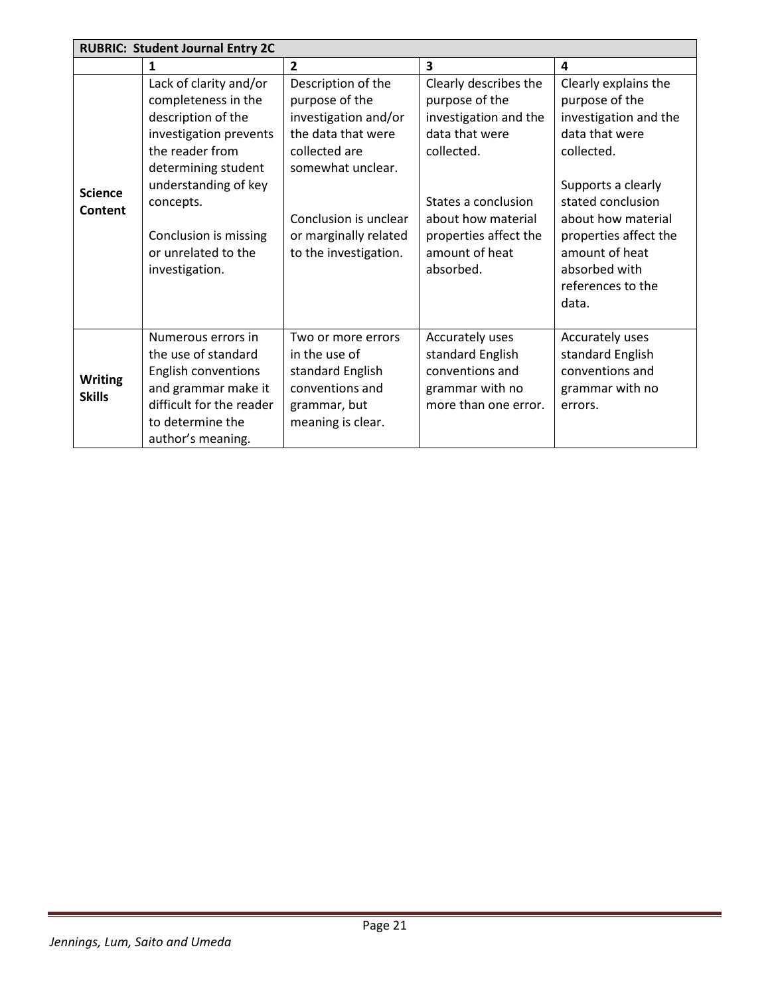|                                 | <b>RUBRIC: Student Journal Entry 2C</b>                                                                                                                                                                                                        |                                                                                                                                                                                                     |                                                                                                                                                                                                       |                                                                                                                                                                                                                                                            |
|---------------------------------|------------------------------------------------------------------------------------------------------------------------------------------------------------------------------------------------------------------------------------------------|-----------------------------------------------------------------------------------------------------------------------------------------------------------------------------------------------------|-------------------------------------------------------------------------------------------------------------------------------------------------------------------------------------------------------|------------------------------------------------------------------------------------------------------------------------------------------------------------------------------------------------------------------------------------------------------------|
|                                 | 1                                                                                                                                                                                                                                              | $\overline{2}$                                                                                                                                                                                      | $\overline{\mathbf{3}}$                                                                                                                                                                               | 4                                                                                                                                                                                                                                                          |
| <b>Science</b><br>Content       | Lack of clarity and/or<br>completeness in the<br>description of the<br>investigation prevents<br>the reader from<br>determining student<br>understanding of key<br>concepts.<br>Conclusion is missing<br>or unrelated to the<br>investigation. | Description of the<br>purpose of the<br>investigation and/or<br>the data that were<br>collected are<br>somewhat unclear.<br>Conclusion is unclear<br>or marginally related<br>to the investigation. | Clearly describes the<br>purpose of the<br>investigation and the<br>data that were<br>collected.<br>States a conclusion<br>about how material<br>properties affect the<br>amount of heat<br>absorbed. | Clearly explains the<br>purpose of the<br>investigation and the<br>data that were<br>collected.<br>Supports a clearly<br>stated conclusion<br>about how material<br>properties affect the<br>amount of heat<br>absorbed with<br>references to the<br>data. |
| <b>Writing</b><br><b>Skills</b> | Numerous errors in<br>the use of standard<br><b>English conventions</b><br>and grammar make it<br>difficult for the reader<br>to determine the<br>author's meaning.                                                                            | Two or more errors<br>in the use of<br>standard English<br>conventions and<br>grammar, but<br>meaning is clear.                                                                                     | Accurately uses<br>standard English<br>conventions and<br>grammar with no<br>more than one error.                                                                                                     | Accurately uses<br>standard English<br>conventions and<br>grammar with no<br>errors.                                                                                                                                                                       |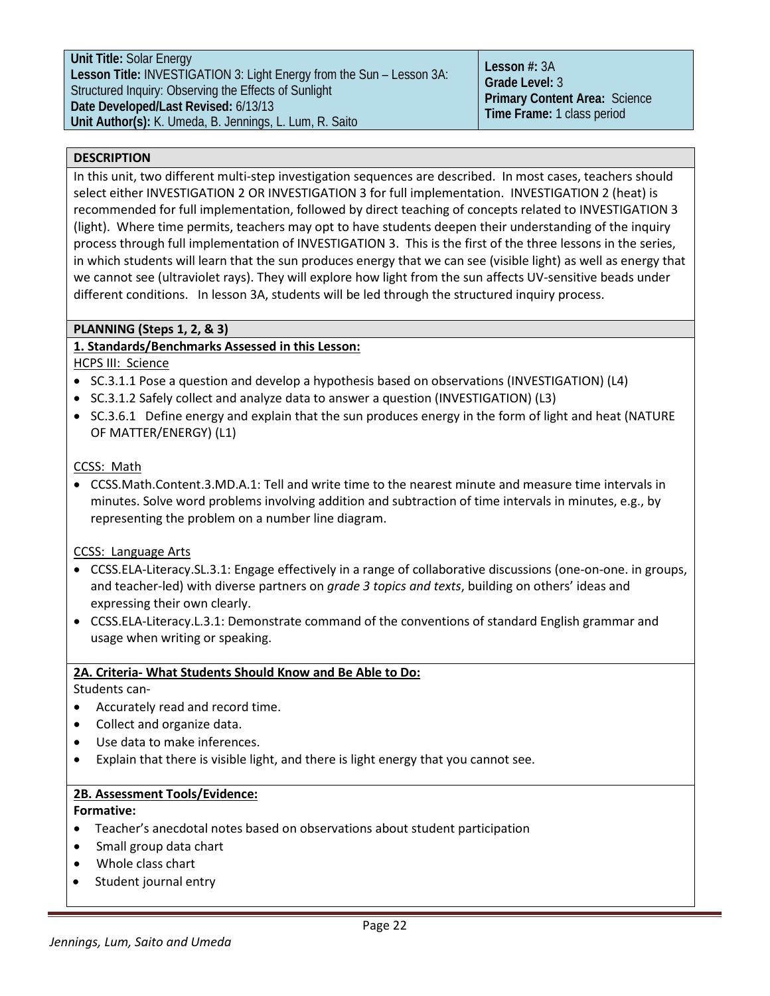# **DESCRIPTION**

In this unit, two different multi-step investigation sequences are described. In most cases, teachers should select either INVESTIGATION 2 OR INVESTIGATION 3 for full implementation. INVESTIGATION 2 (heat) is recommended for full implementation, followed by direct teaching of concepts related to INVESTIGATION 3 (light). Where time permits, teachers may opt to have students deepen their understanding of the inquiry process through full implementation of INVESTIGATION 3. This is the first of the three lessons in the series, in which students will learn that the sun produces energy that we can see (visible light) as well as energy that we cannot see (ultraviolet rays). They will explore how light from the sun affects UV-sensitive beads under different conditions. In lesson 3A, students will be led through the structured inquiry process.

# **PLANNING (Steps 1, 2, & 3)**

# **1. Standards/Benchmarks Assessed in this Lesson:**

HCPS III: Science

- SC.3.1.1 Pose a question and develop a hypothesis based on observations (INVESTIGATION) (L4)
- SC.3.1.2 Safely collect and analyze data to answer a question (INVESTIGATION) (L3)
- SC.3.6.1 Define energy and explain that the sun produces energy in the form of light and heat (NATURE OF MATTER/ENERGY) (L1)

# CCSS: Math

• CCSS.Math.Content.3.MD.A.1: Tell and write time to the nearest minute and measure time intervals in minutes. Solve word problems involving addition and subtraction of time intervals in minutes, e.g., by representing the problem on a number line diagram.

# CCSS: Language Arts

- CCSS.ELA-Literacy.SL.3.1: Engage effectively in a range of collaborative discussions (one-on-one. in groups, and teacher-led) with diverse partners on *grade 3 topics and texts*, building on others' ideas and expressing their own clearly.
- [CCSS.ELA-Literacy.L.3.](http://www.corestandards.org/ELA-Literacy/L/3/1/)1: Demonstrate command of the conventions of standard English grammar and usage when writing or speaking.

# **2A. Criteria- What Students Should Know and Be Able to Do:**

Students can-

- Accurately read and record time.
- Collect and organize data.
- Use data to make inferences.
- Explain that there is visible light, and there is light energy that you cannot see.

# **2B. Assessment Tools/Evidence:**

# **Formative:**

- Teacher's anecdotal notes based on observations about student participation
- Small group data chart
- Whole class chart
- Student journal entry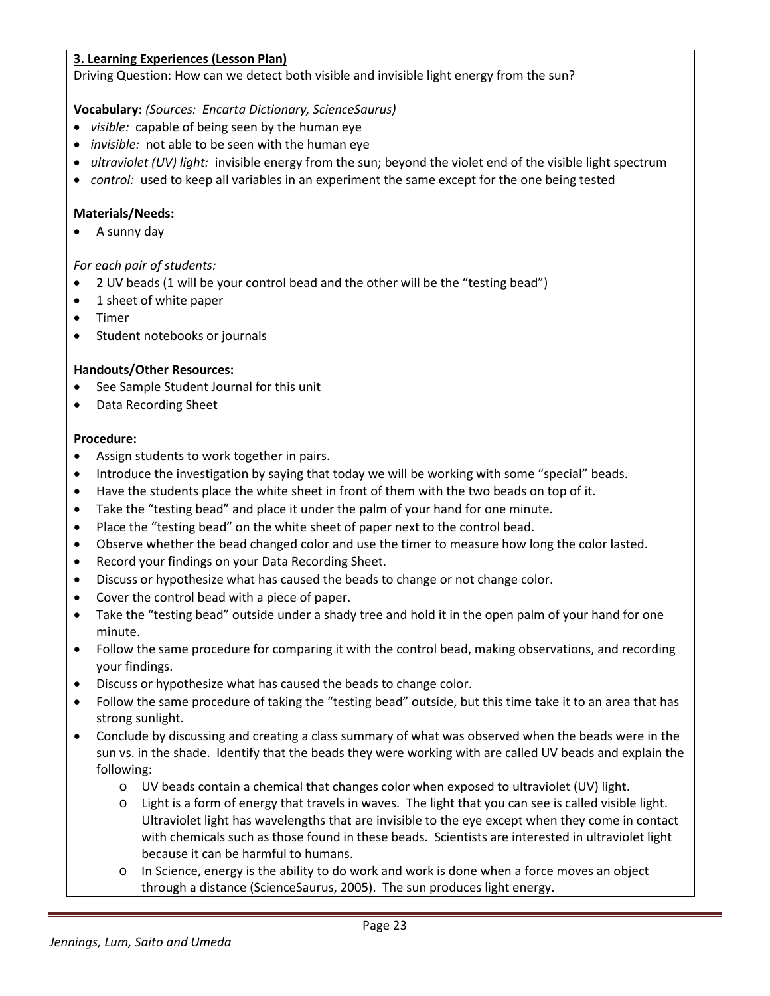# **3. Learning Experiences (Lesson Plan)**

Driving Question: How can we detect both visible and invisible light energy from the sun?

# **Vocabulary:** *(Sources: Encarta Dictionary, ScienceSaurus)*

- *visible:* capable of being seen by the human eye
- *invisible:* not able to be seen with the human eye
- *ultraviolet (UV) light:* invisible energy from the sun; beyond the violet end of the visible light spectrum
- *control:* used to keep all variables in an experiment the same except for the one being tested

# **Materials/Needs:**

• A sunny day

# *For each pair of students:*

- 2 UV beads (1 will be your control bead and the other will be the "testing bead")
- 1 sheet of white paper
- Timer
- Student notebooks or journals

# **Handouts/Other Resources:**

- See Sample Student Journal for this unit
- Data Recording Sheet

# **Procedure:**

- Assign students to work together in pairs.
- Introduce the investigation by saying that today we will be working with some "special" beads.
- Have the students place the white sheet in front of them with the two beads on top of it.
- Take the "testing bead" and place it under the palm of your hand for one minute.
- Place the "testing bead" on the white sheet of paper next to the control bead.
- Observe whether the bead changed color and use the timer to measure how long the color lasted.
- Record your findings on your Data Recording Sheet.
- Discuss or hypothesize what has caused the beads to change or not change color.
- Cover the control bead with a piece of paper.
- Take the "testing bead" outside under a shady tree and hold it in the open palm of your hand for one minute.
- Follow the same procedure for comparing it with the control bead, making observations, and recording your findings.
- Discuss or hypothesize what has caused the beads to change color.
- Follow the same procedure of taking the "testing bead" outside, but this time take it to an area that has strong sunlight.
- Conclude by discussing and creating a class summary of what was observed when the beads were in the sun vs. in the shade. Identify that the beads they were working with are called UV beads and explain the following:
	- o UV beads contain a chemical that changes color when exposed to ultraviolet (UV) light.
	- o Light is a form of energy that travels in waves. The light that you can see is called visible light. Ultraviolet light has wavelengths that are invisible to the eye except when they come in contact with chemicals such as those found in these beads. Scientists are interested in ultraviolet light because it can be harmful to humans.
	- o In Science, energy is the ability to do work and work is done when a force moves an object through a distance (ScienceSaurus, 2005). The sun produces light energy.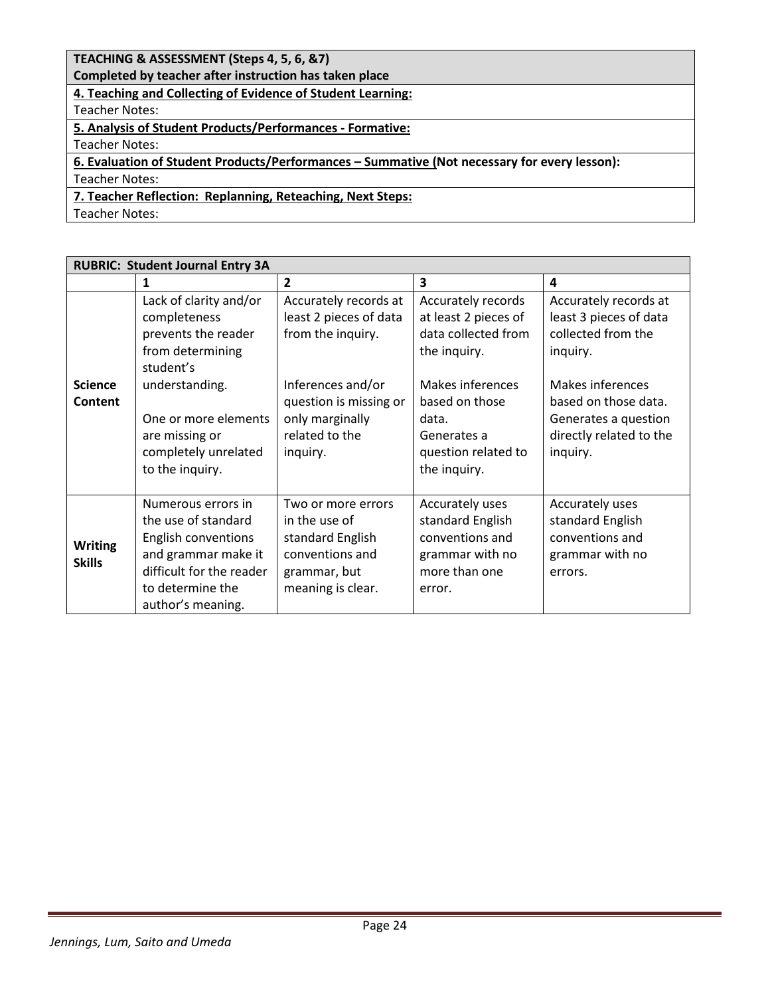# **TEACHING & ASSESSMENT (Steps 4, 5, 6, &7)**

**Completed by teacher after instruction has taken place**

**4. Teaching and Collecting of Evidence of Student Learning:**

Teacher Notes:

**5. Analysis of Student Products/Performances - Formative:**

Teacher Notes:

# **6. Evaluation of Student Products/Performances – Summative (Not necessary for every lesson):** Teacher Notes:

# **7. Teacher Reflection: Replanning, Reteaching, Next Steps:**

Teacher Notes:

| <b>RUBRIC: Student Journal Entry 3A</b> |                                                                                                                                                                                                       |                                                                                                                                                                      |                                                                                                                                                                                        |                                                                                                                                                                                              |
|-----------------------------------------|-------------------------------------------------------------------------------------------------------------------------------------------------------------------------------------------------------|----------------------------------------------------------------------------------------------------------------------------------------------------------------------|----------------------------------------------------------------------------------------------------------------------------------------------------------------------------------------|----------------------------------------------------------------------------------------------------------------------------------------------------------------------------------------------|
|                                         | 1                                                                                                                                                                                                     | $\overline{2}$                                                                                                                                                       | $\overline{\mathbf{3}}$                                                                                                                                                                | 4                                                                                                                                                                                            |
| <b>Science</b><br>Content               | Lack of clarity and/or<br>completeness<br>prevents the reader<br>from determining<br>student's<br>understanding.<br>One or more elements<br>are missing or<br>completely unrelated<br>to the inquiry. | Accurately records at<br>least 2 pieces of data<br>from the inquiry.<br>Inferences and/or<br>question is missing or<br>only marginally<br>related to the<br>inquiry. | Accurately records<br>at least 2 pieces of<br>data collected from<br>the inquiry.<br>Makes inferences<br>based on those<br>data.<br>Generates a<br>question related to<br>the inquiry. | Accurately records at<br>least 3 pieces of data<br>collected from the<br>inquiry.<br>Makes inferences<br>based on those data.<br>Generates a question<br>directly related to the<br>inquiry. |
| <b>Writing</b><br><b>Skills</b>         | Numerous errors in<br>the use of standard<br>English conventions<br>and grammar make it<br>difficult for the reader<br>to determine the<br>author's meaning.                                          | Two or more errors<br>in the use of<br>standard English<br>conventions and<br>grammar, but<br>meaning is clear.                                                      | Accurately uses<br>standard English<br>conventions and<br>grammar with no<br>more than one<br>error.                                                                                   | Accurately uses<br>standard English<br>conventions and<br>grammar with no<br>errors.                                                                                                         |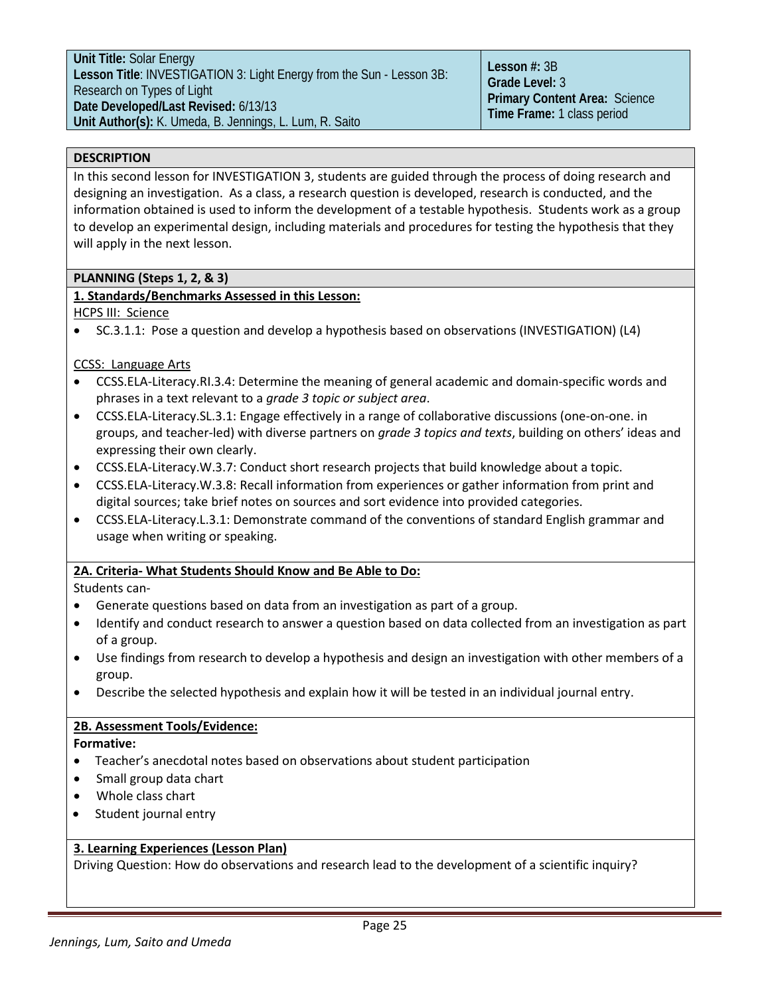# **DESCRIPTION**

In this second lesson for INVESTIGATION 3, students are guided through the process of doing research and designing an investigation. As a class, a research question is developed, research is conducted, and the information obtained is used to inform the development of a testable hypothesis. Students work as a group to develop an experimental design, including materials and procedures for testing the hypothesis that they will apply in the next lesson.

# **PLANNING (Steps 1, 2, & 3)**

# **1. Standards/Benchmarks Assessed in this Lesson:**

HCPS III: Science

• SC.3.1.1: Pose a question and develop a hypothesis based on observations (INVESTIGATION) (L4)

# CCSS: Language Arts

- CCSS.ELA-Literacy.RI.3.4: Determine the meaning of general academic and domain-specific words and phrases in a text relevant to a *grade 3 topic or subject area*.
- CCSS.ELA-Literacy.SL.3.1: Engage effectively in a range of collaborative discussions (one-on-one. in groups, and teacher-led) with diverse partners on *grade 3 topics and texts*, building on others' ideas and expressing their own clearly.
- [CCSS.ELA-Literacy.W.3.7:](http://www.corestandards.org/ELA-Literacy/W/3/7/) Conduct short research projects that build knowledge about a topic.
- [CCSS.ELA-Literacy.W.3.8:](http://www.corestandards.org/ELA-Literacy/W/3/8/) Recall information from experiences or gather information from print and digital sources; take brief notes on sources and sort evidence into provided categories.
- [CCSS.ELA-Literacy.L.3.](http://www.corestandards.org/ELA-Literacy/L/3/1/)1: Demonstrate command of the conventions of standard English grammar and usage when writing or speaking.

# **2A. Criteria- What Students Should Know and Be Able to Do:**

Students can-

- Generate questions based on data from an investigation as part of a group.
- Identify and conduct research to answer a question based on data collected from an investigation as part of a group.
- Use findings from research to develop a hypothesis and design an investigation with other members of a group.
- Describe the selected hypothesis and explain how it will be tested in an individual journal entry.

# **2B. Assessment Tools/Evidence:**

**Formative:**

- Teacher's anecdotal notes based on observations about student participation
- Small group data chart
- Whole class chart
- Student journal entry

# **3. Learning Experiences (Lesson Plan)**

Driving Question: How do observations and research lead to the development of a scientific inquiry?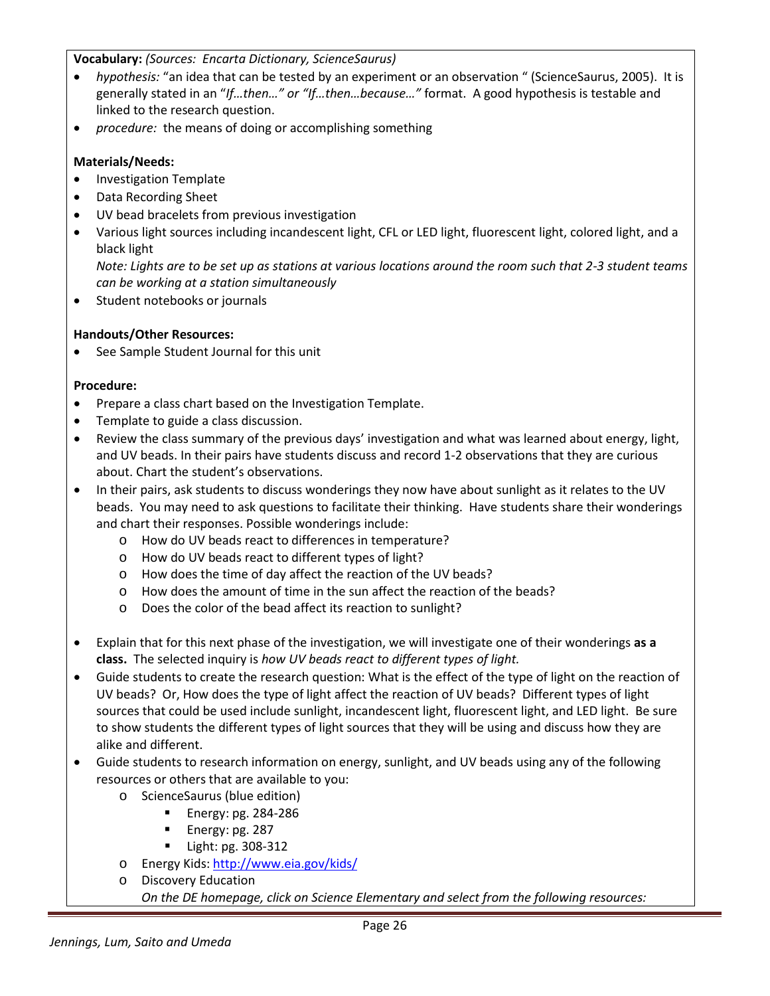**Vocabulary:** *(Sources: Encarta Dictionary, ScienceSaurus)*

- *hypothesis:* "an idea that can be tested by an experiment or an observation " (ScienceSaurus, 2005). It is generally stated in an "*If…then…" or "If…then…because…"* format. A good hypothesis is testable and linked to the research question.
- *procedure:* the means of doing or accomplishing something

# **Materials/Needs:**

- Investigation Template
- Data Recording Sheet
- UV bead bracelets from previous investigation
- Various light sources including incandescent light, CFL or LED light, fluorescent light, colored light, and a black light

*Note: Lights are to be set up as stations at various locations around the room such that 2-3 student teams can be working at a station simultaneously*

Student notebooks or journals

# **Handouts/Other Resources:**

• See Sample Student Journal for this unit

# **Procedure:**

- Prepare a class chart based on the Investigation Template.
- Template to guide a class discussion.
- Review the class summary of the previous days' investigation and what was learned about energy, light, and UV beads. In their pairs have students discuss and record 1-2 observations that they are curious about. Chart the student's observations.
- In their pairs, ask students to discuss wonderings they now have about sunlight as it relates to the UV beads. You may need to ask questions to facilitate their thinking. Have students share their wonderings and chart their responses. Possible wonderings include:
	- o How do UV beads react to differences in temperature?
	- o How do UV beads react to different types of light?
	- o How does the time of day affect the reaction of the UV beads?
	- o How does the amount of time in the sun affect the reaction of the beads?
	- o Does the color of the bead affect its reaction to sunlight?
- Explain that for this next phase of the investigation, we will investigate one of their wonderings **as a class.** The selected inquiry is *how UV beads react to different types of light.*
- Guide students to create the research question: What is the effect of the type of light on the reaction of UV beads? Or, How does the type of light affect the reaction of UV beads? Different types of light sources that could be used include sunlight, incandescent light, fluorescent light, and LED light. Be sure to show students the different types of light sources that they will be using and discuss how they are alike and different.
- Guide students to research information on energy, sunlight, and UV beads using any of the following resources or others that are available to you:
	- o ScienceSaurus (blue edition)
		- **Energy: pg. 284-286**
		- Energy: pg. 287
		- Light: pg. 308-312
	- o Energy Kids[: http://www.eia.gov/kids/](http://www.eia.gov/kids/)
	- o Discovery Education

*On the DE homepage, click on Science Elementary and select from the following resources:*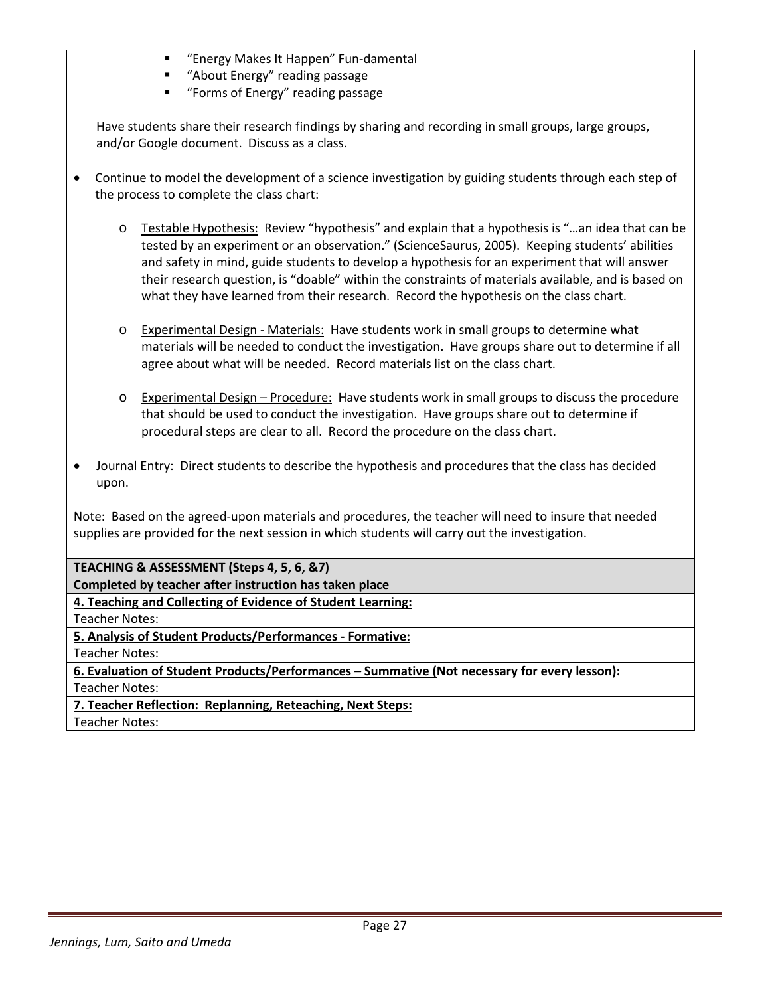- "Energy Makes It Happen" Fun-damental
- "About Energy" reading passage
- **"** "Forms of Energy" reading passage

Have students share their research findings by sharing and recording in small groups, large groups, and/or Google document. Discuss as a class.

- Continue to model the development of a science investigation by guiding students through each step of the process to complete the class chart:
	- o Testable Hypothesis: Review "hypothesis" and explain that a hypothesis is "…an idea that can be tested by an experiment or an observation." (ScienceSaurus, 2005). Keeping students' abilities and safety in mind, guide students to develop a hypothesis for an experiment that will answer their research question, is "doable" within the constraints of materials available, and is based on what they have learned from their research. Record the hypothesis on the class chart.
	- o Experimental Design Materials: Have students work in small groups to determine what materials will be needed to conduct the investigation. Have groups share out to determine if all agree about what will be needed. Record materials list on the class chart.
	- o Experimental Design Procedure: Have students work in small groups to discuss the procedure that should be used to conduct the investigation. Have groups share out to determine if procedural steps are clear to all. Record the procedure on the class chart.
- Journal Entry: Direct students to describe the hypothesis and procedures that the class has decided upon.

Note: Based on the agreed-upon materials and procedures, the teacher will need to insure that needed supplies are provided for the next session in which students will carry out the investigation.

**TEACHING & ASSESSMENT (Steps 4, 5, 6, &7) Completed by teacher after instruction has taken place**

**4. Teaching and Collecting of Evidence of Student Learning:**

Teacher Notes:

**5. Analysis of Student Products/Performances - Formative:**

Teacher Notes:

**6. Evaluation of Student Products/Performances – Summative (Not necessary for every lesson):** Teacher Notes:

**7. Teacher Reflection: Replanning, Reteaching, Next Steps:**

Teacher Notes: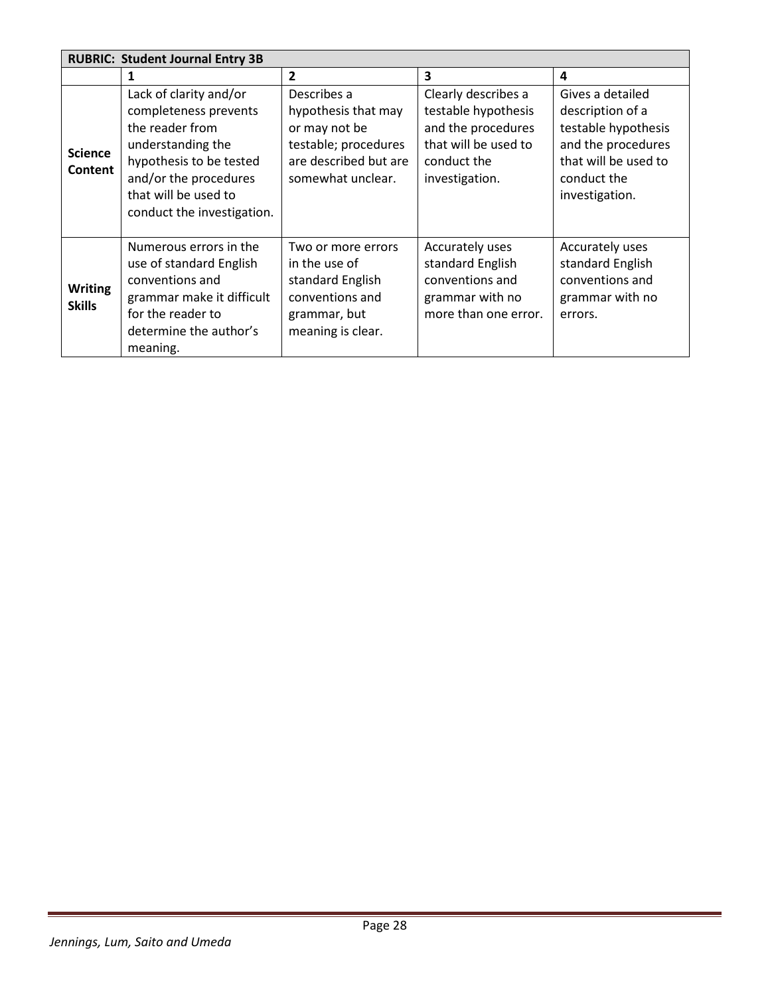| <b>RUBRIC: Student Journal Entry 3B</b> |                                                                                                                                                                                                   |                                                                                                                           |                                                                                                                           |                                                                                                                                            |
|-----------------------------------------|---------------------------------------------------------------------------------------------------------------------------------------------------------------------------------------------------|---------------------------------------------------------------------------------------------------------------------------|---------------------------------------------------------------------------------------------------------------------------|--------------------------------------------------------------------------------------------------------------------------------------------|
|                                         | 1                                                                                                                                                                                                 | $\overline{2}$                                                                                                            | 3                                                                                                                         | 4                                                                                                                                          |
| <b>Science</b><br>Content               | Lack of clarity and/or<br>completeness prevents<br>the reader from<br>understanding the<br>hypothesis to be tested<br>and/or the procedures<br>that will be used to<br>conduct the investigation. | Describes a<br>hypothesis that may<br>or may not be<br>testable; procedures<br>are described but are<br>somewhat unclear. | Clearly describes a<br>testable hypothesis<br>and the procedures<br>that will be used to<br>conduct the<br>investigation. | Gives a detailed<br>description of a<br>testable hypothesis<br>and the procedures<br>that will be used to<br>conduct the<br>investigation. |
| <b>Writing</b><br><b>Skills</b>         | Numerous errors in the<br>use of standard English<br>conventions and<br>grammar make it difficult<br>for the reader to<br>determine the author's<br>meaning.                                      | Two or more errors<br>in the use of<br>standard English<br>conventions and<br>grammar, but<br>meaning is clear.           | Accurately uses<br>standard English<br>conventions and<br>grammar with no<br>more than one error.                         | Accurately uses<br>standard English<br>conventions and<br>grammar with no<br>errors.                                                       |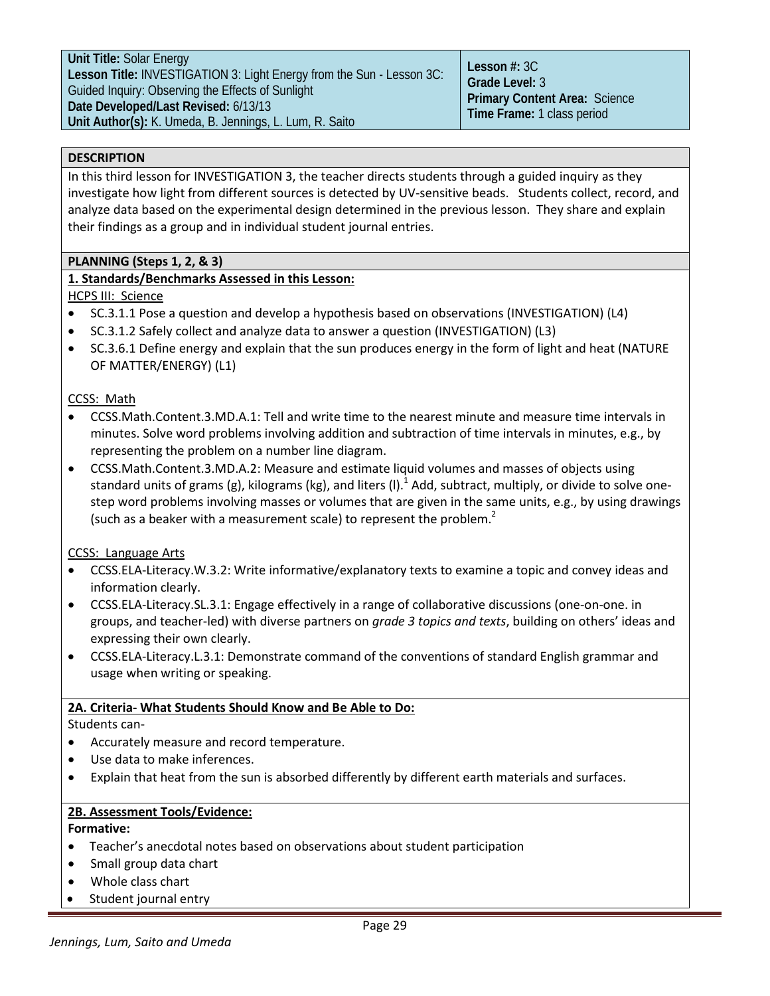# **DESCRIPTION**

In this third lesson for INVESTIGATION 3, the teacher directs students through a guided inquiry as they investigate how light from different sources is detected by UV-sensitive beads. Students collect, record, and analyze data based on the experimental design determined in the previous lesson. They share and explain their findings as a group and in individual student journal entries.

# **PLANNING (Steps 1, 2, & 3)**

# **1. Standards/Benchmarks Assessed in this Lesson:**

HCPS III: Science

- SC.3.1.1 Pose a question and develop a hypothesis based on observations (INVESTIGATION) (L4)
- SC.3.1.2 Safely collect and analyze data to answer a question (INVESTIGATION) (L3)
- SC.3.6.1 Define energy and explain that the sun produces energy in the form of light and heat (NATURE OF MATTER/ENERGY) (L1)

# CCSS: Math

- CCSS.Math.Content.3.MD.A.1: Tell and write time to the nearest minute and measure time intervals in minutes. Solve word problems involving addition and subtraction of time intervals in minutes, e.g., by representing the problem on a number line diagram.
- [CCSS.Math.Content.3.MD.A.2:](http://www.corestandards.org/Math/Content/3/MD/A/2) Measure and estimate liquid volumes and masses of objects using standard units of grams (g), kilograms (kg), and liters (I).<sup>1</sup> Add, subtract, multiply, or divide to solve onestep word problems involving masses or volumes that are given in the same units, e.g., by using drawings (such as a beaker with a measurement scale) to represent the problem. $<sup>2</sup>$ </sup>

CCSS: Language Arts

- [CCSS.ELA-Literacy.W.3.2:](http://www.corestandards.org/ELA-Literacy/W/3/2/) Write informative/explanatory texts to examine a topic and convey ideas and information clearly.
- CCSS.ELA-Literacy.SL.3.1: Engage effectively in a range of collaborative discussions (one-on-one. in groups, and teacher-led) with diverse partners on *grade 3 topics and texts*, building on others' ideas and expressing their own clearly.
- [CCSS.ELA-Literacy.L.3.](http://www.corestandards.org/ELA-Literacy/L/3/1/)1: Demonstrate command of the conventions of standard English grammar and usage when writing or speaking.

# **2A. Criteria- What Students Should Know and Be Able to Do:**

Students can-

- Accurately measure and record temperature.
- Use data to make inferences.
- Explain that heat from the sun is absorbed differently by different earth materials and surfaces.

# **2B. Assessment Tools/Evidence:**

# **Formative:**

- Teacher's anecdotal notes based on observations about student participation
- Small group data chart
- Whole class chart
- Student journal entry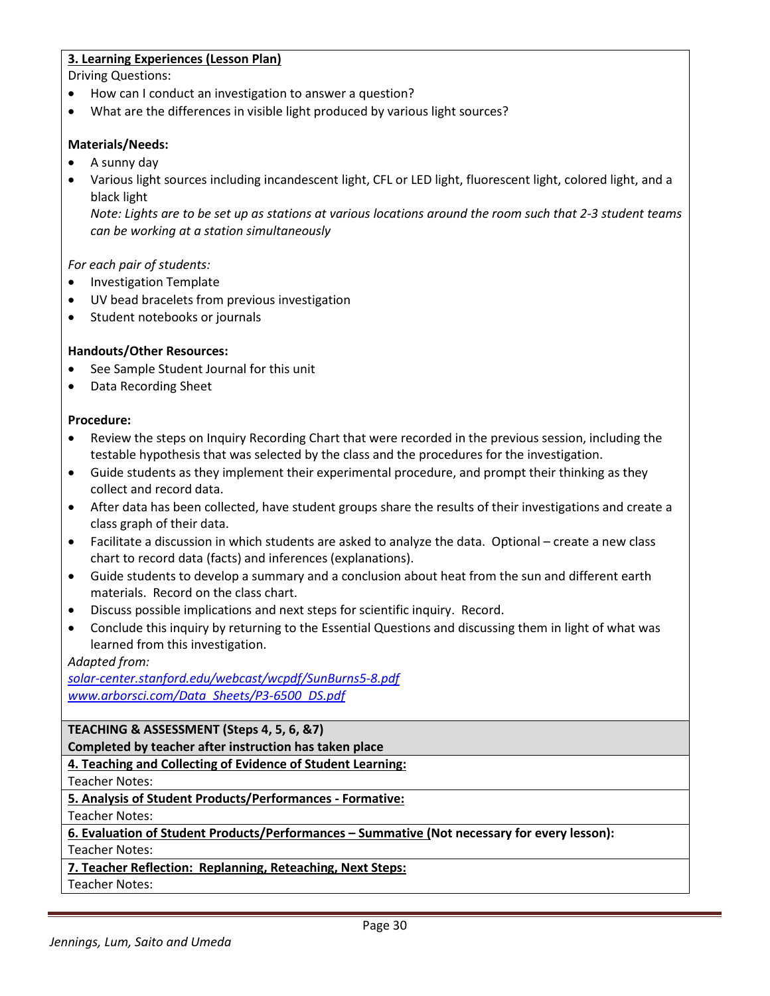# **3. Learning Experiences (Lesson Plan)**

Driving Questions:

- How can I conduct an investigation to answer a question?
- What are the differences in visible light produced by various light sources?

# **Materials/Needs:**

- A sunny day
- Various light sources including incandescent light, CFL or LED light, fluorescent light, colored light, and a black light

*Note: Lights are to be set up as stations at various locations around the room such that 2-3 student teams can be working at a station simultaneously*

# *For each pair of students:*

- Investigation Template
- UV bead bracelets from previous investigation
- Student notebooks or journals

# **Handouts/Other Resources:**

- See Sample Student Journal for this unit
- Data Recording Sheet

# **Procedure:**

- Review the steps on Inquiry Recording Chart that were recorded in the previous session, including the testable hypothesis that was selected by the class and the procedures for the investigation.
- Guide students as they implement their experimental procedure, and prompt their thinking as they collect and record data.
- After data has been collected, have student groups share the results of their investigations and create a class graph of their data.
- Facilitate a discussion in which students are asked to analyze the data. Optional create a new class chart to record data (facts) and inferences (explanations).
- Guide students to develop a summary and a conclusion about heat from the sun and different earth materials. Record on the class chart.
- Discuss possible implications and next steps for scientific inquiry. Record.
- Conclude this inquiry by returning to the Essential Questions and discussing them in light of what was learned from this investigation.

*Adapted from:*

*solar-center.stanford.edu/webcast/wcpdf/SunBurns5-8.pdf [www.arborsci.com/Data\\_Sheets/P3-6500\\_DS.pdf](http://www.arborsci.com/Data_Sheets/P3-6500_DS.pdf)*

**TEACHING & ASSESSMENT (Steps 4, 5, 6, &7) Completed by teacher after instruction has taken place**

**4. Teaching and Collecting of Evidence of Student Learning:**

Teacher Notes:

**5. Analysis of Student Products/Performances - Formative:** Teacher Notes:

**6. Evaluation of Student Products/Performances – Summative (Not necessary for every lesson):** Teacher Notes:

**7. Teacher Reflection: Replanning, Reteaching, Next Steps:**

Teacher Notes: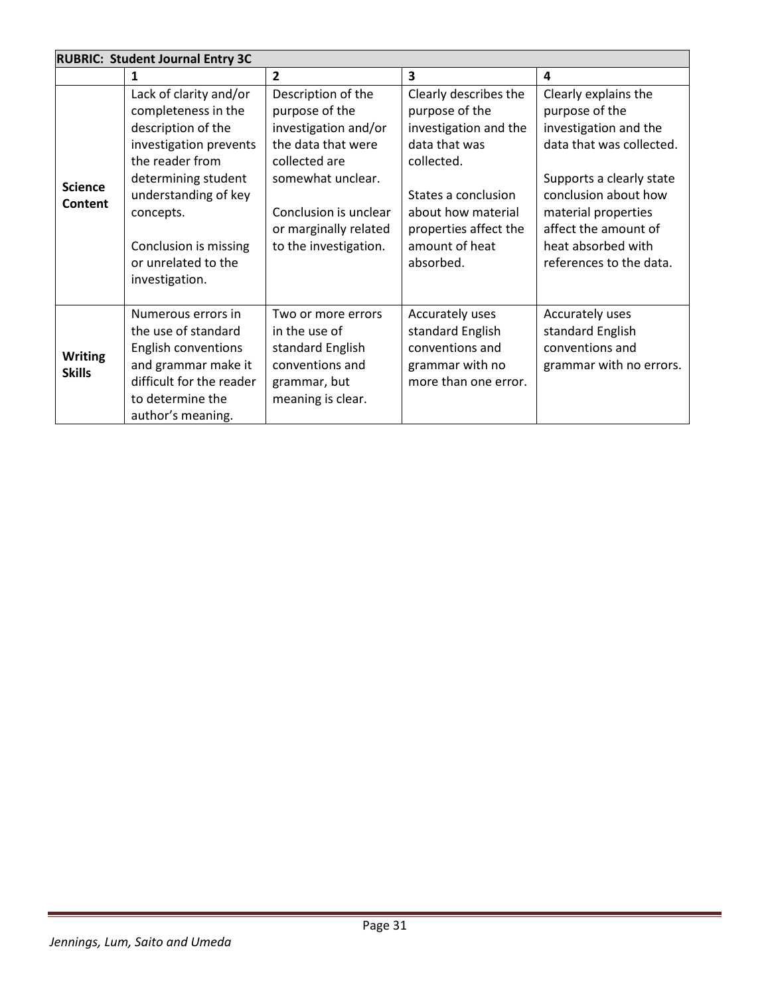|                                 | <b>RUBRIC: Student Journal Entry 3C</b>                                                                                                                                                                                                        |                                                                                                                                                                                                     |                                                                                                                                                                                                      |                                                                                                                                                                                                                                                 |  |
|---------------------------------|------------------------------------------------------------------------------------------------------------------------------------------------------------------------------------------------------------------------------------------------|-----------------------------------------------------------------------------------------------------------------------------------------------------------------------------------------------------|------------------------------------------------------------------------------------------------------------------------------------------------------------------------------------------------------|-------------------------------------------------------------------------------------------------------------------------------------------------------------------------------------------------------------------------------------------------|--|
|                                 | 1                                                                                                                                                                                                                                              | $\overline{2}$                                                                                                                                                                                      | $\overline{\mathbf{3}}$                                                                                                                                                                              | 4                                                                                                                                                                                                                                               |  |
| <b>Science</b><br>Content       | Lack of clarity and/or<br>completeness in the<br>description of the<br>investigation prevents<br>the reader from<br>determining student<br>understanding of key<br>concepts.<br>Conclusion is missing<br>or unrelated to the<br>investigation. | Description of the<br>purpose of the<br>investigation and/or<br>the data that were<br>collected are<br>somewhat unclear.<br>Conclusion is unclear<br>or marginally related<br>to the investigation. | Clearly describes the<br>purpose of the<br>investigation and the<br>data that was<br>collected.<br>States a conclusion<br>about how material<br>properties affect the<br>amount of heat<br>absorbed. | Clearly explains the<br>purpose of the<br>investigation and the<br>data that was collected.<br>Supports a clearly state<br>conclusion about how<br>material properties<br>affect the amount of<br>heat absorbed with<br>references to the data. |  |
| <b>Writing</b><br><b>Skills</b> | Numerous errors in<br>the use of standard<br>English conventions<br>and grammar make it<br>difficult for the reader<br>to determine the<br>author's meaning.                                                                                   | Two or more errors<br>in the use of<br>standard English<br>conventions and<br>grammar, but<br>meaning is clear.                                                                                     | Accurately uses<br>standard English<br>conventions and<br>grammar with no<br>more than one error.                                                                                                    | Accurately uses<br>standard English<br>conventions and<br>grammar with no errors.                                                                                                                                                               |  |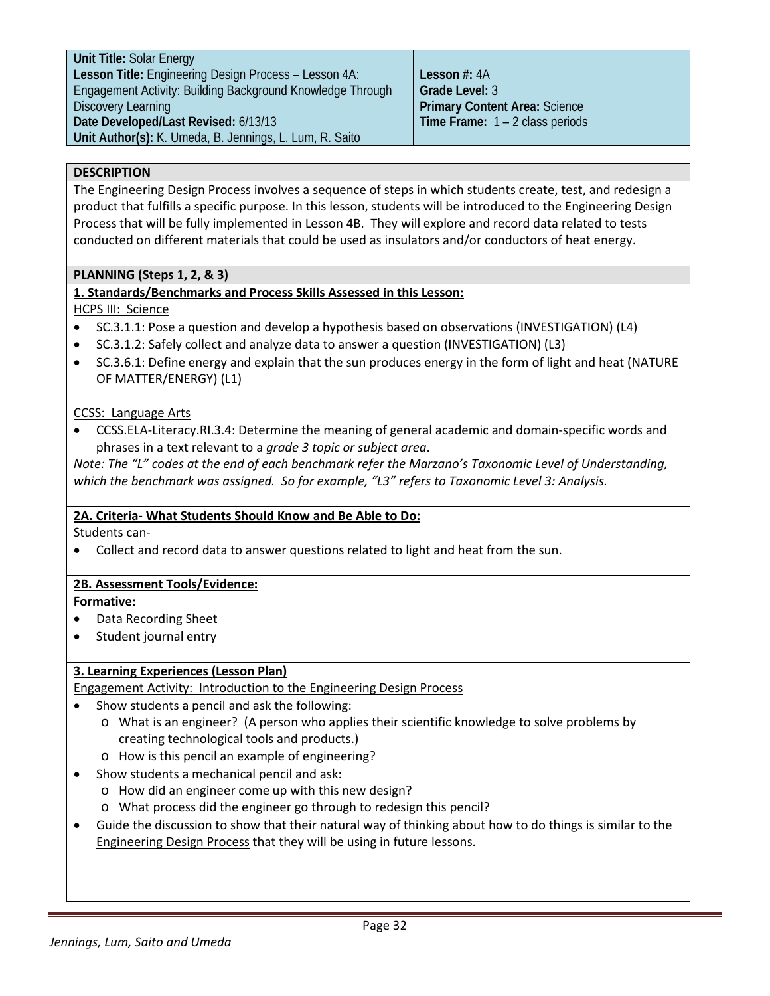**Lesson #:** 4A **Grade Level:** 3 **Primary Content Area:** Science **Time Frame:** 1 – 2 class periods

#### **DESCRIPTION**

The Engineering Design Process involves a sequence of steps in which students create, test, and redesign a product that fulfills a specific purpose. In this lesson, students will be introduced to the Engineering Design Process that will be fully implemented in Lesson 4B. They will explore and record data related to tests conducted on different materials that could be used as insulators and/or conductors of heat energy.

#### **PLANNING (Steps 1, 2, & 3)**

# **1. Standards/Benchmarks and Process Skills Assessed in this Lesson:**

#### HCPS III: Science

- SC.3.1.1: Pose a question and develop a hypothesis based on observations (INVESTIGATION) (L4)
- SC.3.1.2: Safely collect and analyze data to answer a question (INVESTIGATION) (L3)
- SC.3.6.1: Define energy and explain that the sun produces energy in the form of light and heat (NATURE OF MATTER/ENERGY) (L1)

#### CCSS: Language Arts

• CCSS.ELA-Literacy.RI.3.4: Determine the meaning of general academic and domain-specific words and phrases in a text relevant to a *grade 3 topic or subject area*.

*Note: The "L" codes at the end of each benchmark refer the Marzano's Taxonomic Level of Understanding, which the benchmark was assigned. So for example, "L3" refers to Taxonomic Level 3: Analysis.*

# **2A. Criteria- What Students Should Know and Be Able to Do:**

Students can-

• Collect and record data to answer questions related to light and heat from the sun.

# **2B. Assessment Tools/Evidence:**

# **Formative:**

- Data Recording Sheet
- Student journal entry

# **3. Learning Experiences (Lesson Plan)**

Engagement Activity: Introduction to the Engineering Design Process

- Show students a pencil and ask the following:
	- o What is an engineer? (A person who applies their scientific knowledge to solve problems by creating technological tools and products.)
	- o How is this pencil an example of engineering?
- Show students a mechanical pencil and ask:
	- o How did an engineer come up with this new design?
	- o What process did the engineer go through to redesign this pencil?
- Guide the discussion to show that their natural way of thinking about how to do things is similar to the Engineering Design Process that they will be using in future lessons.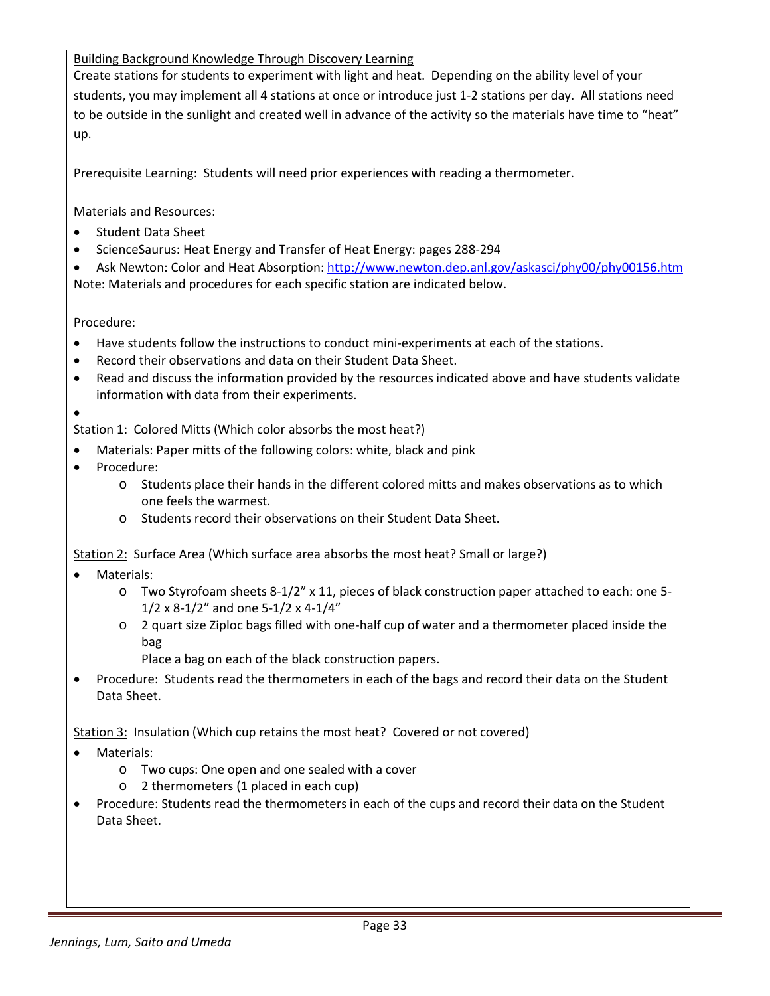Building Background Knowledge Through Discovery Learning

Create stations for students to experiment with light and heat. Depending on the ability level of your students, you may implement all 4 stations at once or introduce just 1-2 stations per day. All stations need to be outside in the sunlight and created well in advance of the activity so the materials have time to "heat" up.

Prerequisite Learning: Students will need prior experiences with reading a thermometer.

Materials and Resources:

- Student Data Sheet
- ScienceSaurus: Heat Energy and Transfer of Heat Energy: pages 288-294
- Ask Newton: Color and Heat Absorption:<http://www.newton.dep.anl.gov/askasci/phy00/phy00156.htm> Note: Materials and procedures for each specific station are indicated below.

Procedure:

- Have students follow the instructions to conduct mini-experiments at each of the stations.
- Record their observations and data on their Student Data Sheet.
- Read and discuss the information provided by the resources indicated above and have students validate information with data from their experiments.

• Station 1: Colored Mitts (Which color absorbs the most heat?)

- Materials: Paper mitts of the following colors: white, black and pink
- Procedure:
	- o Students place their hands in the different colored mitts and makes observations as to which one feels the warmest.
	- o Students record their observations on their Student Data Sheet.

Station 2: Surface Area (Which surface area absorbs the most heat? Small or large?)

- Materials:
	- o Two Styrofoam sheets 8-1/2" x 11, pieces of black construction paper attached to each: one 5-  $1/2 \times 8 - 1/2$ " and one 5-1/2 x 4-1/4"
	- o 2 quart size Ziploc bags filled with one-half cup of water and a thermometer placed inside the bag
		- Place a bag on each of the black construction papers.
- Procedure: Students read the thermometers in each of the bags and record their data on the Student Data Sheet.

Station 3: Insulation (Which cup retains the most heat? Covered or not covered)

- Materials:
	- o Two cups: One open and one sealed with a cover
	- o 2 thermometers (1 placed in each cup)
- Procedure: Students read the thermometers in each of the cups and record their data on the Student Data Sheet.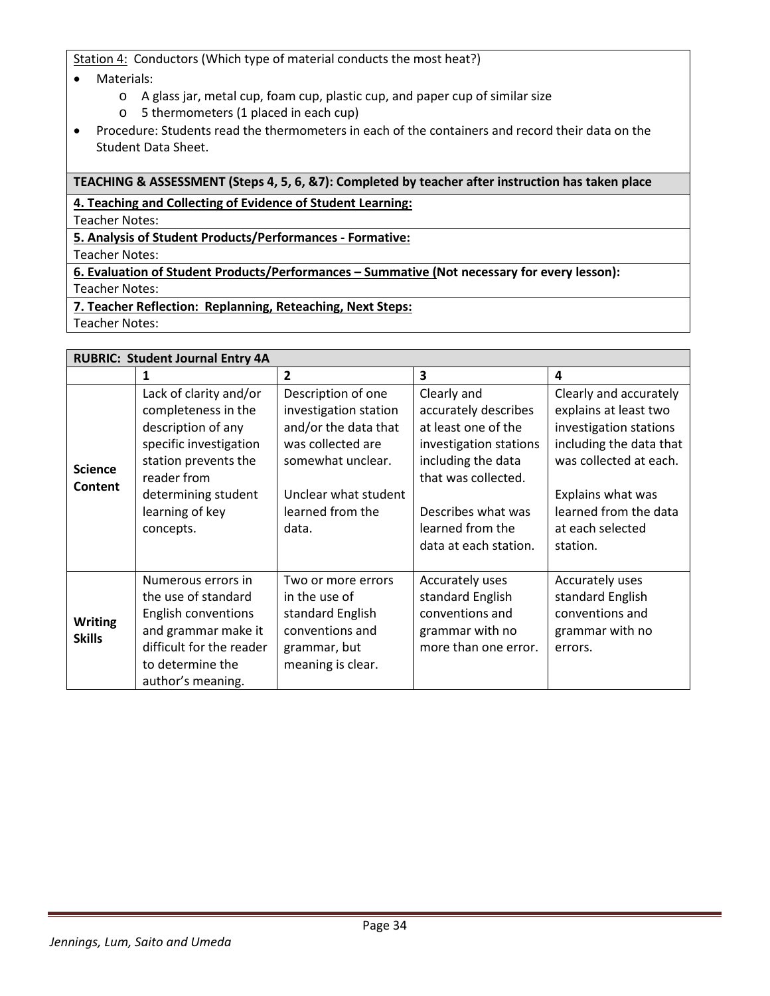Station 4: Conductors (Which type of material conducts the most heat?)

- Materials:
	- o A glass jar, metal cup, foam cup, plastic cup, and paper cup of similar size
	- o 5 thermometers (1 placed in each cup)
- Procedure: Students read the thermometers in each of the containers and record their data on the Student Data Sheet.

# **TEACHING & ASSESSMENT (Steps 4, 5, 6, &7): Completed by teacher after instruction has taken place**

**4. Teaching and Collecting of Evidence of Student Learning:**

Teacher Notes:

**5. Analysis of Student Products/Performances - Formative:**

Teacher Notes:

**6. Evaluation of Student Products/Performances – Summative (Not necessary for every lesson):**

Teacher Notes:

**7. Teacher Reflection: Replanning, Reteaching, Next Steps:**

Teacher Notes:

| <b>RUBRIC: Student Journal Entry 4A</b> |                                                                                                                                                                                             |                                                                                                                                                                    |                                                                                                                                                                                                      |                                                                                                                                                                                                              |  |
|-----------------------------------------|---------------------------------------------------------------------------------------------------------------------------------------------------------------------------------------------|--------------------------------------------------------------------------------------------------------------------------------------------------------------------|------------------------------------------------------------------------------------------------------------------------------------------------------------------------------------------------------|--------------------------------------------------------------------------------------------------------------------------------------------------------------------------------------------------------------|--|
|                                         | 1                                                                                                                                                                                           | $\overline{2}$                                                                                                                                                     | $\overline{\mathbf{3}}$                                                                                                                                                                              | $\overline{\mathbf{a}}$                                                                                                                                                                                      |  |
| <b>Science</b><br>Content               | Lack of clarity and/or<br>completeness in the<br>description of any<br>specific investigation<br>station prevents the<br>reader from<br>determining student<br>learning of key<br>concepts. | Description of one<br>investigation station<br>and/or the data that<br>was collected are<br>somewhat unclear.<br>Unclear what student<br>learned from the<br>data. | Clearly and<br>accurately describes<br>at least one of the<br>investigation stations<br>including the data<br>that was collected.<br>Describes what was<br>learned from the<br>data at each station. | Clearly and accurately<br>explains at least two<br>investigation stations<br>including the data that<br>was collected at each.<br>Explains what was<br>learned from the data<br>at each selected<br>station. |  |
| <b>Writing</b><br><b>Skills</b>         | Numerous errors in<br>the use of standard<br><b>English conventions</b><br>and grammar make it<br>difficult for the reader<br>to determine the<br>author's meaning.                         | Two or more errors<br>in the use of<br>standard English<br>conventions and<br>grammar, but<br>meaning is clear.                                                    | Accurately uses<br>standard English<br>conventions and<br>grammar with no<br>more than one error.                                                                                                    | Accurately uses<br>standard English<br>conventions and<br>grammar with no<br>errors.                                                                                                                         |  |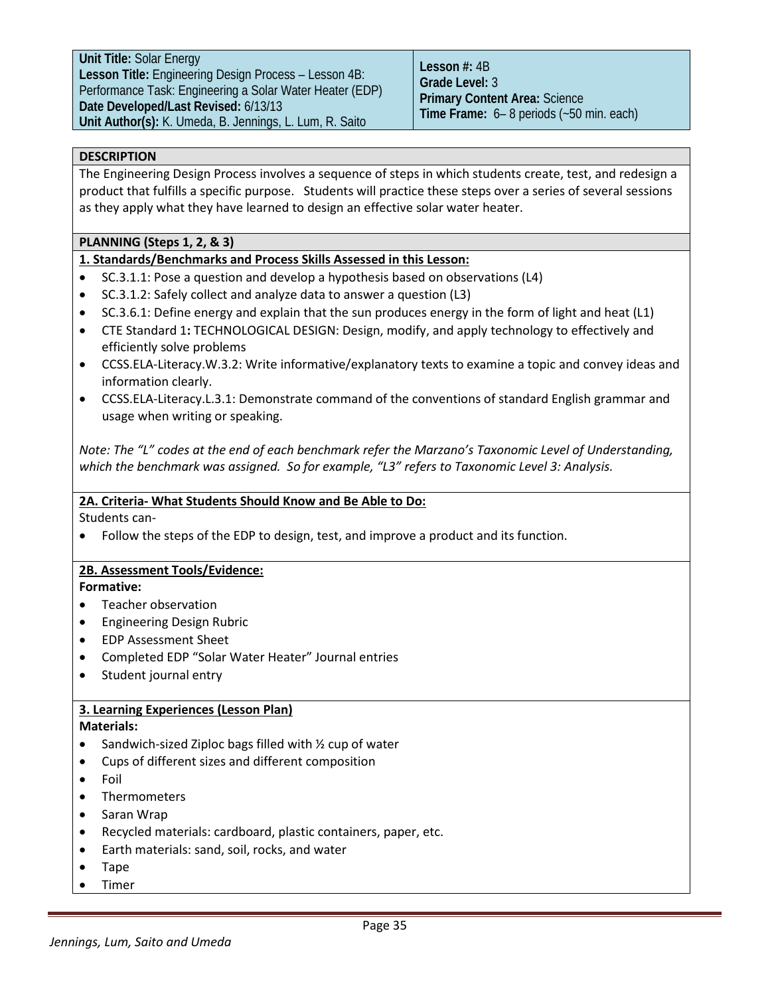# **DESCRIPTION**

The Engineering Design Process involves a sequence of steps in which students create, test, and redesign a product that fulfills a specific purpose. Students will practice these steps over a series of several sessions as they apply what they have learned to design an effective solar water heater.

# **PLANNING (Steps 1, 2, & 3)**

# **1. Standards/Benchmarks and Process Skills Assessed in this Lesson:**

- SC.3.1.1: Pose a question and develop a hypothesis based on observations (L4)
- SC.3.1.2: Safely collect and analyze data to answer a question (L3)
- SC.3.6.1: Define energy and explain that the sun produces energy in the form of light and heat (L1)
- CTE Standard 1**:** TECHNOLOGICAL DESIGN: Design, modify, and apply technology to effectively and efficiently solve problems
- [CCSS.ELA-Literacy.W.3.2:](http://www.corestandards.org/ELA-Literacy/W/3/2/) Write informative/explanatory texts to examine a topic and convey ideas and information clearly.
- [CCSS.ELA-Literacy.L.3.](http://www.corestandards.org/ELA-Literacy/L/3/1/)1: Demonstrate command of the conventions of standard English grammar and usage when writing or speaking.

*Note: The "L" codes at the end of each benchmark refer the Marzano's Taxonomic Level of Understanding, which the benchmark was assigned. So for example, "L3" refers to Taxonomic Level 3: Analysis.*

# **2A. Criteria- What Students Should Know and Be Able to Do:**

Students can-

• Follow the steps of the EDP to design, test, and improve a product and its function.

# **2B. Assessment Tools/Evidence:**

#### **Formative:**

- Teacher observation
- Engineering Design Rubric
- EDP Assessment Sheet
- Completed EDP "Solar Water Heater" Journal entries
- Student journal entry

# **3. Learning Experiences (Lesson Plan)**

# **Materials:**

- Sandwich-sized Ziploc bags filled with ½ cup of water
- Cups of different sizes and different composition
- Foil
- **Thermometers**
- Saran Wrap
- Recycled materials: cardboard, plastic containers, paper, etc.
- Earth materials: sand, soil, rocks, and water
- Tape
- Timer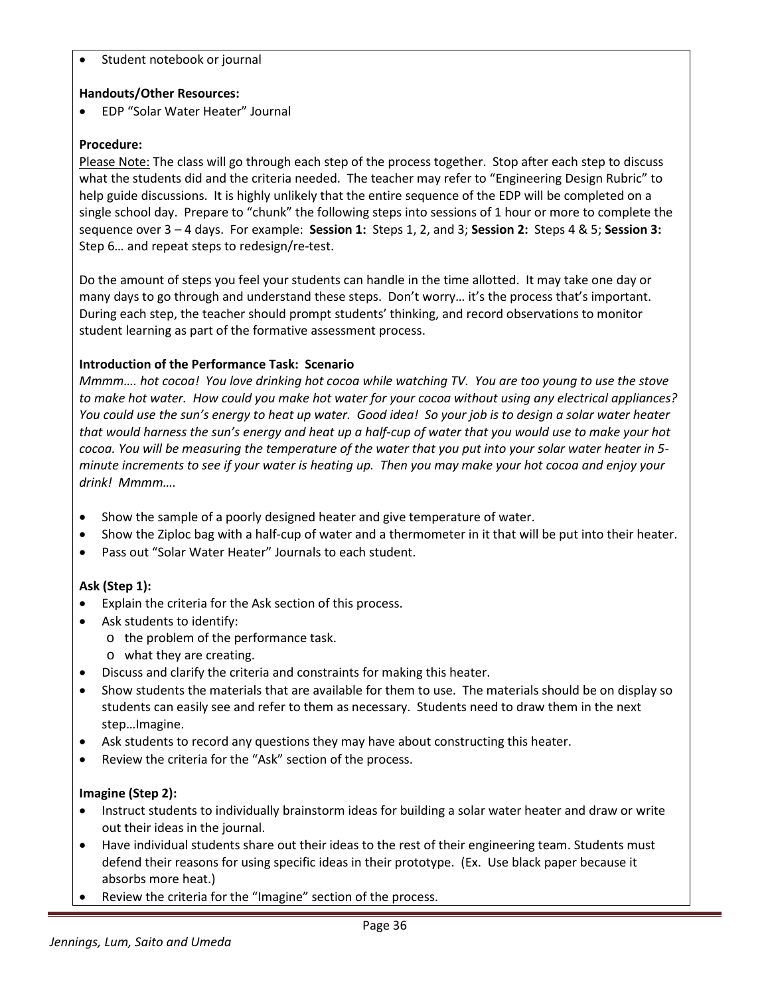Student notebook or journal

# **Handouts/Other Resources:**

• EDP "Solar Water Heater" Journal

# **Procedure:**

Please Note: The class will go through each step of the process together. Stop after each step to discuss what the students did and the criteria needed. The teacher may refer to "Engineering Design Rubric" to help guide discussions. It is highly unlikely that the entire sequence of the EDP will be completed on a single school day. Prepare to "chunk" the following steps into sessions of 1 hour or more to complete the sequence over 3 – 4 days. For example: **Session 1:** Steps 1, 2, and 3; **Session 2:** Steps 4 & 5; **Session 3:** Step 6… and repeat steps to redesign/re-test.

Do the amount of steps you feel your students can handle in the time allotted. It may take one day or many days to go through and understand these steps. Don't worry… it's the process that's important. During each step, the teacher should prompt students' thinking, and record observations to monitor student learning as part of the formative assessment process.

# **Introduction of the Performance Task: Scenario**

*Mmmm…. hot cocoa! You love drinking hot cocoa while watching TV. You are too young to use the stove to make hot water. How could you make hot water for your cocoa without using any electrical appliances? You could use the sun's energy to heat up water. Good idea! So your job is to design a solar water heater that would harness the sun's energy and heat up a half-cup of water that you would use to make your hot cocoa. You will be measuring the temperature of the water that you put into your solar water heater in 5 minute increments to see if your water is heating up. Then you may make your hot cocoa and enjoy your drink! Mmmm….*

- Show the sample of a poorly designed heater and give temperature of water.
- Show the Ziploc bag with a half-cup of water and a thermometer in it that will be put into their heater.
- Pass out "Solar Water Heater" Journals to each student.

# **Ask (Step 1):**

- Explain the criteria for the Ask section of this process.
- Ask students to identify:
	- o the problem of the performance task.
	- o what they are creating.
- Discuss and clarify the criteria and constraints for making this heater.
- Show students the materials that are available for them to use. The materials should be on display so students can easily see and refer to them as necessary. Students need to draw them in the next step…Imagine.
- Ask students to record any questions they may have about constructing this heater.
- Review the criteria for the "Ask" section of the process.

# **Imagine (Step 2):**

- Instruct students to individually brainstorm ideas for building a solar water heater and draw or write out their ideas in the journal.
- Have individual students share out their ideas to the rest of their engineering team. Students must defend their reasons for using specific ideas in their prototype. (Ex. Use black paper because it absorbs more heat.)
- Review the criteria for the "Imagine" section of the process.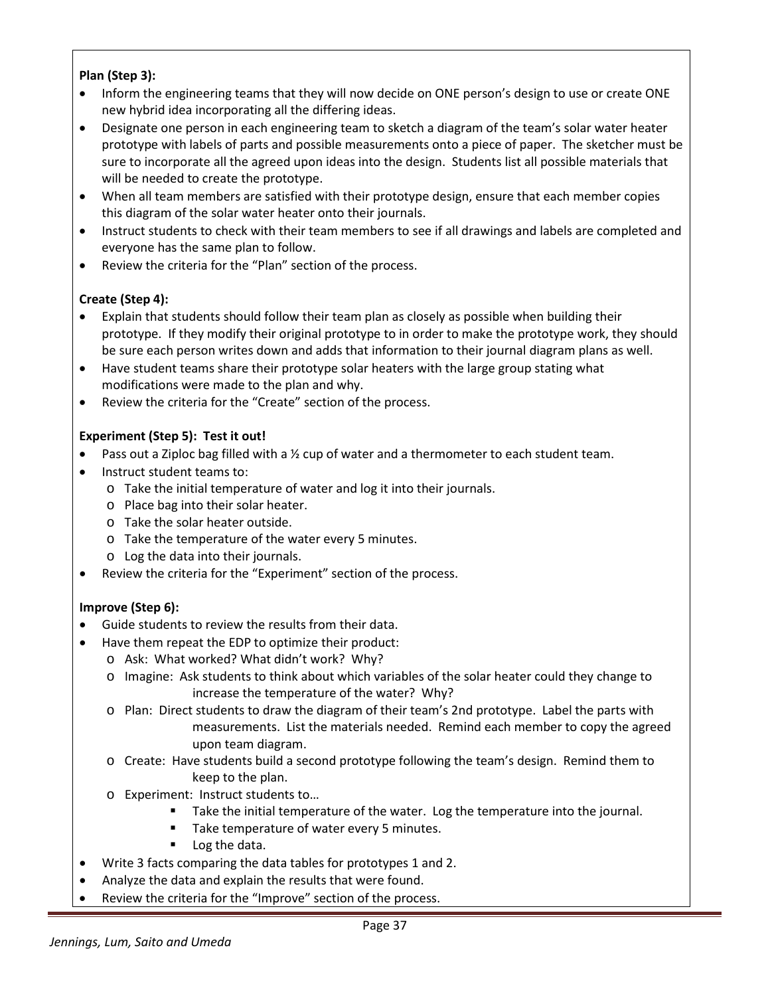# **Plan (Step 3):**

- Inform the engineering teams that they will now decide on ONE person's design to use or create ONE new hybrid idea incorporating all the differing ideas.
- Designate one person in each engineering team to sketch a diagram of the team's solar water heater prototype with labels of parts and possible measurements onto a piece of paper. The sketcher must be sure to incorporate all the agreed upon ideas into the design. Students list all possible materials that will be needed to create the prototype.
- When all team members are satisfied with their prototype design, ensure that each member copies this diagram of the solar water heater onto their journals.
- Instruct students to check with their team members to see if all drawings and labels are completed and everyone has the same plan to follow.
- Review the criteria for the "Plan" section of the process.

# **Create (Step 4):**

- Explain that students should follow their team plan as closely as possible when building their prototype. If they modify their original prototype to in order to make the prototype work, they should be sure each person writes down and adds that information to their journal diagram plans as well.
- Have student teams share their prototype solar heaters with the large group stating what modifications were made to the plan and why.
- Review the criteria for the "Create" section of the process.

# **Experiment (Step 5): Test it out!**

- Pass out a Ziploc bag filled with a  $\frac{1}{2}$  cup of water and a thermometer to each student team.
- Instruct student teams to:
	- o Take the initial temperature of water and log it into their journals.
	- o Place bag into their solar heater.
	- o Take the solar heater outside.
	- o Take the temperature of the water every 5 minutes.
	- o Log the data into their journals.
- Review the criteria for the "Experiment" section of the process.

# **Improve (Step 6):**

- Guide students to review the results from their data.
- Have them repeat the EDP to optimize their product:
	- o Ask: What worked? What didn't work? Why?
	- o Imagine: Ask students to think about which variables of the solar heater could they change to increase the temperature of the water? Why?
	- o Plan: Direct students to draw the diagram of their team's 2nd prototype. Label the parts with measurements. List the materials needed. Remind each member to copy the agreed upon team diagram.
	- o Create: Have students build a second prototype following the team's design. Remind them to keep to the plan.
	- o Experiment: Instruct students to…
		- Take the initial temperature of the water. Log the temperature into the journal.
		- Take temperature of water every 5 minutes.
		- **Log the data.**
- Write 3 facts comparing the data tables for prototypes 1 and 2.
- Analyze the data and explain the results that were found.
- Review the criteria for the "Improve" section of the process.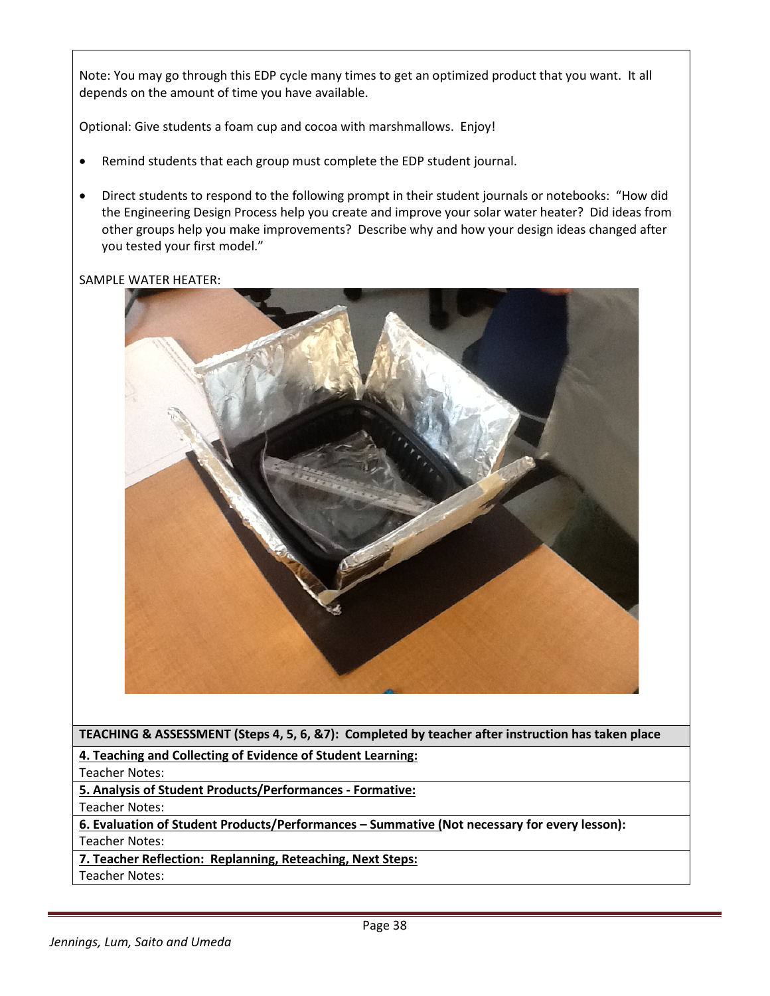Note: You may go through this EDP cycle many times to get an optimized product that you want. It all depends on the amount of time you have available.

Optional: Give students a foam cup and cocoa with marshmallows. Enjoy!

- Remind students that each group must complete the EDP student journal.
- Direct students to respond to the following prompt in their student journals or notebooks: "How did the Engineering Design Process help you create and improve your solar water heater? Did ideas from other groups help you make improvements? Describe why and how your design ideas changed after you tested your first model."

SAMPLE WATER HEATER:



**TEACHING & ASSESSMENT (Steps 4, 5, 6, &7): Completed by teacher after instruction has taken place**

**4. Teaching and Collecting of Evidence of Student Learning:**

Teacher Notes:

**5. Analysis of Student Products/Performances - Formative:**

Teacher Notes:

**6. Evaluation of Student Products/Performances – Summative (Not necessary for every lesson):** Teacher Notes:

**7. Teacher Reflection: Replanning, Reteaching, Next Steps:**

Teacher Notes: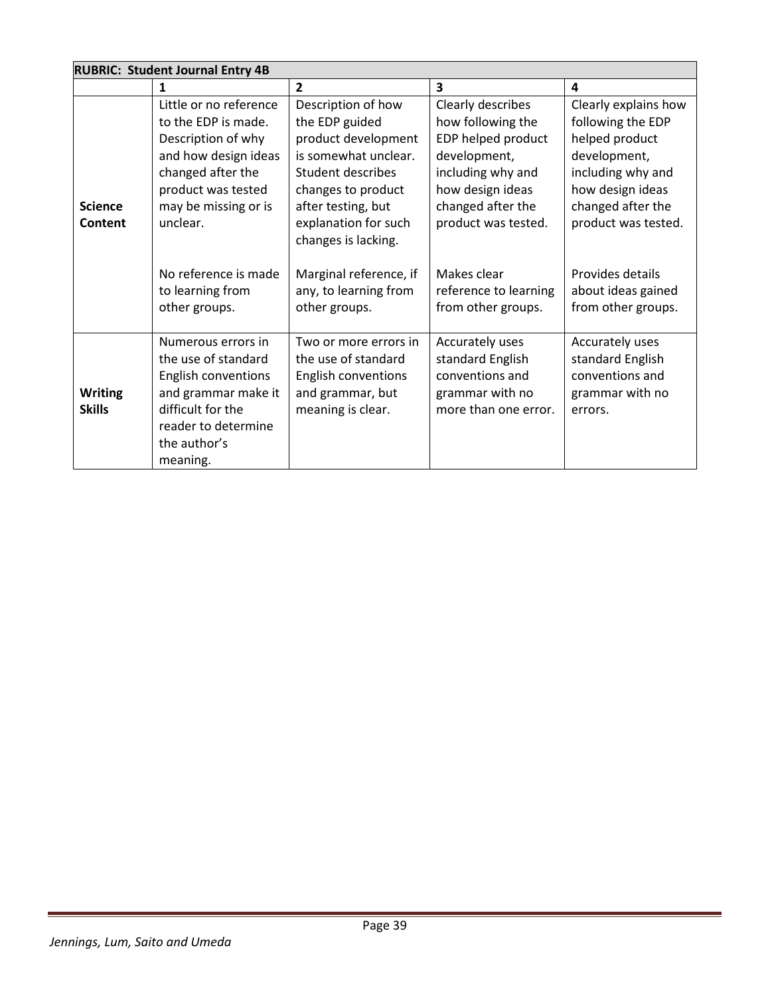|                | <b>RUBRIC: Student Journal Entry 4B</b> |                            |                         |                      |  |  |
|----------------|-----------------------------------------|----------------------------|-------------------------|----------------------|--|--|
|                | 1                                       | $\overline{2}$             | $\overline{\mathbf{3}}$ | 4                    |  |  |
|                | Little or no reference                  | Description of how         | Clearly describes       | Clearly explains how |  |  |
|                | to the EDP is made.                     | the EDP guided             | how following the       | following the EDP    |  |  |
|                | Description of why                      | product development        | EDP helped product      | helped product       |  |  |
|                | and how design ideas                    | is somewhat unclear.       | development,            | development,         |  |  |
|                | changed after the                       | <b>Student describes</b>   | including why and       | including why and    |  |  |
|                | product was tested                      | changes to product         | how design ideas        | how design ideas     |  |  |
| <b>Science</b> | may be missing or is                    | after testing, but         | changed after the       | changed after the    |  |  |
| Content        | unclear.                                | explanation for such       | product was tested.     | product was tested.  |  |  |
|                |                                         | changes is lacking.        |                         |                      |  |  |
|                |                                         |                            |                         |                      |  |  |
|                | No reference is made                    | Marginal reference, if     | Makes clear             | Provides details     |  |  |
|                | to learning from                        | any, to learning from      | reference to learning   | about ideas gained   |  |  |
|                | other groups.                           | other groups.              | from other groups.      | from other groups.   |  |  |
|                |                                         |                            |                         |                      |  |  |
|                | Numerous errors in                      | Two or more errors in      | Accurately uses         | Accurately uses      |  |  |
|                | the use of standard                     | the use of standard        | standard English        | standard English     |  |  |
|                | English conventions                     | <b>English conventions</b> | conventions and         | conventions and      |  |  |
| <b>Writing</b> | and grammar make it                     | and grammar, but           | grammar with no         | grammar with no      |  |  |
| <b>Skills</b>  | difficult for the                       | meaning is clear.          | more than one error.    | errors.              |  |  |
|                | reader to determine                     |                            |                         |                      |  |  |
|                | the author's                            |                            |                         |                      |  |  |
|                | meaning.                                |                            |                         |                      |  |  |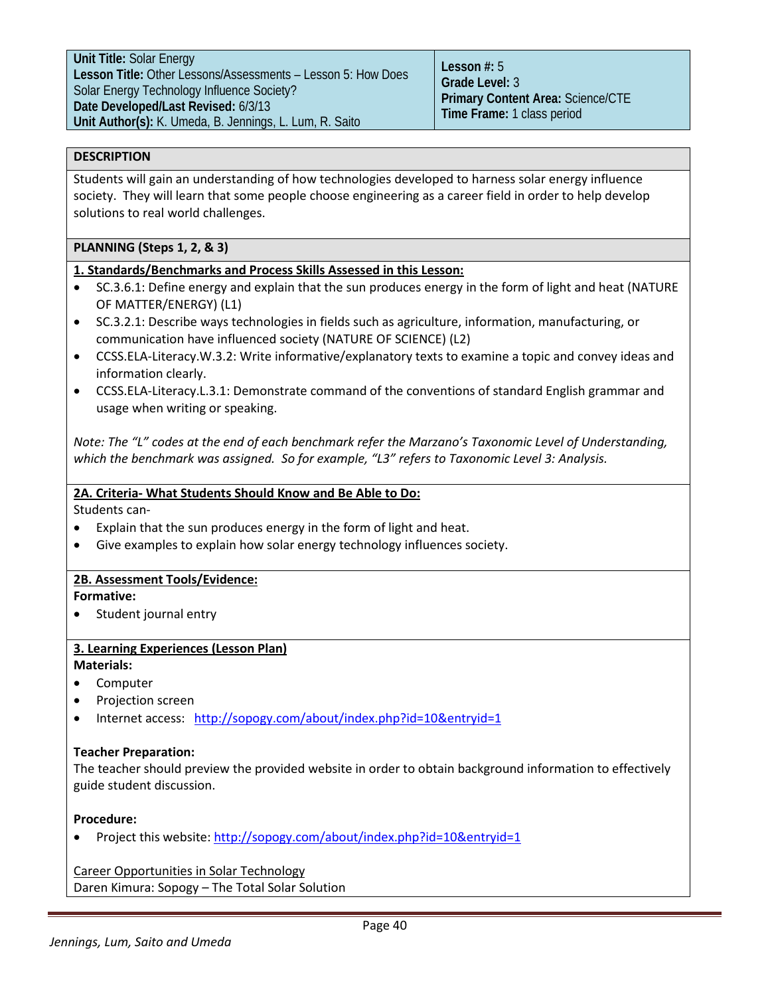# **DESCRIPTION**

Students will gain an understanding of how technologies developed to harness solar energy influence society. They will learn that some people choose engineering as a career field in order to help develop solutions to real world challenges.

# **PLANNING (Steps 1, 2, & 3)**

# **1. Standards/Benchmarks and Process Skills Assessed in this Lesson:**

- SC.3.6.1: Define energy and explain that the sun produces energy in the form of light and heat (NATURE OF MATTER/ENERGY) (L1)
- SC.3.2.1: Describe ways technologies in fields such as agriculture, information, manufacturing, or communication have influenced society (NATURE OF SCIENCE) (L2)
- [CCSS.ELA-Literacy.W.3.2:](http://www.corestandards.org/ELA-Literacy/W/3/2/) Write informative/explanatory texts to examine a topic and convey ideas and information clearly.
- [CCSS.ELA-Literacy.L.3.](http://www.corestandards.org/ELA-Literacy/L/3/1/)1: Demonstrate command of the conventions of standard English grammar and usage when writing or speaking.

*Note: The "L" codes at the end of each benchmark refer the Marzano's Taxonomic Level of Understanding, which the benchmark was assigned. So for example, "L3" refers to Taxonomic Level 3: Analysis.*

# **2A. Criteria- What Students Should Know and Be Able to Do:**

Students can-

- Explain that the sun produces energy in the form of light and heat.
- Give examples to explain how solar energy technology influences society.

# **2B. Assessment Tools/Evidence:**

# **Formative:**

Student journal entry

# **3. Learning Experiences (Lesson Plan)**

# **Materials:**

- Computer
- Projection screen
- Internet access: <http://sopogy.com/about/index.php?id=10&entryid=1>

# **Teacher Preparation:**

The teacher should preview the provided website in order to obtain background information to effectively guide student discussion.

# **Procedure:**

• Project this website:<http://sopogy.com/about/index.php?id=10&entryid=1>

Career Opportunities in Solar Technology Daren Kimura: Sopogy – The Total Solar Solution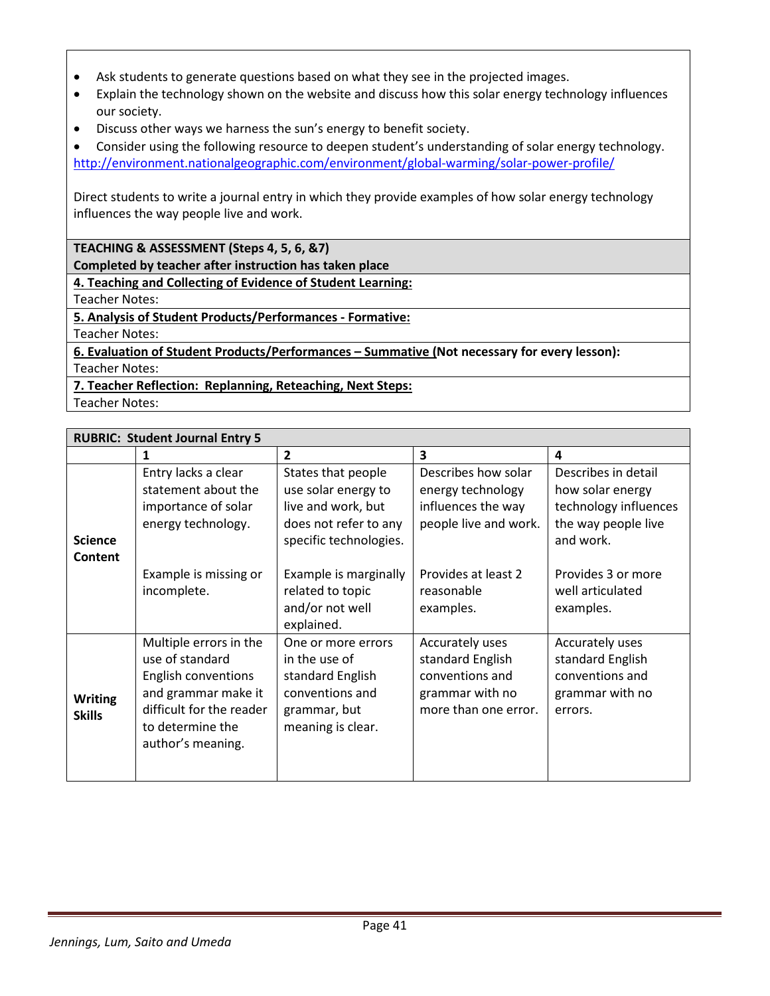- Ask students to generate questions based on what they see in the projected images.
- Explain the technology shown on the website and discuss how this solar energy technology influences our society.
- Discuss other ways we harness the sun's energy to benefit society.
- Consider using the following resource to deepen student's understanding of solar energy technology. <http://environment.nationalgeographic.com/environment/global-warming/solar-power-profile/>

Direct students to write a journal entry in which they provide examples of how solar energy technology influences the way people live and work.

**TEACHING & ASSESSMENT (Steps 4, 5, 6, &7)**

**Completed by teacher after instruction has taken place**

**4. Teaching and Collecting of Evidence of Student Learning:**

Teacher Notes:

**5. Analysis of Student Products/Performances - Formative:**

Teacher Notes:

**6. Evaluation of Student Products/Performances – Summative (Not necessary for every lesson):** Teacher Notes:

**7. Teacher Reflection: Replanning, Reteaching, Next Steps:**

Teacher Notes:

| <b>RUBRIC: Student Journal Entry 5</b> |                                                                                                                                                              |                                                                                                                    |                                                                                                   |                                                                                                      |  |
|----------------------------------------|--------------------------------------------------------------------------------------------------------------------------------------------------------------|--------------------------------------------------------------------------------------------------------------------|---------------------------------------------------------------------------------------------------|------------------------------------------------------------------------------------------------------|--|
|                                        | 1                                                                                                                                                            | $\overline{2}$                                                                                                     | 3                                                                                                 | 4                                                                                                    |  |
| <b>Science</b><br>Content              | Entry lacks a clear<br>statement about the<br>importance of solar<br>energy technology.                                                                      | States that people<br>use solar energy to<br>live and work, but<br>does not refer to any<br>specific technologies. | Describes how solar<br>energy technology<br>influences the way<br>people live and work.           | Describes in detail<br>how solar energy<br>technology influences<br>the way people live<br>and work. |  |
|                                        | Example is missing or<br>incomplete.                                                                                                                         | Example is marginally<br>related to topic<br>and/or not well<br>explained.                                         | Provides at least 2<br>reasonable<br>examples.                                                    | Provides 3 or more<br>well articulated<br>examples.                                                  |  |
| <b>Writing</b><br><b>Skills</b>        | Multiple errors in the<br>use of standard<br>English conventions<br>and grammar make it<br>difficult for the reader<br>to determine the<br>author's meaning. | One or more errors<br>in the use of<br>standard English<br>conventions and<br>grammar, but<br>meaning is clear.    | Accurately uses<br>standard English<br>conventions and<br>grammar with no<br>more than one error. | Accurately uses<br>standard English<br>conventions and<br>grammar with no<br>errors.                 |  |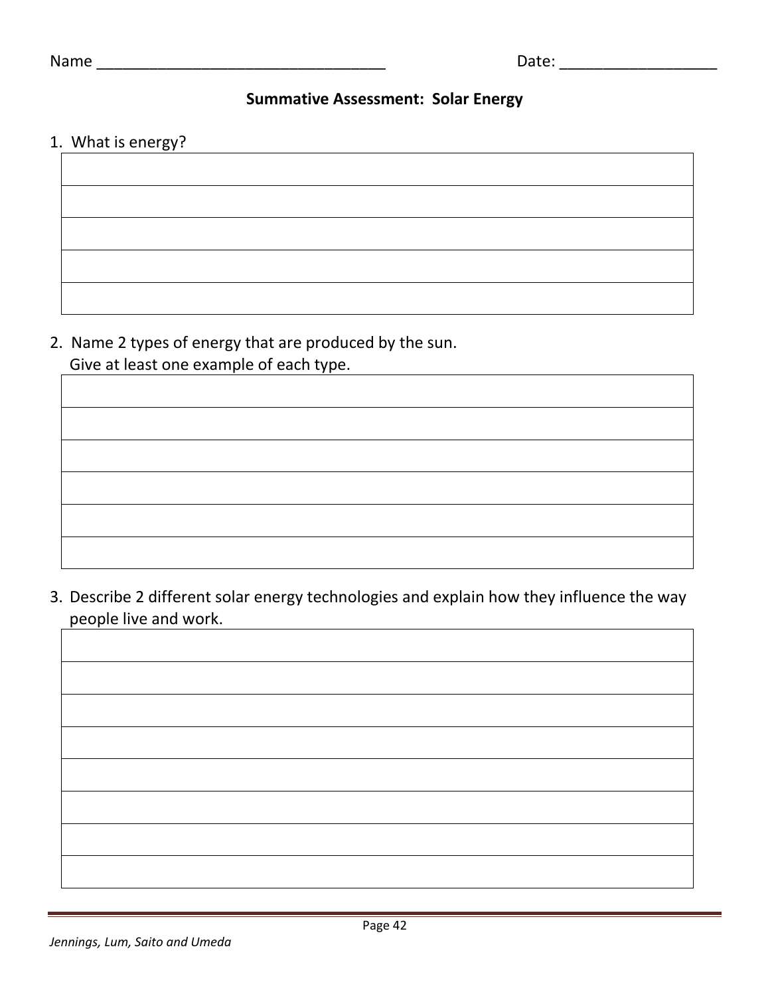# **Summative Assessment: Solar Energy**

# 1. What is energy?

2. Name 2 types of energy that are produced by the sun. Give at least one example of each type.

3. Describe 2 different solar energy technologies and explain how they influence the way people live and work.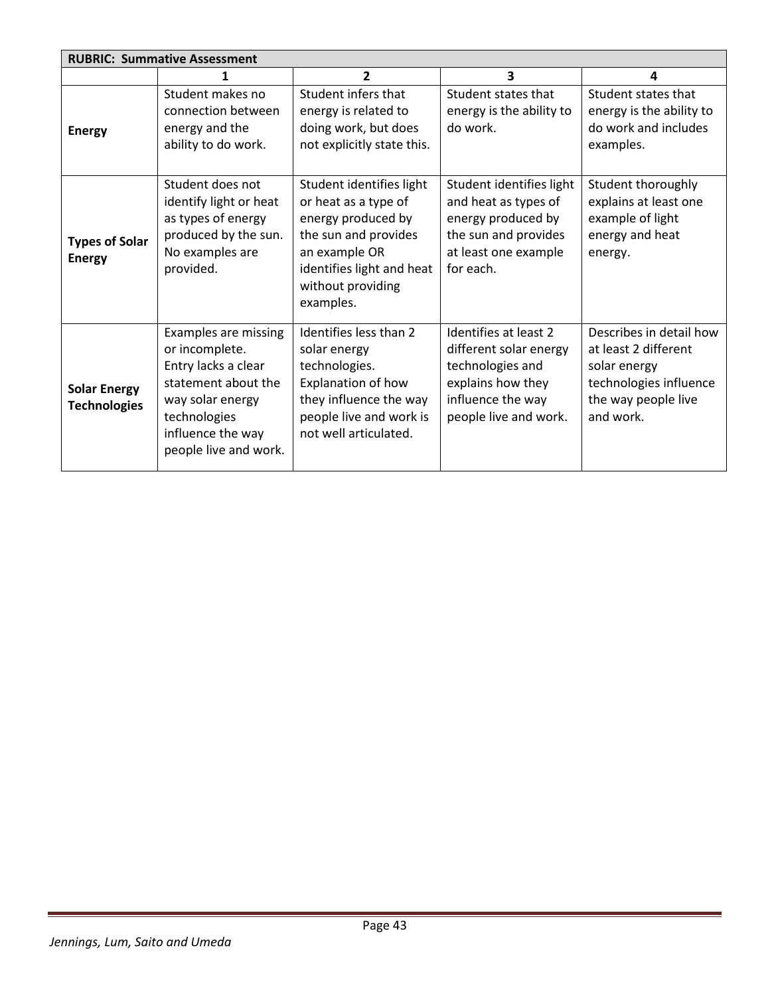| <b>RUBRIC: Summative Assessment</b>        |                                                                                                                                                                        |                                                                                                                                                                                |                                                                                                                                        |                                                                                                                               |  |
|--------------------------------------------|------------------------------------------------------------------------------------------------------------------------------------------------------------------------|--------------------------------------------------------------------------------------------------------------------------------------------------------------------------------|----------------------------------------------------------------------------------------------------------------------------------------|-------------------------------------------------------------------------------------------------------------------------------|--|
|                                            | 1                                                                                                                                                                      | 2                                                                                                                                                                              | 3                                                                                                                                      | 4                                                                                                                             |  |
| <b>Energy</b>                              | Student makes no<br>connection between<br>energy and the<br>ability to do work.                                                                                        | Student infers that<br>energy is related to<br>doing work, but does<br>not explicitly state this.                                                                              | Student states that<br>energy is the ability to<br>do work.                                                                            | Student states that<br>energy is the ability to<br>do work and includes<br>examples.                                          |  |
| <b>Types of Solar</b><br><b>Energy</b>     | Student does not<br>identify light or heat<br>as types of energy<br>produced by the sun.<br>No examples are<br>provided.                                               | Student identifies light<br>or heat as a type of<br>energy produced by<br>the sun and provides<br>an example OR<br>identifies light and heat<br>without providing<br>examples. | Student identifies light<br>and heat as types of<br>energy produced by<br>the sun and provides<br>at least one example<br>for each.    | Student thoroughly<br>explains at least one<br>example of light<br>energy and heat<br>energy.                                 |  |
| <b>Solar Energy</b><br><b>Technologies</b> | Examples are missing<br>or incomplete.<br>Entry lacks a clear<br>statement about the<br>way solar energy<br>technologies<br>influence the way<br>people live and work. | Identifies less than 2<br>solar energy<br>technologies.<br>Explanation of how<br>they influence the way<br>people live and work is<br>not well articulated.                    | Identifies at least 2<br>different solar energy<br>technologies and<br>explains how they<br>influence the way<br>people live and work. | Describes in detail how<br>at least 2 different<br>solar energy<br>technologies influence<br>the way people live<br>and work. |  |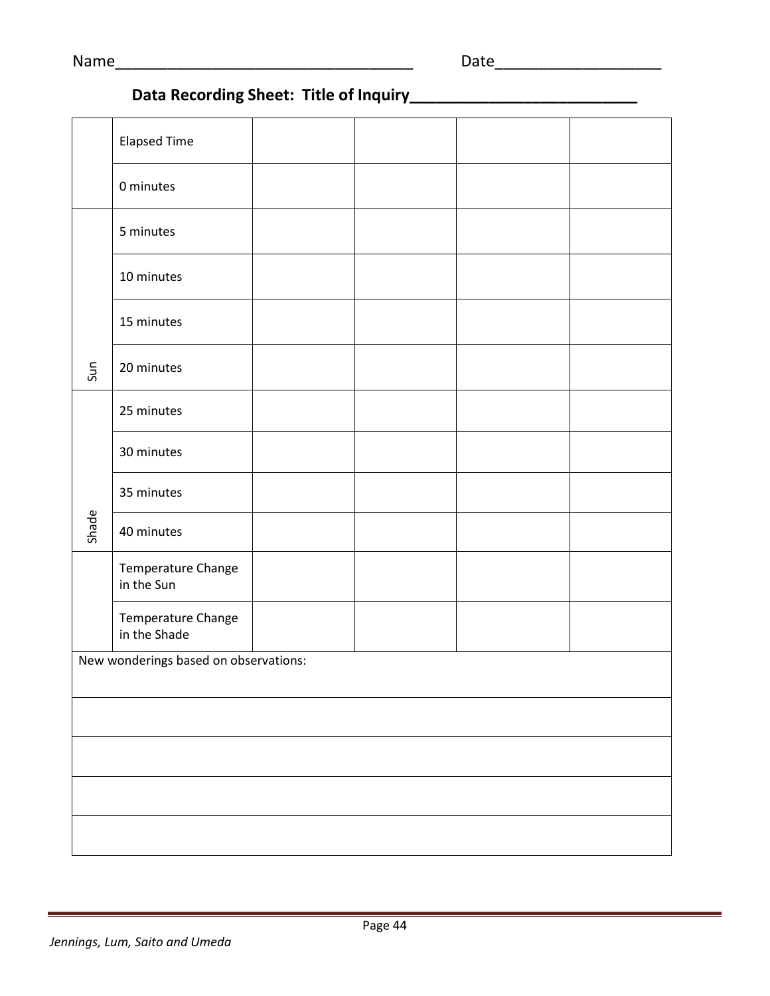# **Data Recording Sheet: Title of Inquiry\_\_\_\_\_\_\_\_\_\_\_\_\_\_\_\_\_\_\_\_\_\_\_\_\_\_**

|                                       | <b>Elapsed Time</b>                |  |  |  |  |
|---------------------------------------|------------------------------------|--|--|--|--|
|                                       | 0 minutes                          |  |  |  |  |
|                                       | 5 minutes                          |  |  |  |  |
|                                       | 10 minutes                         |  |  |  |  |
|                                       | 15 minutes                         |  |  |  |  |
| Sun                                   | 20 minutes                         |  |  |  |  |
|                                       | 25 minutes                         |  |  |  |  |
|                                       | 30 minutes                         |  |  |  |  |
|                                       | 35 minutes                         |  |  |  |  |
| Shade                                 | 40 minutes                         |  |  |  |  |
|                                       | Temperature Change<br>in the Sun   |  |  |  |  |
|                                       | Temperature Change<br>in the Shade |  |  |  |  |
| New wonderings based on observations: |                                    |  |  |  |  |
|                                       |                                    |  |  |  |  |
|                                       |                                    |  |  |  |  |
|                                       |                                    |  |  |  |  |
|                                       |                                    |  |  |  |  |
|                                       |                                    |  |  |  |  |
|                                       |                                    |  |  |  |  |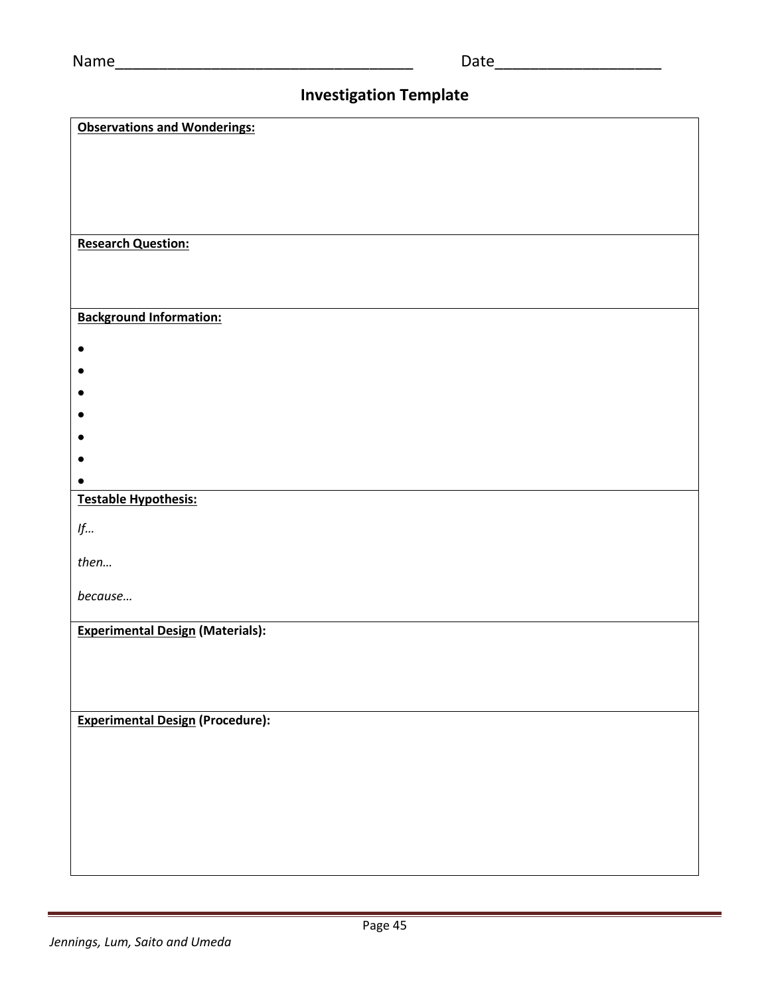# **Investigation Template**

| <b>Observations and Wonderings:</b>     |
|-----------------------------------------|
|                                         |
|                                         |
|                                         |
|                                         |
|                                         |
|                                         |
| <b>Research Question:</b>               |
|                                         |
|                                         |
|                                         |
| <b>Background Information:</b>          |
| $\bullet$                               |
|                                         |
|                                         |
|                                         |
|                                         |
|                                         |
|                                         |
|                                         |
| <b>Testable Hypothesis:</b>             |
|                                         |
| $\mathop{\it lf\ldots}\nolimits$        |
| then                                    |
|                                         |
| because                                 |
|                                         |
| <b>Experimental Design (Materials):</b> |
|                                         |
|                                         |
|                                         |
|                                         |
| <b>Experimental Design (Procedure):</b> |
|                                         |
|                                         |
|                                         |
|                                         |
|                                         |
|                                         |
|                                         |
|                                         |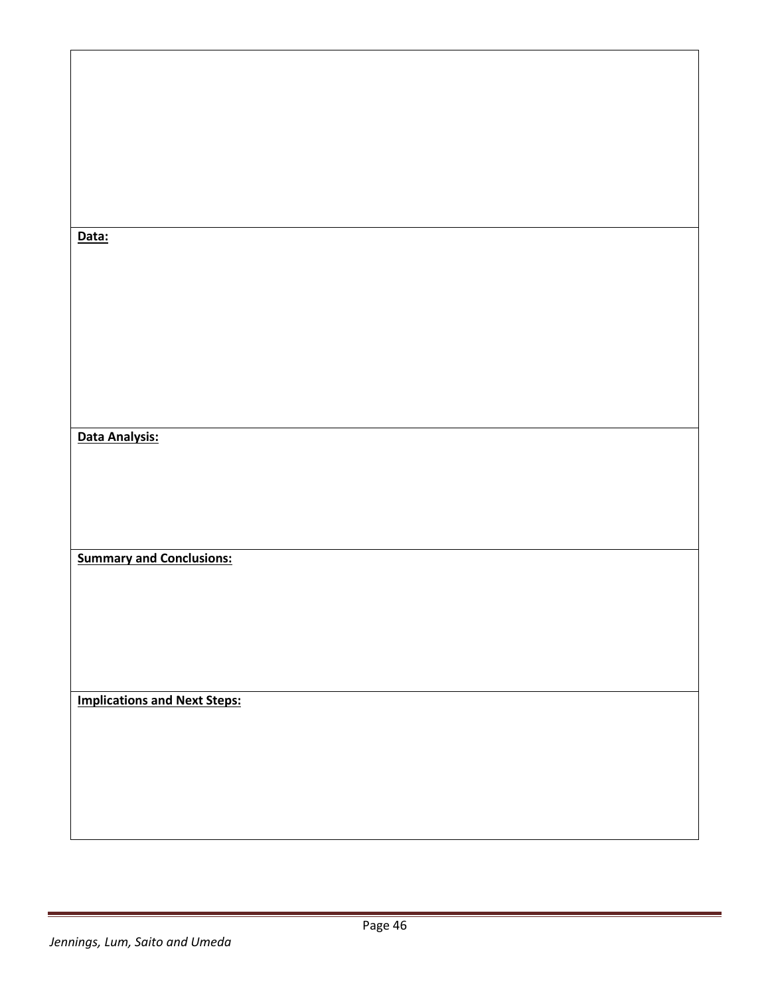| Data:                               |  |
|-------------------------------------|--|
|                                     |  |
|                                     |  |
|                                     |  |
|                                     |  |
|                                     |  |
| Data Analysis:                      |  |
|                                     |  |
|                                     |  |
|                                     |  |
| <b>Summary and Conclusions:</b>     |  |
|                                     |  |
|                                     |  |
|                                     |  |
|                                     |  |
| <b>Implications and Next Steps:</b> |  |
|                                     |  |
|                                     |  |
|                                     |  |
|                                     |  |
|                                     |  |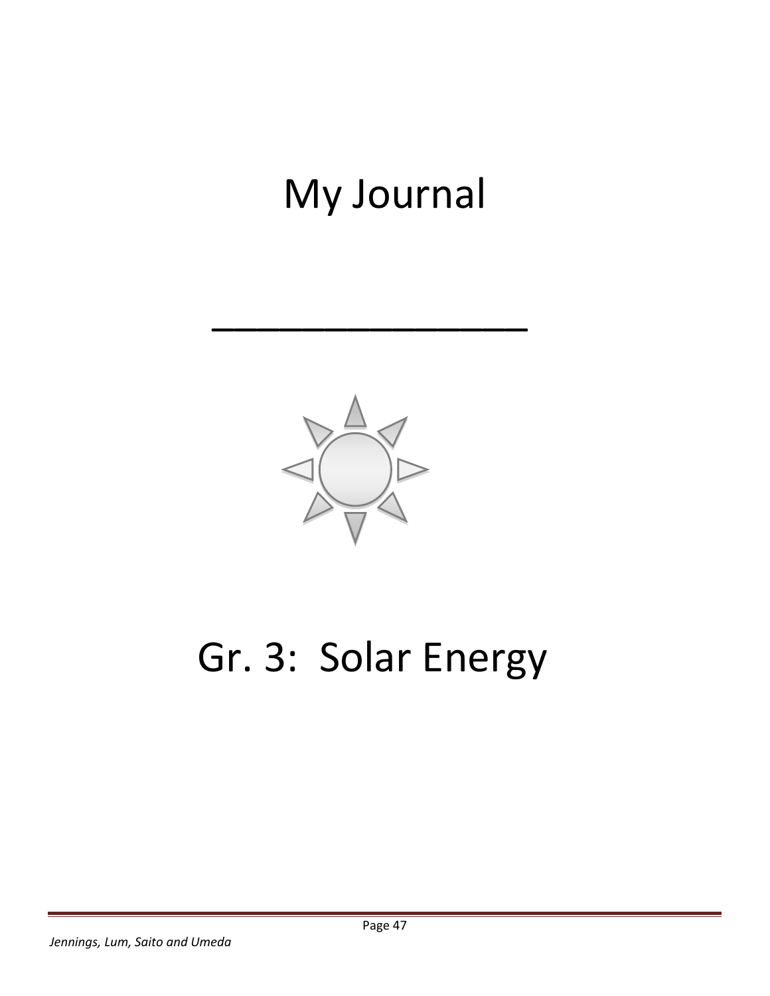# My Journal

\_\_\_\_\_\_\_\_\_\_\_\_\_\_



# Gr. 3: Solar Energy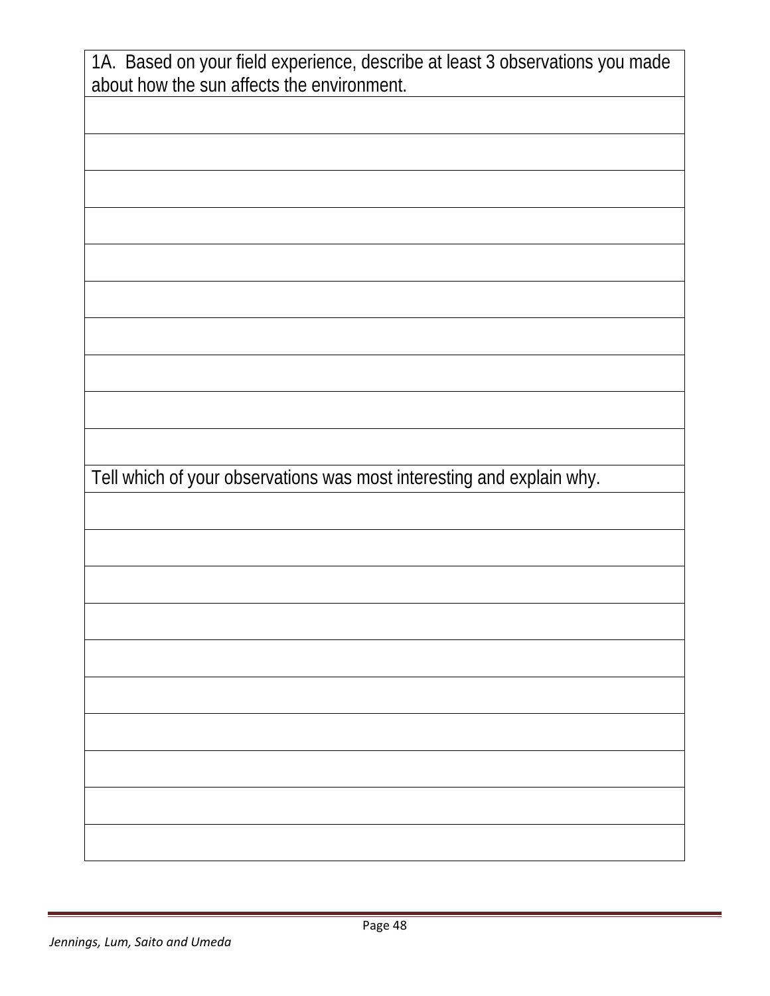| 1A. Based on your field experience, describe at least 3 observations you made<br>about how the sun affects the environment. |
|-----------------------------------------------------------------------------------------------------------------------------|
|                                                                                                                             |
|                                                                                                                             |
|                                                                                                                             |
|                                                                                                                             |
|                                                                                                                             |
|                                                                                                                             |
|                                                                                                                             |
|                                                                                                                             |
|                                                                                                                             |
| Tell which of your observations was most interesting and explain why.                                                       |
|                                                                                                                             |
|                                                                                                                             |
|                                                                                                                             |
|                                                                                                                             |
|                                                                                                                             |
|                                                                                                                             |
|                                                                                                                             |
|                                                                                                                             |
|                                                                                                                             |
|                                                                                                                             |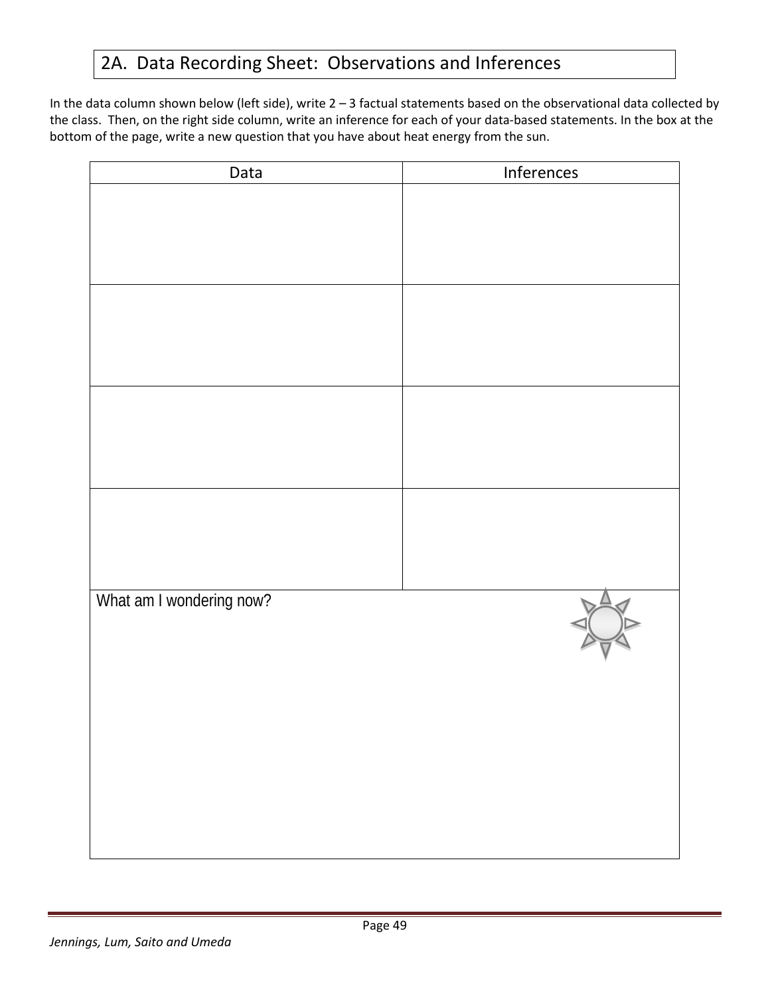# 2A. Data Recording Sheet: Observations and Inferences

In the data column shown below (left side), write 2 – 3 factual statements based on the observational data collected by the class. Then, on the right side column, write an inference for each of your data-based statements. In the box at the bottom of the page, write a new question that you have about heat energy from the sun.

| Data                     | Inferences |
|--------------------------|------------|
|                          |            |
|                          |            |
|                          |            |
|                          |            |
|                          |            |
|                          |            |
|                          |            |
|                          |            |
|                          |            |
|                          |            |
|                          |            |
|                          |            |
|                          |            |
|                          |            |
| What am I wondering now? |            |
|                          |            |
|                          |            |
|                          |            |
|                          |            |
|                          |            |
|                          |            |
|                          |            |
|                          |            |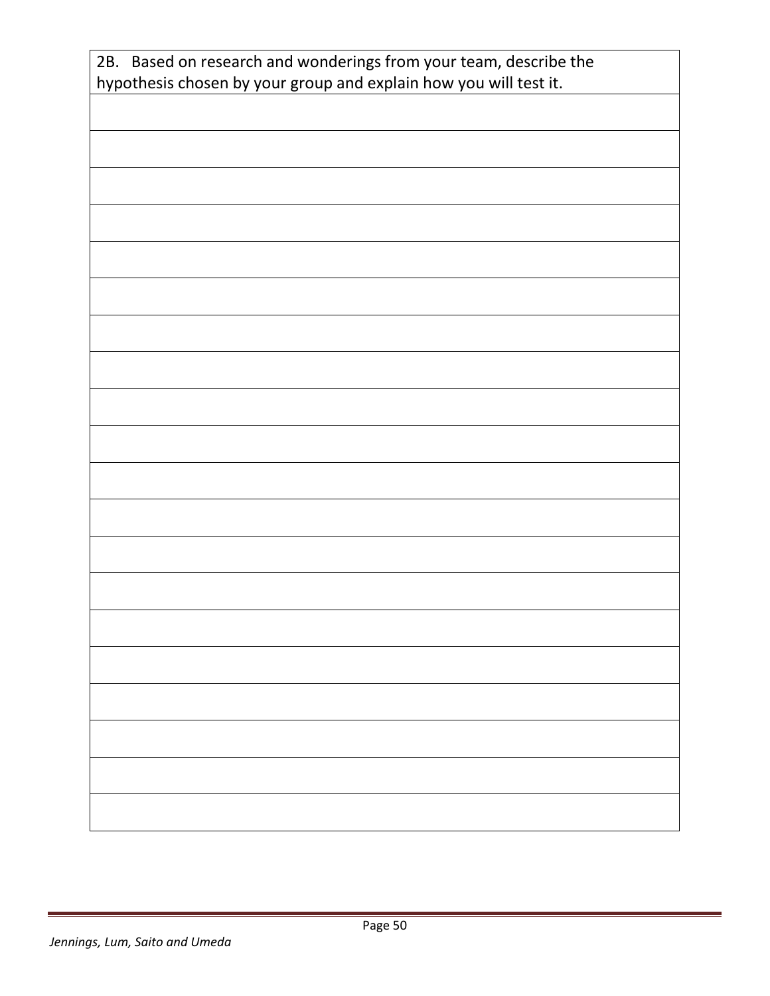| 2B. Based on research and wonderings from your team, describe the |  |  |  |
|-------------------------------------------------------------------|--|--|--|
| hypothesis chosen by your group and explain how you will test it. |  |  |  |
|                                                                   |  |  |  |
|                                                                   |  |  |  |
|                                                                   |  |  |  |
|                                                                   |  |  |  |
|                                                                   |  |  |  |
|                                                                   |  |  |  |
|                                                                   |  |  |  |
|                                                                   |  |  |  |
|                                                                   |  |  |  |
|                                                                   |  |  |  |
|                                                                   |  |  |  |
|                                                                   |  |  |  |
|                                                                   |  |  |  |
|                                                                   |  |  |  |
|                                                                   |  |  |  |
|                                                                   |  |  |  |
|                                                                   |  |  |  |
|                                                                   |  |  |  |
|                                                                   |  |  |  |
|                                                                   |  |  |  |
|                                                                   |  |  |  |
|                                                                   |  |  |  |
|                                                                   |  |  |  |
|                                                                   |  |  |  |
|                                                                   |  |  |  |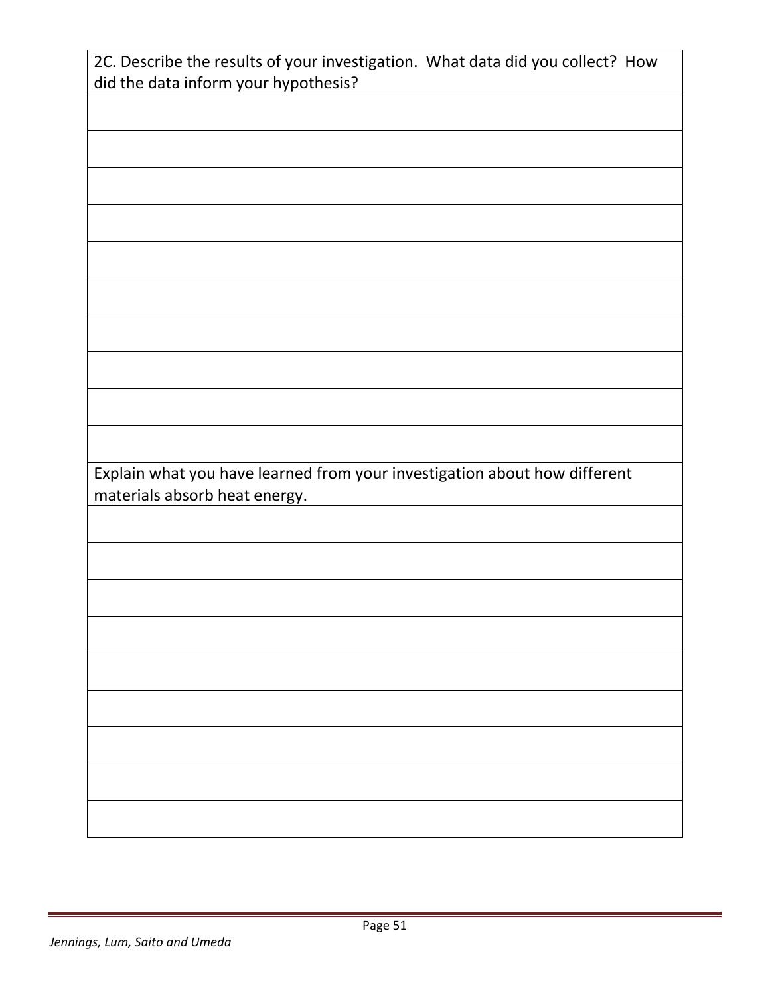| 2C. Describe the results of your investigation. What data did you collect? How |
|--------------------------------------------------------------------------------|
| did the data inform your hypothesis?                                           |
|                                                                                |
|                                                                                |
|                                                                                |
|                                                                                |
|                                                                                |
|                                                                                |
|                                                                                |
|                                                                                |
|                                                                                |
|                                                                                |
|                                                                                |
|                                                                                |
|                                                                                |
|                                                                                |
|                                                                                |
| Explain what you have learned from your investigation about how different      |
| materials absorb heat energy.                                                  |
|                                                                                |
|                                                                                |
|                                                                                |
|                                                                                |
|                                                                                |
|                                                                                |
|                                                                                |
|                                                                                |
|                                                                                |
|                                                                                |
|                                                                                |
|                                                                                |
|                                                                                |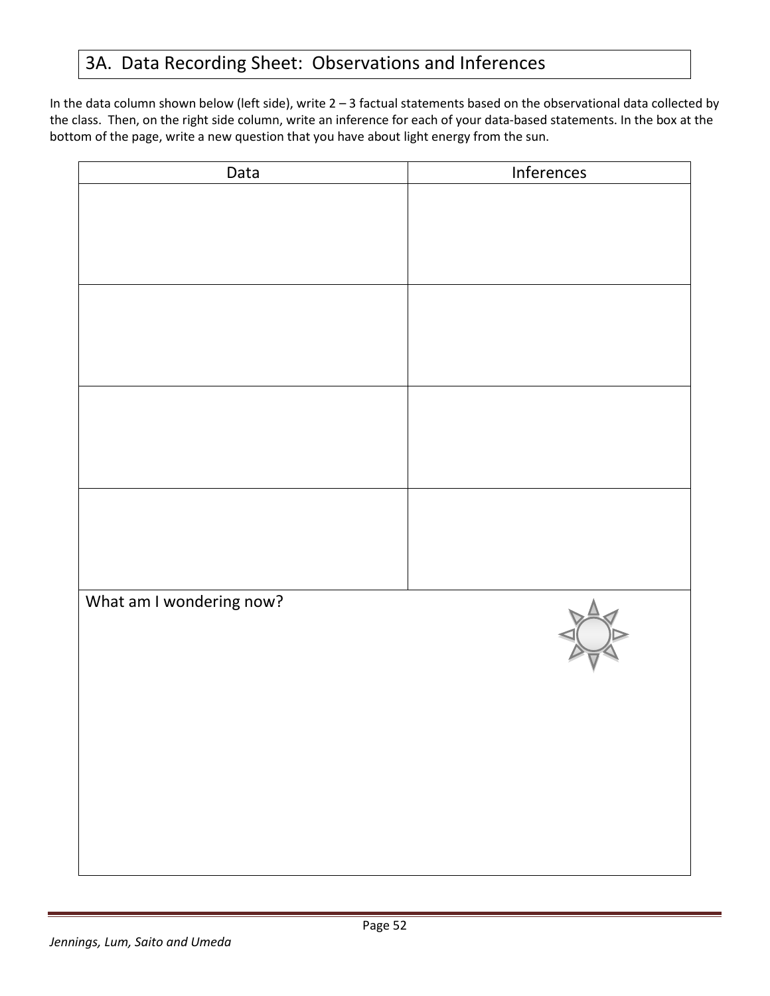# 3A. Data Recording Sheet: Observations and Inferences

In the data column shown below (left side), write 2 – 3 factual statements based on the observational data collected by the class. Then, on the right side column, write an inference for each of your data-based statements. In the box at the bottom of the page, write a new question that you have about light energy from the sun.

| Data                     | Inferences |
|--------------------------|------------|
|                          |            |
|                          |            |
|                          |            |
|                          |            |
|                          |            |
|                          |            |
|                          |            |
|                          |            |
|                          |            |
|                          |            |
|                          |            |
|                          |            |
|                          |            |
|                          |            |
|                          |            |
| What am I wondering now? |            |
|                          |            |
|                          |            |
|                          |            |
|                          |            |
|                          |            |
|                          |            |
|                          |            |
|                          |            |
|                          |            |
|                          |            |
|                          |            |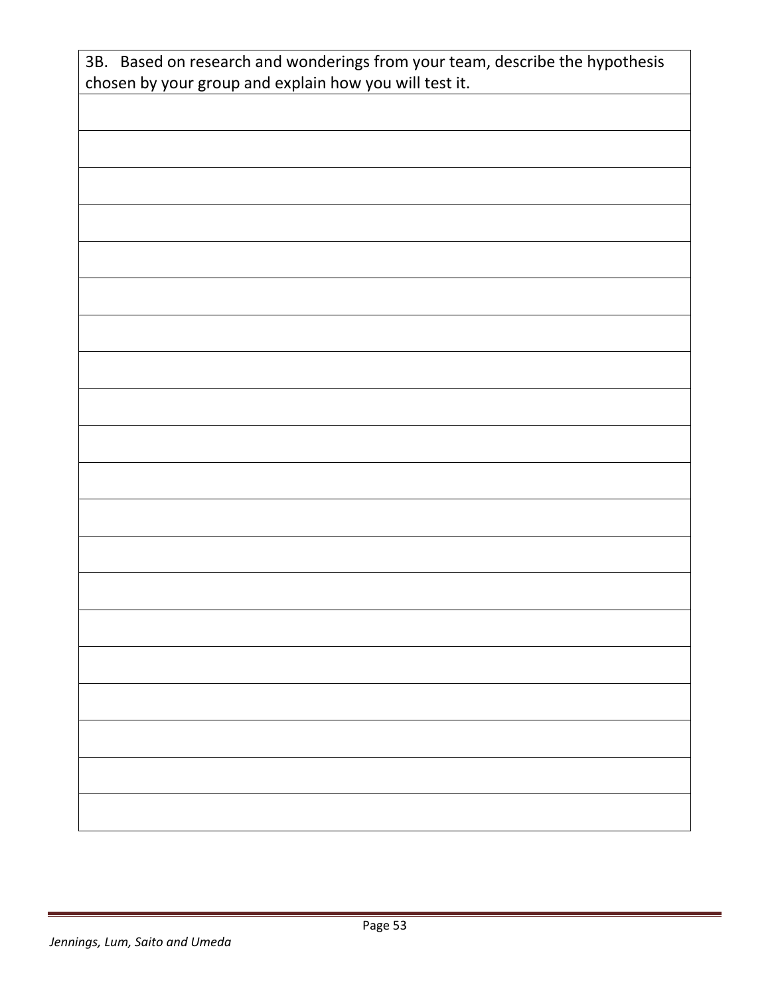| 3B. Based on research and wonderings from your team, describe the hypothesis<br>chosen by your group and explain how you will test it. |  |
|----------------------------------------------------------------------------------------------------------------------------------------|--|
|                                                                                                                                        |  |
|                                                                                                                                        |  |
|                                                                                                                                        |  |
|                                                                                                                                        |  |
|                                                                                                                                        |  |
|                                                                                                                                        |  |
|                                                                                                                                        |  |
|                                                                                                                                        |  |
|                                                                                                                                        |  |
|                                                                                                                                        |  |
|                                                                                                                                        |  |
|                                                                                                                                        |  |
|                                                                                                                                        |  |
|                                                                                                                                        |  |
|                                                                                                                                        |  |
|                                                                                                                                        |  |
|                                                                                                                                        |  |
|                                                                                                                                        |  |
|                                                                                                                                        |  |
|                                                                                                                                        |  |
|                                                                                                                                        |  |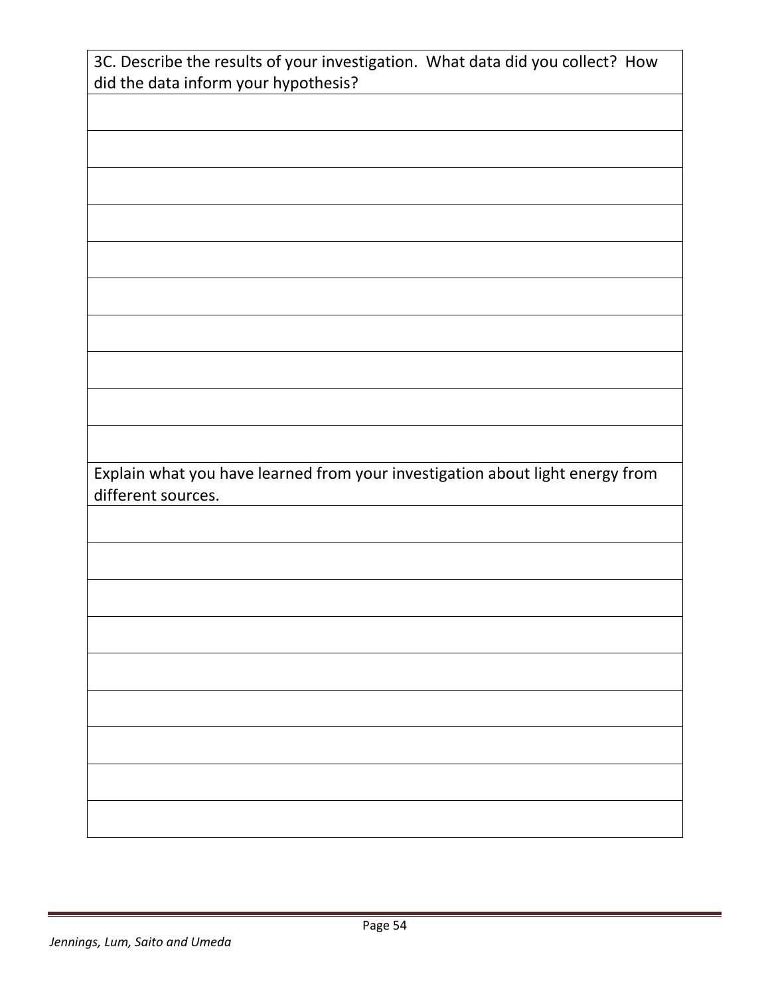| 3C. Describe the results of your investigation. What data did you collect? How |
|--------------------------------------------------------------------------------|
| did the data inform your hypothesis?                                           |
|                                                                                |
|                                                                                |
|                                                                                |
|                                                                                |
|                                                                                |
|                                                                                |
|                                                                                |
|                                                                                |
|                                                                                |
|                                                                                |
|                                                                                |
|                                                                                |
|                                                                                |
|                                                                                |
|                                                                                |
| Explain what you have learned from your investigation about light energy from  |
|                                                                                |
| different sources.                                                             |
|                                                                                |
|                                                                                |
|                                                                                |
|                                                                                |
|                                                                                |
|                                                                                |
|                                                                                |
|                                                                                |
|                                                                                |
|                                                                                |
|                                                                                |
|                                                                                |
|                                                                                |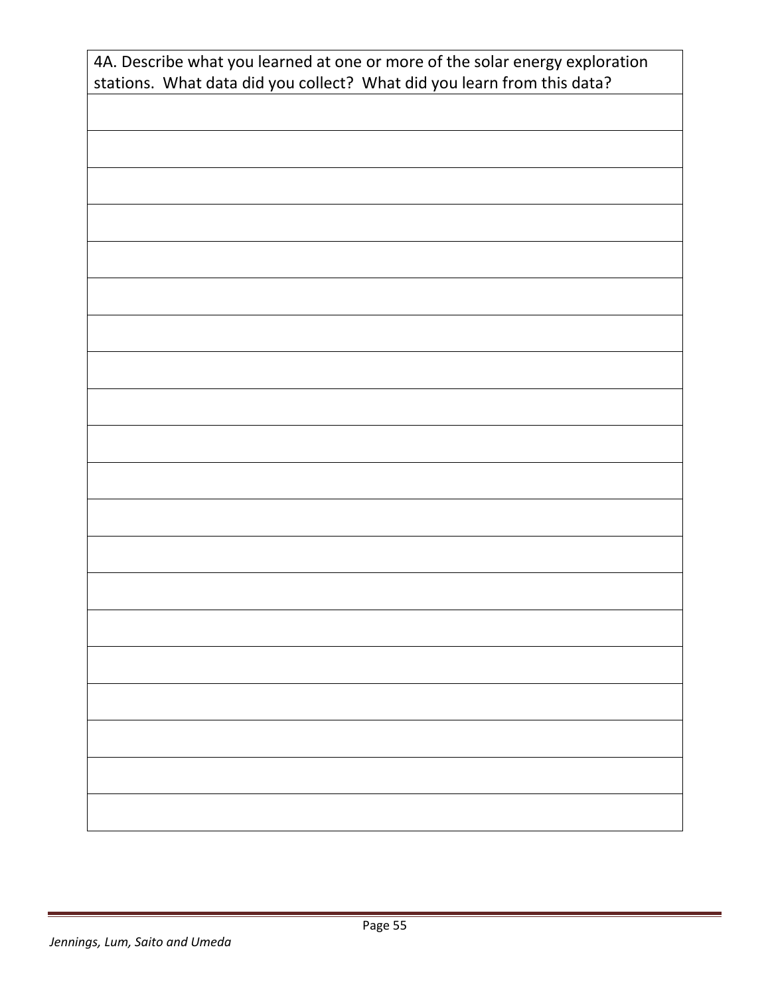| 4A. Describe what you learned at one or more of the solar energy exploration<br>stations. What data did you collect? What did you learn from this data? |
|---------------------------------------------------------------------------------------------------------------------------------------------------------|
|                                                                                                                                                         |
|                                                                                                                                                         |
|                                                                                                                                                         |
|                                                                                                                                                         |
|                                                                                                                                                         |
|                                                                                                                                                         |
|                                                                                                                                                         |
|                                                                                                                                                         |
|                                                                                                                                                         |
|                                                                                                                                                         |
|                                                                                                                                                         |
|                                                                                                                                                         |
|                                                                                                                                                         |
|                                                                                                                                                         |
|                                                                                                                                                         |
|                                                                                                                                                         |
|                                                                                                                                                         |
|                                                                                                                                                         |
|                                                                                                                                                         |
|                                                                                                                                                         |
|                                                                                                                                                         |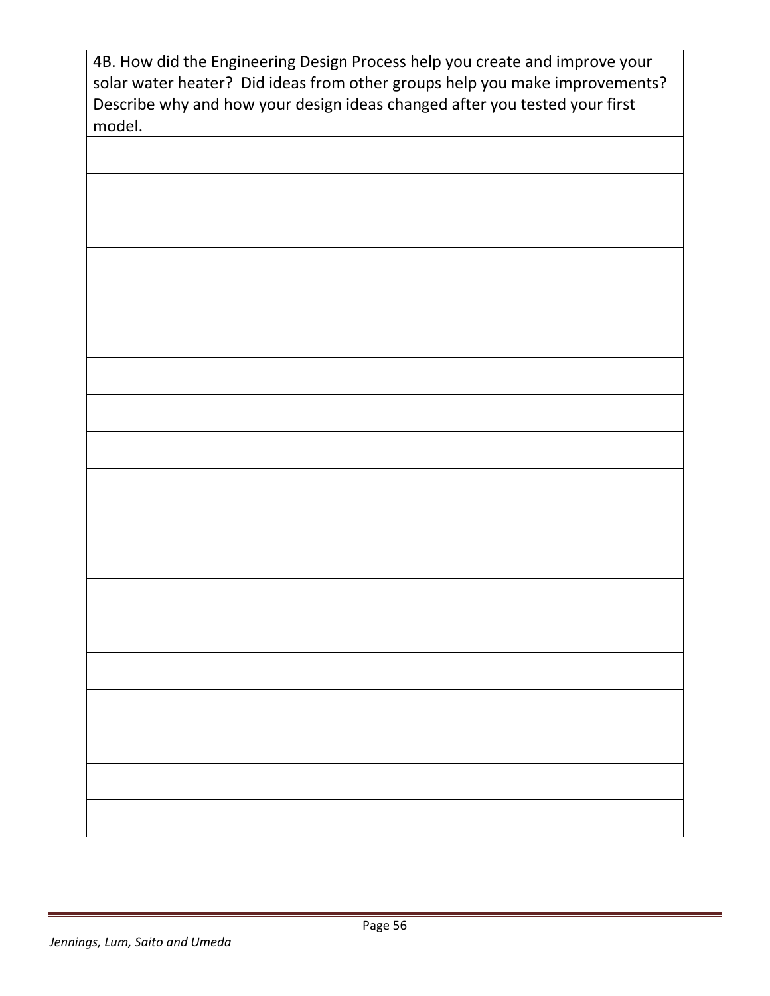| 4B. How did the Engineering Design Process help you create and improve your<br>solar water heater? Did ideas from other groups help you make improvements?<br>Describe why and how your design ideas changed after you tested your first<br>model. |
|----------------------------------------------------------------------------------------------------------------------------------------------------------------------------------------------------------------------------------------------------|
|                                                                                                                                                                                                                                                    |
|                                                                                                                                                                                                                                                    |
|                                                                                                                                                                                                                                                    |
|                                                                                                                                                                                                                                                    |
|                                                                                                                                                                                                                                                    |
|                                                                                                                                                                                                                                                    |
|                                                                                                                                                                                                                                                    |
|                                                                                                                                                                                                                                                    |
|                                                                                                                                                                                                                                                    |
|                                                                                                                                                                                                                                                    |
|                                                                                                                                                                                                                                                    |
|                                                                                                                                                                                                                                                    |
|                                                                                                                                                                                                                                                    |
|                                                                                                                                                                                                                                                    |
|                                                                                                                                                                                                                                                    |
|                                                                                                                                                                                                                                                    |
|                                                                                                                                                                                                                                                    |
|                                                                                                                                                                                                                                                    |
|                                                                                                                                                                                                                                                    |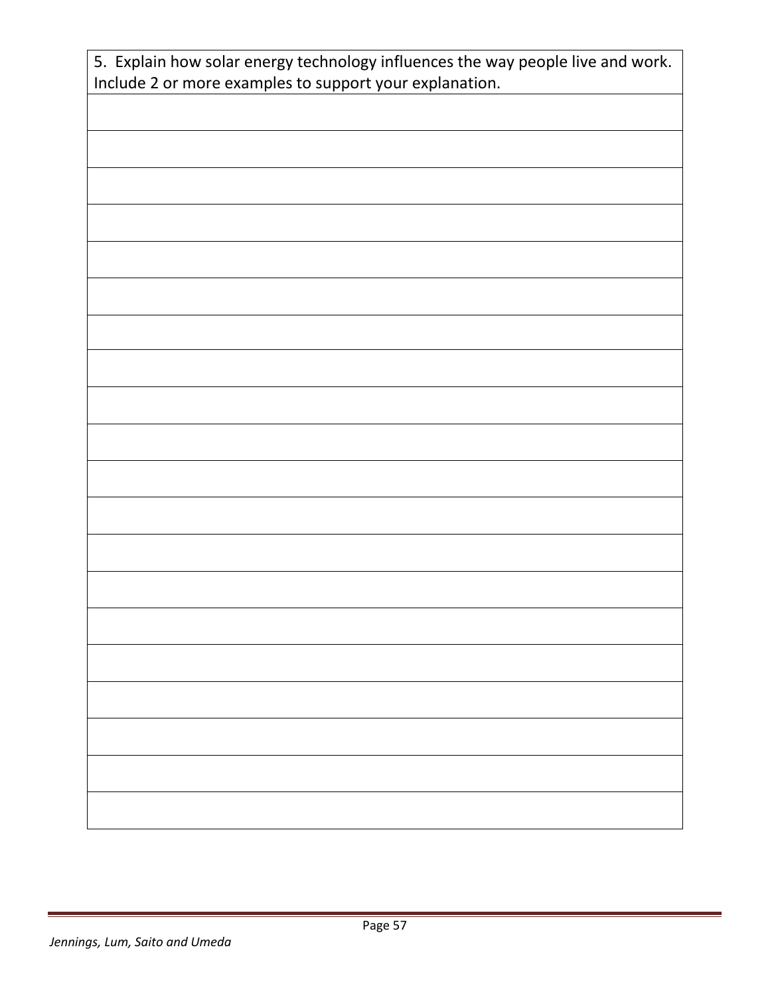| 5. Explain how solar energy technology influences the way people live and work.<br>Include 2 or more examples to support your explanation. |
|--------------------------------------------------------------------------------------------------------------------------------------------|
|                                                                                                                                            |
|                                                                                                                                            |
|                                                                                                                                            |
|                                                                                                                                            |
|                                                                                                                                            |
|                                                                                                                                            |
|                                                                                                                                            |
|                                                                                                                                            |
|                                                                                                                                            |
|                                                                                                                                            |
|                                                                                                                                            |
|                                                                                                                                            |
|                                                                                                                                            |
|                                                                                                                                            |
|                                                                                                                                            |
|                                                                                                                                            |
|                                                                                                                                            |
|                                                                                                                                            |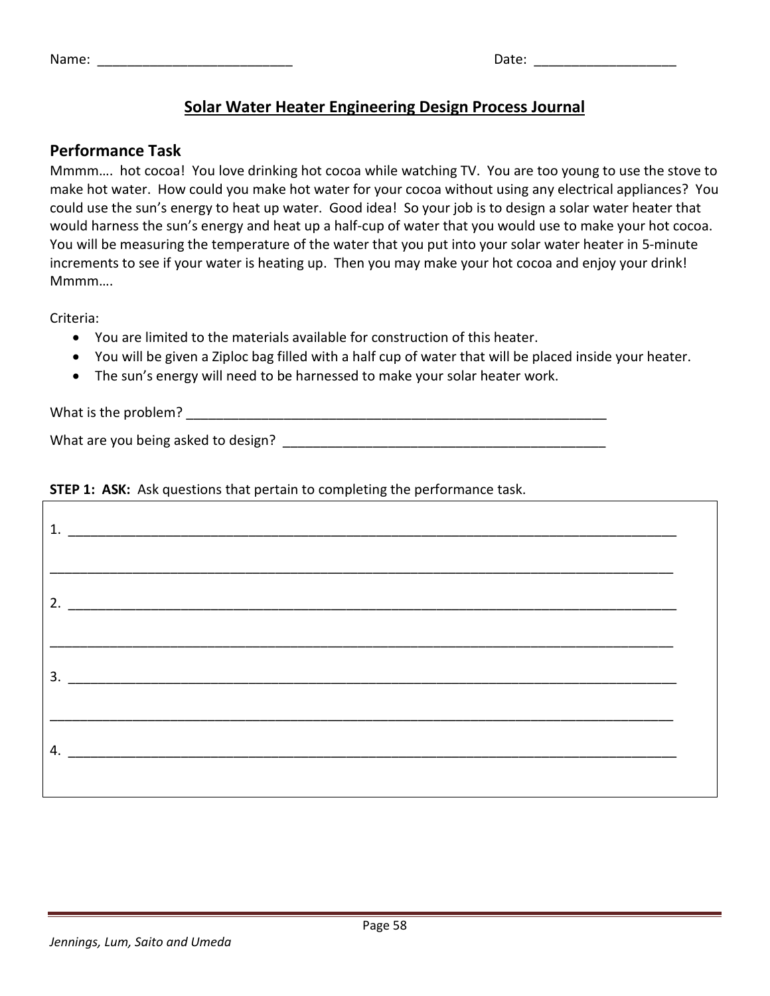|  | Name |  |
|--|------|--|
|  |      |  |

| Name: | Date: |  |
|-------|-------|--|
|       |       |  |

# **Solar Water Heater Engineering Design Process Journal**

# **Performance Task**

Mmmm…. hot cocoa! You love drinking hot cocoa while watching TV. You are too young to use the stove to make hot water. How could you make hot water for your cocoa without using any electrical appliances? You could use the sun's energy to heat up water. Good idea! So your job is to design a solar water heater that would harness the sun's energy and heat up a half-cup of water that you would use to make your hot cocoa. You will be measuring the temperature of the water that you put into your solar water heater in 5-minute increments to see if your water is heating up. Then you may make your hot cocoa and enjoy your drink! Mmmm….

Criteria:

- You are limited to the materials available for construction of this heater.
- You will be given a Ziploc bag filled with a half cup of water that will be placed inside your heater.
- The sun's energy will need to be harnessed to make your solar heater work.

What is the problem?

What are you being asked to design? What are you being asked to design?

# **STEP 1: ASK:** Ask questions that pertain to completing the performance task.

| 2. $\overline{\phantom{a}}$ |  |
|-----------------------------|--|
|                             |  |
| $\overline{\mathbf{3.}}$    |  |
| 4. $\overline{\phantom{a}}$ |  |
|                             |  |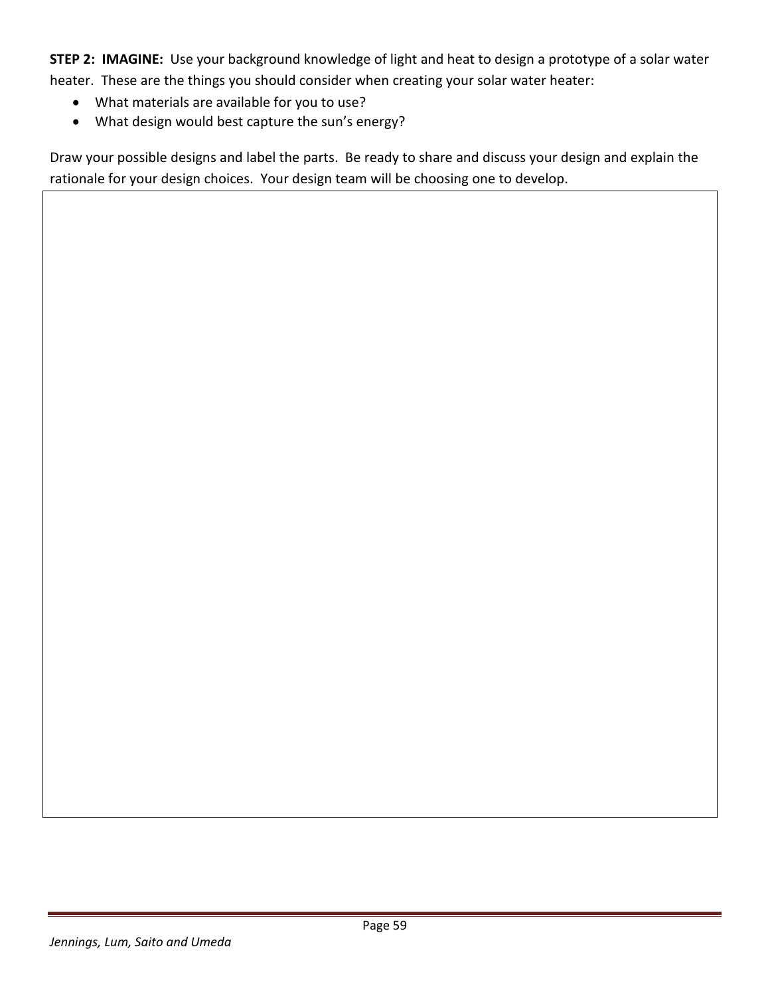**STEP 2: IMAGINE:** Use your background knowledge of light and heat to design a prototype of a solar water heater. These are the things you should consider when creating your solar water heater:

- What materials are available for you to use?
- What design would best capture the sun's energy?

Draw your possible designs and label the parts. Be ready to share and discuss your design and explain the rationale for your design choices. Your design team will be choosing one to develop.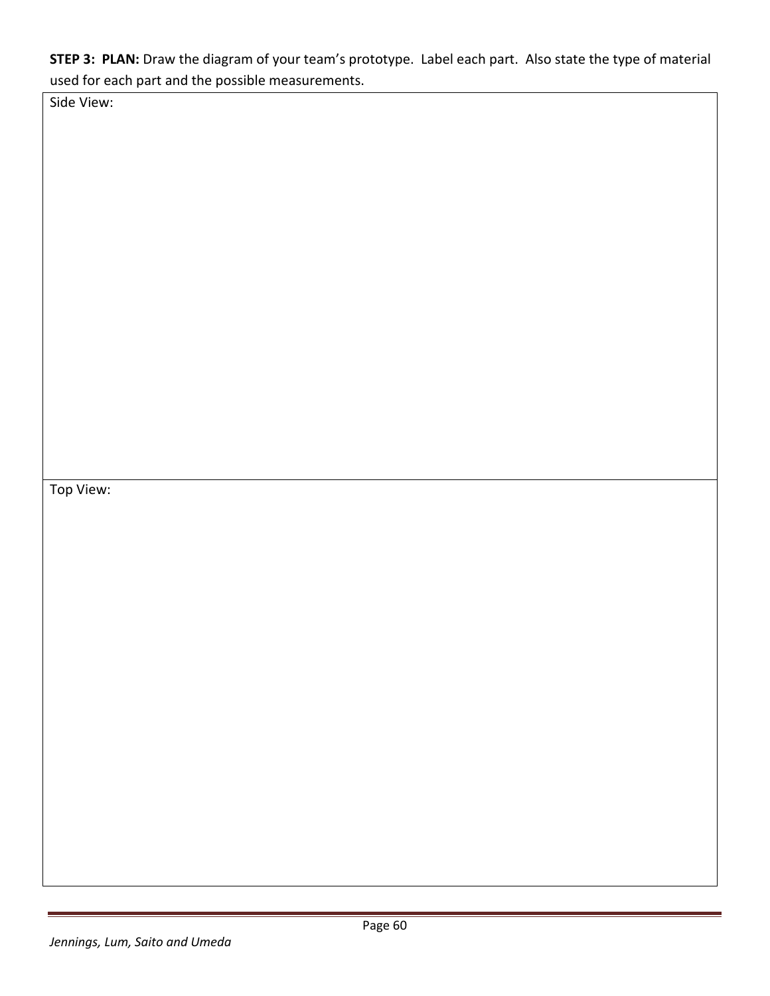**STEP 3: PLAN:** Draw the diagram of your team's prototype. Label each part. Also state the type of material used for each part and the possible measurements.

Side View:

Top View: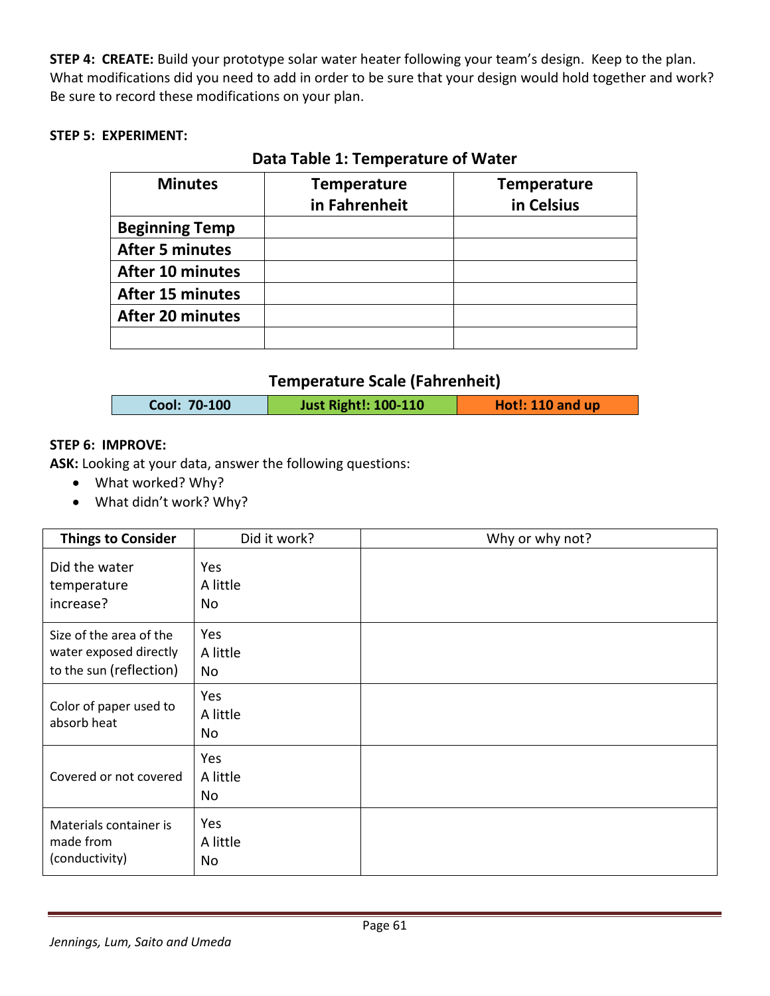**STEP 4: CREATE:** Build your prototype solar water heater following your team's design. Keep to the plan. What modifications did you need to add in order to be sure that your design would hold together and work? Be sure to record these modifications on your plan.

# **STEP 5: EXPERIMENT:**

| <b>Minutes</b>          | <b>Temperature</b><br>in Fahrenheit | <b>Temperature</b><br>in Celsius |  |  |
|-------------------------|-------------------------------------|----------------------------------|--|--|
| <b>Beginning Temp</b>   |                                     |                                  |  |  |
| <b>After 5 minutes</b>  |                                     |                                  |  |  |
| <b>After 10 minutes</b> |                                     |                                  |  |  |
| <b>After 15 minutes</b> |                                     |                                  |  |  |
| <b>After 20 minutes</b> |                                     |                                  |  |  |
|                         |                                     |                                  |  |  |

# **Data Table 1: Temperature of Water**

# **Temperature Scale (Fahrenheit)**

# **STEP 6: IMPROVE:**

**ASK:** Looking at your data, answer the following questions:

- What worked? Why?
- What didn't work? Why?

| <b>Things to Consider</b>                                                    | Did it work?          | Why or why not? |
|------------------------------------------------------------------------------|-----------------------|-----------------|
| Did the water<br>temperature<br>increase?                                    | Yes<br>A little<br>No |                 |
| Size of the area of the<br>water exposed directly<br>to the sun (reflection) | Yes<br>A little<br>No |                 |
| Color of paper used to<br>absorb heat                                        | Yes<br>A little<br>No |                 |
| Covered or not covered                                                       | Yes<br>A little<br>No |                 |
| Materials container is<br>made from<br>(conductivity)                        | Yes<br>A little<br>No |                 |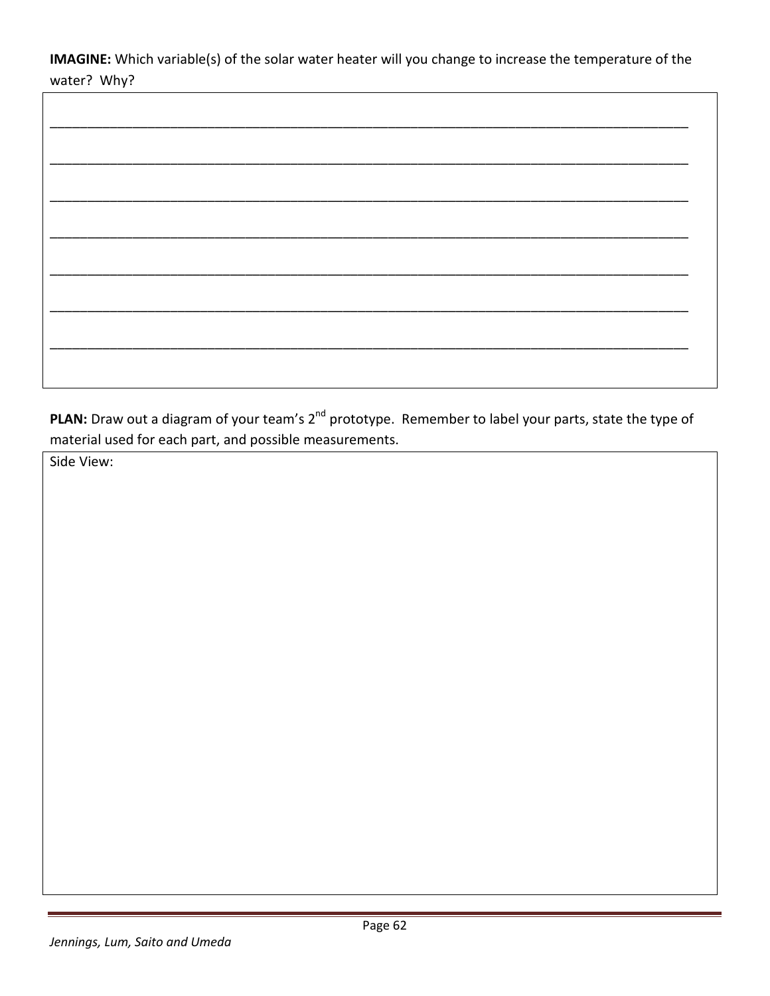IMAGINE: Which variable(s) of the solar water heater will you change to increase the temperature of the water? Why?

PLAN: Draw out a diagram of your team's 2<sup>nd</sup> prototype. Remember to label your parts, state the type of material used for each part, and possible measurements.

Side View:

 $\Gamma$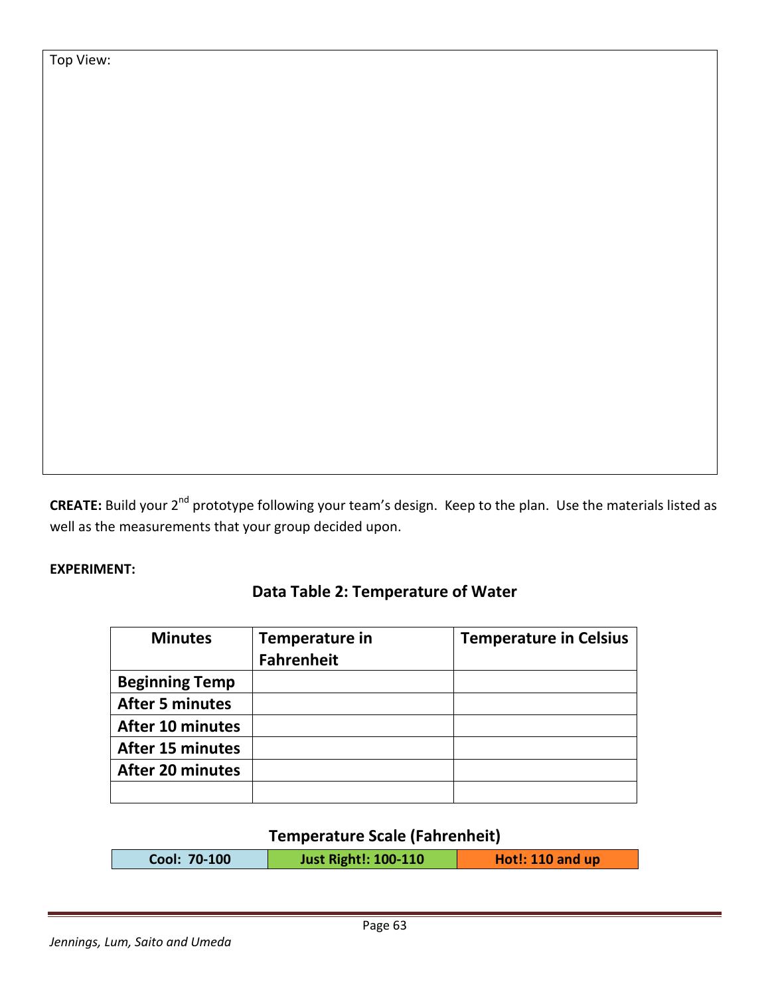Top View:

**CREATE:** Build your 2<sup>nd</sup> prototype following your team's design. Keep to the plan. Use the materials listed as well as the measurements that your group decided upon.

# **EXPERIMENT:**

| <b>Minutes</b>          | Temperature in<br><b>Fahrenheit</b> | <b>Temperature in Celsius</b> |
|-------------------------|-------------------------------------|-------------------------------|
| <b>Beginning Temp</b>   |                                     |                               |
| <b>After 5 minutes</b>  |                                     |                               |
| <b>After 10 minutes</b> |                                     |                               |
| <b>After 15 minutes</b> |                                     |                               |
| <b>After 20 minutes</b> |                                     |                               |
|                         |                                     |                               |

# **Data Table 2: Temperature of Water**

# **Temperature Scale (Fahrenheit)**

| Cool: 70-100 | <b>Just Right!: 100-110</b> | Hot!: $110$ and up |
|--------------|-----------------------------|--------------------|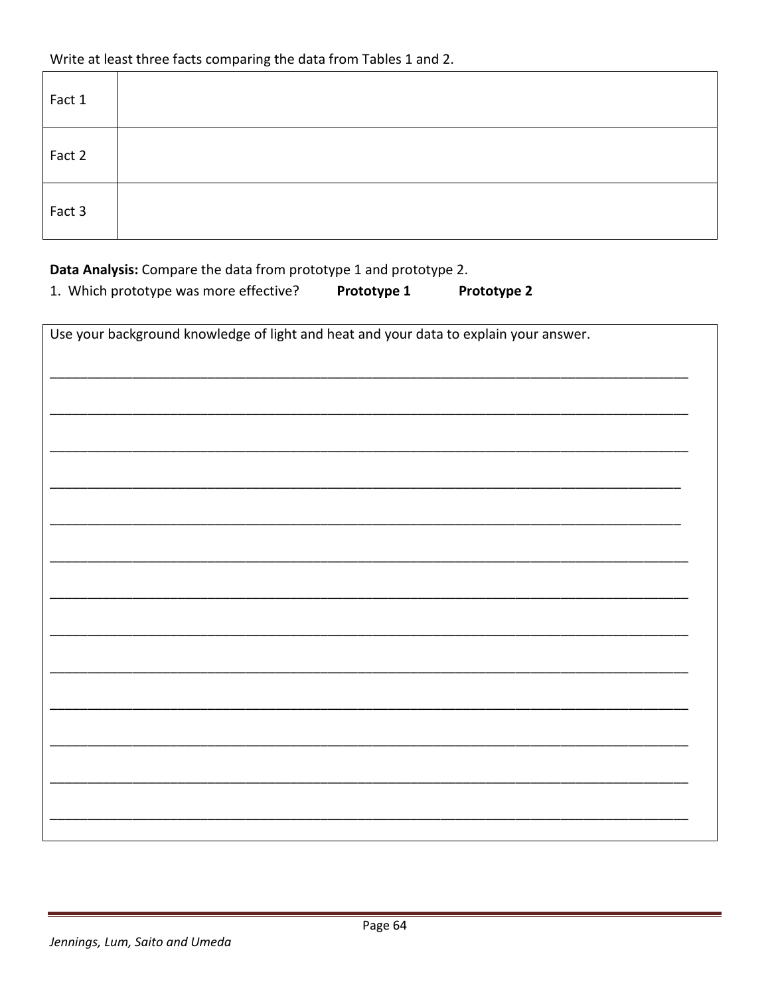| Fact 1 |  |  |
|--------|--|--|
| Fact 2 |  |  |
| Fact 3 |  |  |

Data Analysis: Compare the data from prototype 1 and prototype 2.

1. Which prototype was more effective? Prototype 1 Prototype 2

| Use your background knowledge of light and heat and your data to explain your answer. |  |  |  |
|---------------------------------------------------------------------------------------|--|--|--|
|                                                                                       |  |  |  |
|                                                                                       |  |  |  |
|                                                                                       |  |  |  |
|                                                                                       |  |  |  |
|                                                                                       |  |  |  |
|                                                                                       |  |  |  |
|                                                                                       |  |  |  |
|                                                                                       |  |  |  |
|                                                                                       |  |  |  |
|                                                                                       |  |  |  |
|                                                                                       |  |  |  |
|                                                                                       |  |  |  |
|                                                                                       |  |  |  |
|                                                                                       |  |  |  |
|                                                                                       |  |  |  |
|                                                                                       |  |  |  |
|                                                                                       |  |  |  |
|                                                                                       |  |  |  |
|                                                                                       |  |  |  |
|                                                                                       |  |  |  |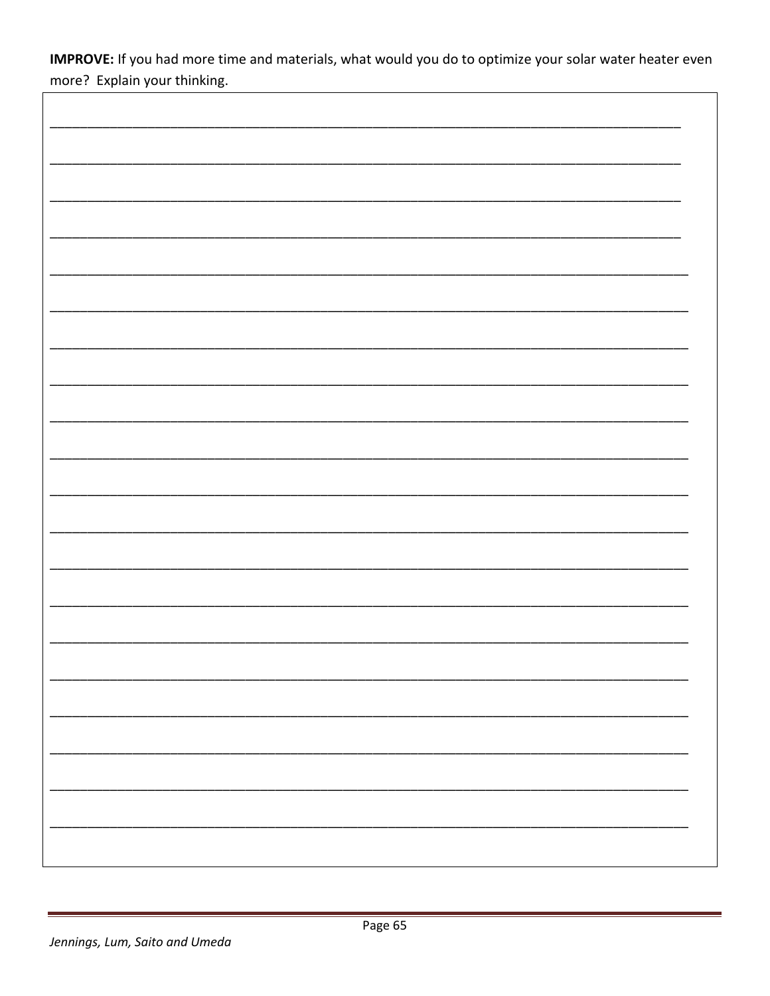IMPROVE: If you had more time and materials, what would you do to optimize your solar water heater even more? Explain your thinking.

 $\overline{1}$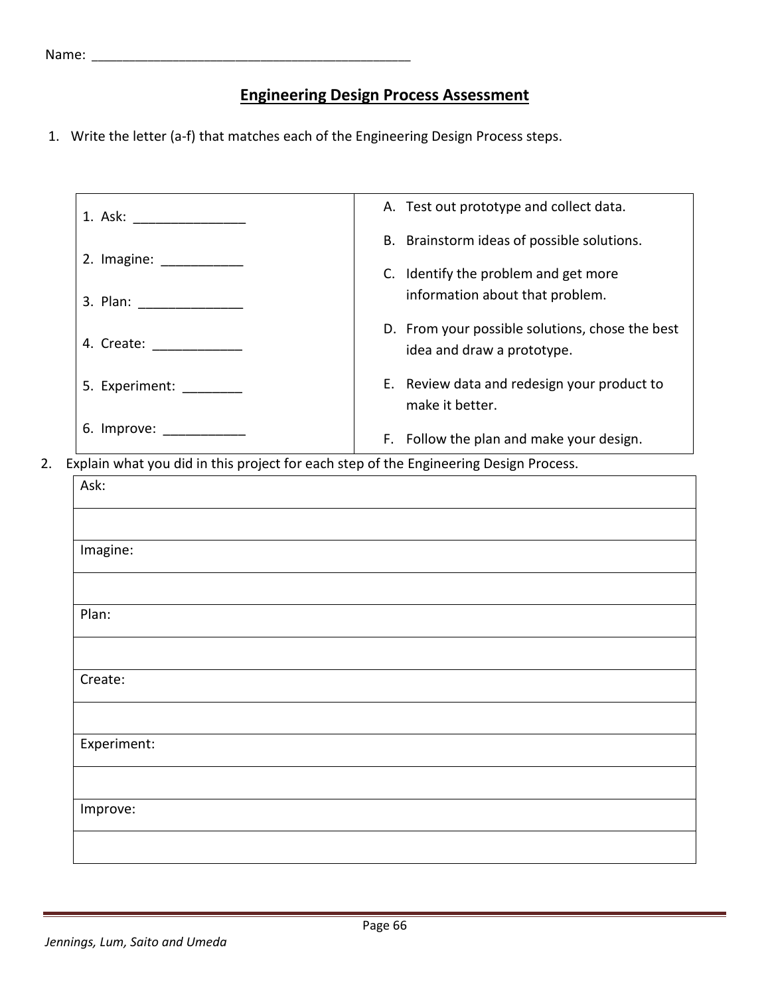# **Engineering Design Process Assessment**

1. Write the letter (a-f) that matches each of the Engineering Design Process steps.

|                                                                                       | A. Test out prototype and collect data.                                       |
|---------------------------------------------------------------------------------------|-------------------------------------------------------------------------------|
|                                                                                       | B. Brainstorm ideas of possible solutions.                                    |
| 2. Imagine: ____________                                                              | C. Identify the problem and get more                                          |
|                                                                                       | information about that problem.                                               |
| 4. Create: ______________                                                             | D. From your possible solutions, chose the best<br>idea and draw a prototype. |
| 5. Experiment: ________                                                               | E. Review data and redesign your product to<br>make it better.                |
| 6. Improve: ______________                                                            | F. Follow the plan and make your design.                                      |
| Explain what you did in this project for each step of the Engineering Design Process. |                                                                               |
| Ask:                                                                                  |                                                                               |
|                                                                                       |                                                                               |
|                                                                                       |                                                                               |
|                                                                                       |                                                                               |
| Imagine:                                                                              |                                                                               |
|                                                                                       |                                                                               |
| Plan:                                                                                 |                                                                               |
|                                                                                       |                                                                               |
| Create:                                                                               |                                                                               |
|                                                                                       |                                                                               |
| Experiment:                                                                           |                                                                               |
|                                                                                       |                                                                               |
| Improve:                                                                              |                                                                               |
|                                                                                       |                                                                               |
|                                                                                       |                                                                               |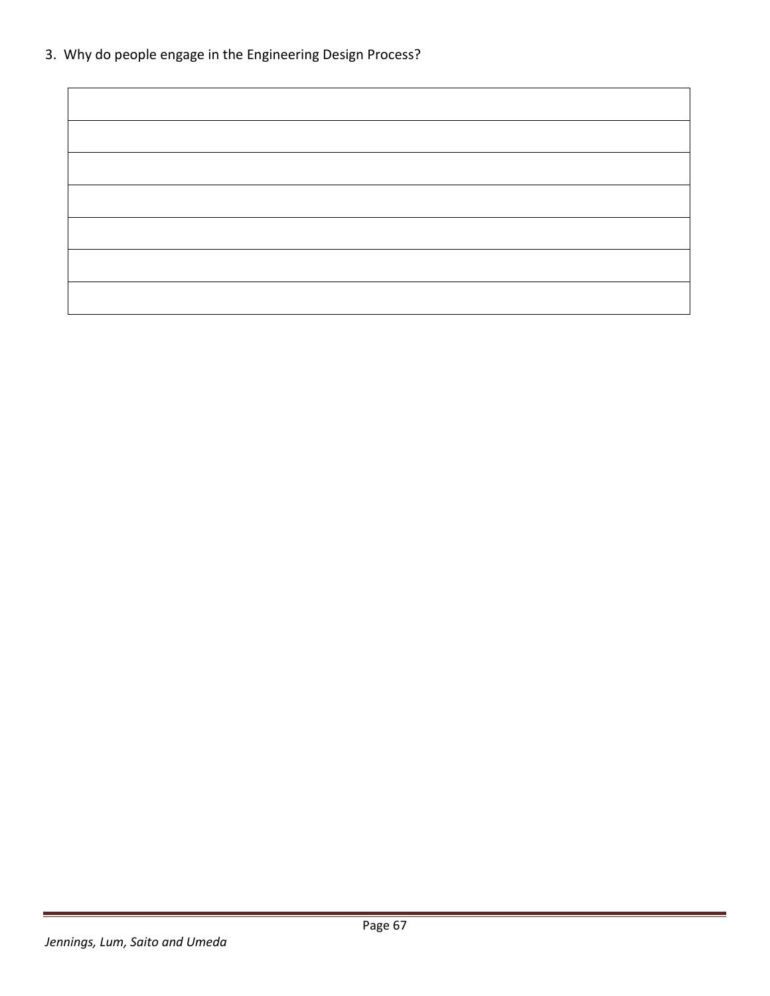3. Why do people engage in the Engineering Design Process?